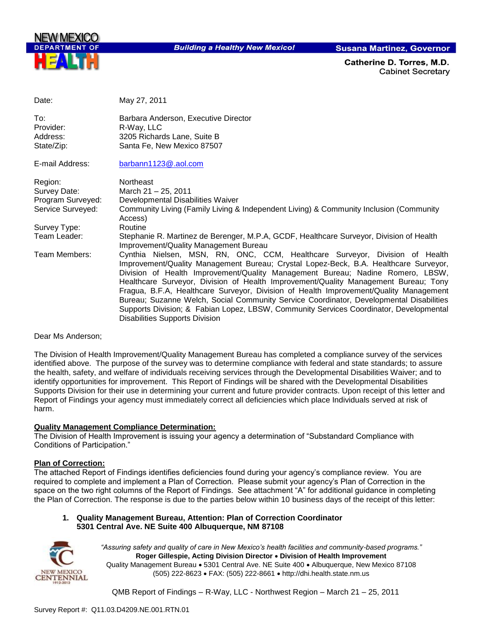

**Building a Healthy New Mexico!** 

**Susana Martinez, Governor** 

Catherine D. Torres. M.D. **Cabinet Secretary** 

| Date:                                      | May 27, 2011                                                                                                                                                                                                                                                                                                                                                                                                                                                                                                                                                                                                                                                        |
|--------------------------------------------|---------------------------------------------------------------------------------------------------------------------------------------------------------------------------------------------------------------------------------------------------------------------------------------------------------------------------------------------------------------------------------------------------------------------------------------------------------------------------------------------------------------------------------------------------------------------------------------------------------------------------------------------------------------------|
| To:<br>Provider:<br>Address:<br>State/Zip: | Barbara Anderson, Executive Director<br>R-Way, LLC<br>3205 Richards Lane, Suite B<br>Santa Fe, New Mexico 87507                                                                                                                                                                                                                                                                                                                                                                                                                                                                                                                                                     |
| E-mail Address:                            | barbann1123@.aol.com                                                                                                                                                                                                                                                                                                                                                                                                                                                                                                                                                                                                                                                |
| Region:                                    | Northeast                                                                                                                                                                                                                                                                                                                                                                                                                                                                                                                                                                                                                                                           |
| Survey Date:                               | March 21 - 25, 2011                                                                                                                                                                                                                                                                                                                                                                                                                                                                                                                                                                                                                                                 |
| Program Surveyed:                          | Developmental Disabilities Waiver                                                                                                                                                                                                                                                                                                                                                                                                                                                                                                                                                                                                                                   |
| Service Surveyed:                          | Community Living (Family Living & Independent Living) & Community Inclusion (Community<br>Access)                                                                                                                                                                                                                                                                                                                                                                                                                                                                                                                                                                   |
| Survey Type:                               | Routine                                                                                                                                                                                                                                                                                                                                                                                                                                                                                                                                                                                                                                                             |
| Team Leader:                               | Stephanie R. Martinez de Berenger, M.P.A, GCDF, Healthcare Surveyor, Division of Health<br>Improvement/Quality Management Bureau                                                                                                                                                                                                                                                                                                                                                                                                                                                                                                                                    |
| Team Members:                              | Cynthia Nielsen, MSN, RN, ONC, CCM, Healthcare Surveyor, Division of Health<br>Improvement/Quality Management Bureau; Crystal Lopez-Beck, B.A. Healthcare Surveyor,<br>Division of Health Improvement/Quality Management Bureau; Nadine Romero, LBSW,<br>Healthcare Surveyor, Division of Health Improvement/Quality Management Bureau; Tony<br>Fragua, B.F.A, Healthcare Surveyor, Division of Health Improvement/Quality Management<br>Bureau; Suzanne Welch, Social Community Service Coordinator, Developmental Disabilities<br>Supports Division; & Fabian Lopez, LBSW, Community Services Coordinator, Developmental<br><b>Disabilities Supports Division</b> |

#### Dear Ms Anderson;

The Division of Health Improvement/Quality Management Bureau has completed a compliance survey of the services identified above. The purpose of the survey was to determine compliance with federal and state standards; to assure the health, safety, and welfare of individuals receiving services through the Developmental Disabilities Waiver; and to identify opportunities for improvement. This Report of Findings will be shared with the Developmental Disabilities Supports Division for their use in determining your current and future provider contracts. Upon receipt of this letter and Report of Findings your agency must immediately correct all deficiencies which place Individuals served at risk of harm.

#### **Quality Management Compliance Determination:**

The Division of Health Improvement is issuing your agency a determination of "Substandard Compliance with Conditions of Participation."

#### **Plan of Correction:**

The attached Report of Findings identifies deficiencies found during your agency"s compliance review. You are required to complete and implement a Plan of Correction. Please submit your agency"s Plan of Correction in the space on the two right columns of the Report of Findings. See attachment "A" for additional guidance in completing the Plan of Correction. The response is due to the parties below within 10 business days of the receipt of this letter:

#### **1. Quality Management Bureau, Attention: Plan of Correction Coordinator 5301 Central Ave. NE Suite 400 Albuquerque, NM 87108**



*"Assuring safety and quality of care in New Mexico's health facilities and community-based programs."* **Roger Gillespie, Acting Division Director Division of Health Improvement**  Quality Management Bureau • 5301 Central Ave. NE Suite 400 • Albuquerque, New Mexico 87108 (505) 222-8623 FAX: (505) 222-8661 http://dhi.health.state.nm.us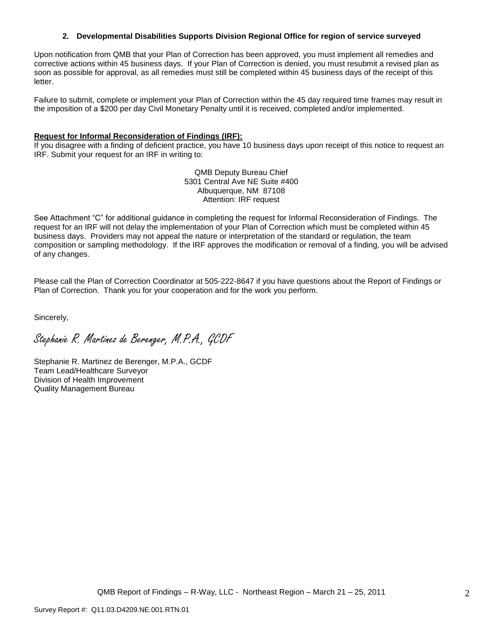#### **2. Developmental Disabilities Supports Division Regional Office for region of service surveyed**

Upon notification from QMB that your Plan of Correction has been approved, you must implement all remedies and corrective actions within 45 business days. If your Plan of Correction is denied, you must resubmit a revised plan as soon as possible for approval, as all remedies must still be completed within 45 business days of the receipt of this letter.

Failure to submit, complete or implement your Plan of Correction within the 45 day required time frames may result in the imposition of a \$200 per day Civil Monetary Penalty until it is received, completed and/or implemented.

#### **Request for Informal Reconsideration of Findings (IRF):**

If you disagree with a finding of deficient practice, you have 10 business days upon receipt of this notice to request an IRF. Submit your request for an IRF in writing to:

> QMB Deputy Bureau Chief 5301 Central Ave NE Suite #400 Albuquerque, NM 87108 Attention: IRF request

See Attachment "C" for additional guidance in completing the request for Informal Reconsideration of Findings. The request for an IRF will not delay the implementation of your Plan of Correction which must be completed within 45 business days. Providers may not appeal the nature or interpretation of the standard or regulation, the team composition or sampling methodology. If the IRF approves the modification or removal of a finding, you will be advised of any changes.

Please call the Plan of Correction Coordinator at 505-222-8647 if you have questions about the Report of Findings or Plan of Correction. Thank you for your cooperation and for the work you perform.

Sincerely,

Stephanie R. Martinez de Berenger, M.P.A., GCDF

Stephanie R. Martinez de Berenger, M.P.A., GCDF Team Lead/Healthcare Surveyor Division of Health Improvement Quality Management Bureau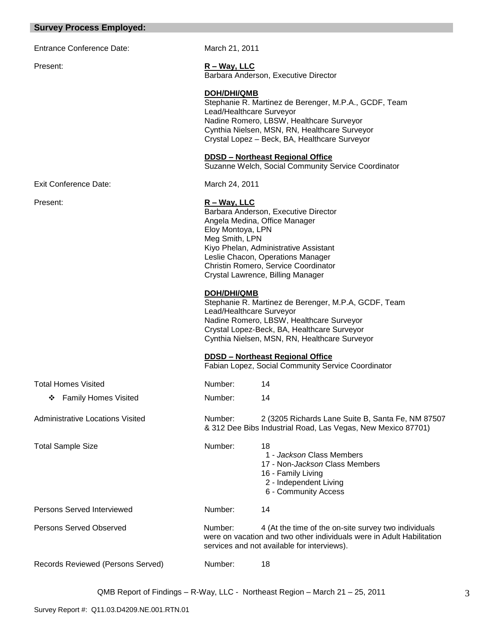#### **Survey Process Employed:**

Entrance Conference Date: March 21, 2011

Present: **R – Way, LLC** Barbara Anderson, Executive Director

> **DOH/DHI/QMB** Stephanie R. Martinez de Berenger, M.P.A., GCDF, Team Lead/Healthcare Surveyor Nadine Romero, LBSW, Healthcare Surveyor Cynthia Nielsen, MSN, RN, Healthcare Surveyor Crystal Lopez – Beck, BA, Healthcare Surveyor

#### **DDSD – Northeast Regional Office**

Suzanne Welch, Social Community Service Coordinator

Exit Conference Date: March 24, 2011

#### Present: **R – Way, LLC**

Barbara Anderson, Executive Director Angela Medina, Office Manager Eloy Montoya, LPN Meg Smith, LPN Kiyo Phelan, Administrative Assistant Leslie Chacon, Operations Manager Christin Romero, Service Coordinator Crystal Lawrence, Billing Manager

#### **DOH/DHI/QMB**

Stephanie R. Martinez de Berenger, M.P.A, GCDF, Team Lead/Healthcare Surveyor Nadine Romero, LBSW, Healthcare Surveyor Crystal Lopez-Beck, BA, Healthcare Surveyor Cynthia Nielsen, MSN, RN, Healthcare Surveyor

#### **DDSD – Northeast Regional Office**

Fabian Lopez, Social Community Service Coordinator

& 312 Dee Bibs Industrial Road, Las Vegas, New Mexico 87701)

 1 - *Jackson* Class Members 17 - Non-*Jackson* Class Members

were on vacation and two other individuals were in Adult Habilitation

16 - Family Living 2 - Independent Living 6 - Community Access

services and not available for interviews).

| <b>Total Homes Visited</b> | Number: | 14 |
|----------------------------|---------|----|
| ❖ Family Homes Visited     | Number: | 14 |

Administrative Locations Visited Number: 2 (3205 Richards Lane Suite B, Santa Fe, NM 87507

Total Sample Size **Number:** 18

Persons Served Interviewed Number: 14

Persons Served Observed Number: 4 (At the time of the on-site survey two individuals

Records Reviewed (Persons Served) Number: 18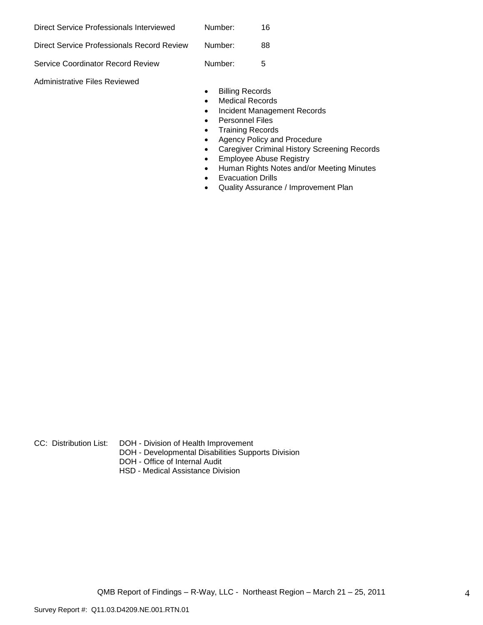| Direct Service Professionals Interviewed   | Number: | 16 |
|--------------------------------------------|---------|----|
| Direct Service Professionals Record Review | Number: | 88 |
| Service Coordinator Record Review          | Number: | 5  |

Administrative Files Reviewed

- **•** Billing Records
- Medical Records
- Incident Management Records
- Personnel Files
- Training Records
- Agency Policy and Procedure
- Caregiver Criminal History Screening Records
- **•** Employee Abuse Registry
- Human Rights Notes and/or Meeting Minutes
- **•** Evacuation Drills
- Quality Assurance / Improvement Plan

CC: Distribution List: DOH - Division of Health Improvement

- DOH Developmental Disabilities Supports Division
- DOH Office of Internal Audit
- HSD Medical Assistance Division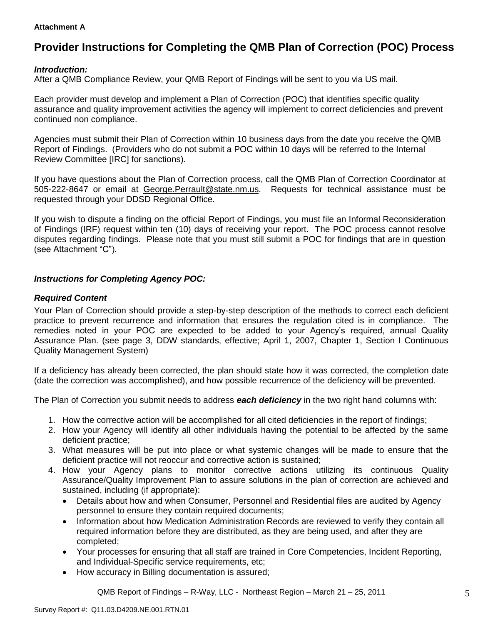#### **Attachment A**

# **Provider Instructions for Completing the QMB Plan of Correction (POC) Process**

## *Introduction:*

After a QMB Compliance Review, your QMB Report of Findings will be sent to you via US mail.

Each provider must develop and implement a Plan of Correction (POC) that identifies specific quality assurance and quality improvement activities the agency will implement to correct deficiencies and prevent continued non compliance.

Agencies must submit their Plan of Correction within 10 business days from the date you receive the QMB Report of Findings. (Providers who do not submit a POC within 10 days will be referred to the Internal Review Committee [IRC] for sanctions).

If you have questions about the Plan of Correction process, call the QMB Plan of Correction Coordinator at 505-222-8647 or email at George.Perrault@state.nm.us. Requests for technical assistance must be requested through your DDSD Regional Office.

If you wish to dispute a finding on the official Report of Findings, you must file an Informal Reconsideration of Findings (IRF) request within ten (10) days of receiving your report. The POC process cannot resolve disputes regarding findings. Please note that you must still submit a POC for findings that are in question (see Attachment "C").

## *Instructions for Completing Agency POC:*

## *Required Content*

Your Plan of Correction should provide a step-by-step description of the methods to correct each deficient practice to prevent recurrence and information that ensures the regulation cited is in compliance. The remedies noted in your POC are expected to be added to your Agency"s required, annual Quality Assurance Plan. (see page 3, DDW standards, effective; April 1, 2007, Chapter 1, Section I Continuous Quality Management System)

If a deficiency has already been corrected, the plan should state how it was corrected, the completion date (date the correction was accomplished), and how possible recurrence of the deficiency will be prevented.

The Plan of Correction you submit needs to address *each deficiency* in the two right hand columns with:

- 1. How the corrective action will be accomplished for all cited deficiencies in the report of findings;
- 2. How your Agency will identify all other individuals having the potential to be affected by the same deficient practice;
- 3. What measures will be put into place or what systemic changes will be made to ensure that the deficient practice will not reoccur and corrective action is sustained;
- 4. How your Agency plans to monitor corrective actions utilizing its continuous Quality Assurance/Quality Improvement Plan to assure solutions in the plan of correction are achieved and sustained, including (if appropriate):
	- Details about how and when Consumer, Personnel and Residential files are audited by Agency personnel to ensure they contain required documents;
	- Information about how Medication Administration Records are reviewed to verify they contain all required information before they are distributed, as they are being used, and after they are completed;
	- Your processes for ensuring that all staff are trained in Core Competencies, Incident Reporting, and Individual-Specific service requirements, etc;
	- How accuracy in Billing documentation is assured;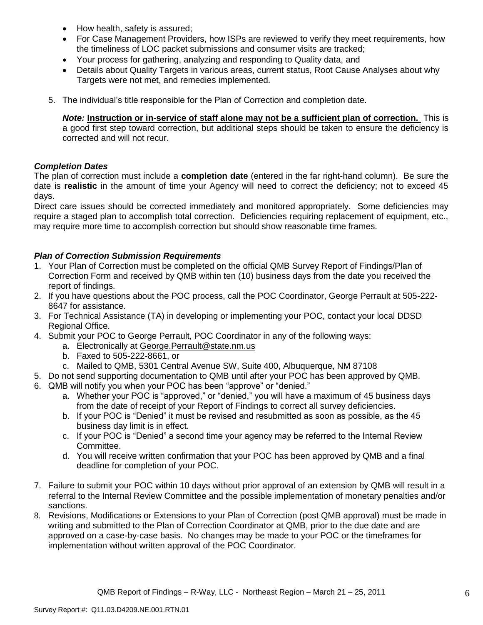- How health, safety is assured;
- For Case Management Providers, how ISPs are reviewed to verify they meet requirements, how the timeliness of LOC packet submissions and consumer visits are tracked;
- Your process for gathering, analyzing and responding to Quality data, and
- Details about Quality Targets in various areas, current status, Root Cause Analyses about why Targets were not met, and remedies implemented.
- 5. The individual"s title responsible for the Plan of Correction and completion date.

*Note:* **Instruction or in-service of staff alone may not be a sufficient plan of correction.** This is a good first step toward correction, but additional steps should be taken to ensure the deficiency is corrected and will not recur.

## *Completion Dates*

The plan of correction must include a **completion date** (entered in the far right-hand column). Be sure the date is **realistic** in the amount of time your Agency will need to correct the deficiency; not to exceed 45 days.

Direct care issues should be corrected immediately and monitored appropriately. Some deficiencies may require a staged plan to accomplish total correction. Deficiencies requiring replacement of equipment, etc., may require more time to accomplish correction but should show reasonable time frames.

## *Plan of Correction Submission Requirements*

- 1. Your Plan of Correction must be completed on the official QMB Survey Report of Findings/Plan of Correction Form and received by QMB within ten (10) business days from the date you received the report of findings.
- 2. If you have questions about the POC process, call the POC Coordinator, George Perrault at 505-222- 8647 for assistance.
- 3. For Technical Assistance (TA) in developing or implementing your POC, contact your local DDSD Regional Office.
- 4. Submit your POC to George Perrault, POC Coordinator in any of the following ways:
	- a. Electronically at [George.Perrault@state.nm.us](mailto:George.Perrault@state.nm.us)
	- b. Faxed to 505-222-8661, or
	- c. Mailed to QMB, 5301 Central Avenue SW, Suite 400, Albuquerque, NM 87108
- 5. Do not send supporting documentation to QMB until after your POC has been approved by QMB.
- 6. QMB will notify you when your POC has been "approve" or "denied."
	- a. Whether your POC is "approved," or "denied," you will have a maximum of 45 business days from the date of receipt of your Report of Findings to correct all survey deficiencies.
	- b. If your POC is "Denied" it must be revised and resubmitted as soon as possible, as the 45 business day limit is in effect.
	- c. If your POC is "Denied" a second time your agency may be referred to the Internal Review Committee.
	- d. You will receive written confirmation that your POC has been approved by QMB and a final deadline for completion of your POC.
- 7. Failure to submit your POC within 10 days without prior approval of an extension by QMB will result in a referral to the Internal Review Committee and the possible implementation of monetary penalties and/or sanctions.
- 8. Revisions, Modifications or Extensions to your Plan of Correction (post QMB approval) must be made in writing and submitted to the Plan of Correction Coordinator at QMB, prior to the due date and are approved on a case-by-case basis. No changes may be made to your POC or the timeframes for implementation without written approval of the POC Coordinator.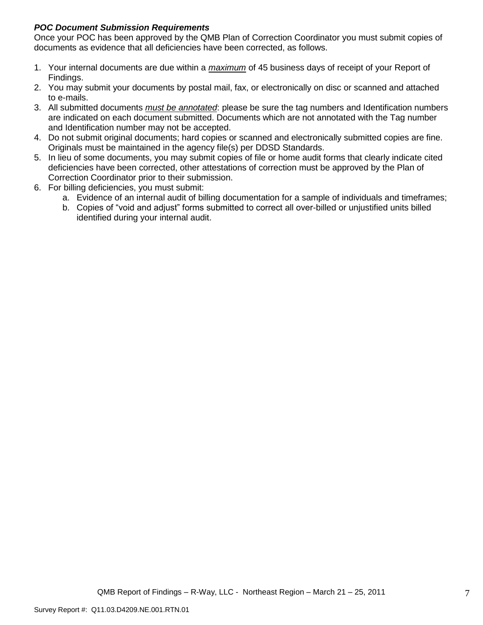## *POC Document Submission Requirements*

Once your POC has been approved by the QMB Plan of Correction Coordinator you must submit copies of documents as evidence that all deficiencies have been corrected, as follows.

- 1. Your internal documents are due within a *maximum* of 45 business days of receipt of your Report of Findings.
- 2. You may submit your documents by postal mail, fax, or electronically on disc or scanned and attached to e-mails.
- 3. All submitted documents *must be annotated*: please be sure the tag numbers and Identification numbers are indicated on each document submitted. Documents which are not annotated with the Tag number and Identification number may not be accepted.
- 4. Do not submit original documents; hard copies or scanned and electronically submitted copies are fine. Originals must be maintained in the agency file(s) per DDSD Standards.
- 5. In lieu of some documents, you may submit copies of file or home audit forms that clearly indicate cited deficiencies have been corrected, other attestations of correction must be approved by the Plan of Correction Coordinator prior to their submission.
- 6. For billing deficiencies, you must submit:
	- a. Evidence of an internal audit of billing documentation for a sample of individuals and timeframes;
	- b. Copies of "void and adjust" forms submitted to correct all over-billed or unjustified units billed identified during your internal audit.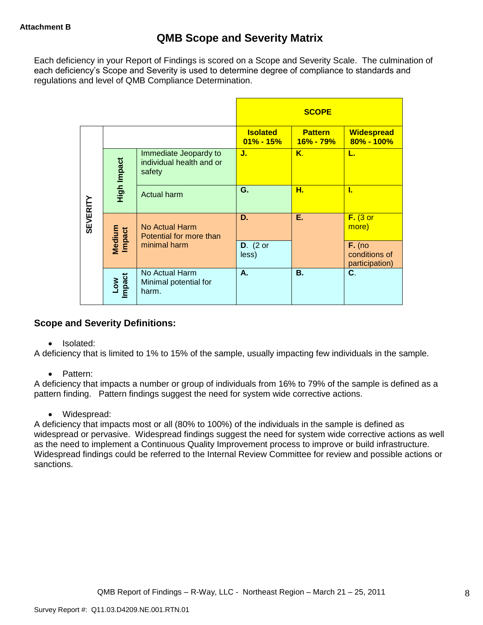Each deficiency in your Report of Findings is scored on a Scope and Severity Scale. The culmination of each deficiency"s Scope and Severity is used to determine degree of compliance to standards and regulations and level of QMB Compliance Determination.

|                 |                      |                                                             |                                  | <b>SCOPE</b>                |                                             |
|-----------------|----------------------|-------------------------------------------------------------|----------------------------------|-----------------------------|---------------------------------------------|
|                 |                      |                                                             | <b>Isolated</b><br>$01\% - 15\%$ | <b>Pattern</b><br>16% - 79% | <b>Widespread</b><br>80% - 100%             |
|                 | High Impact          | Immediate Jeopardy to<br>individual health and or<br>safety | J.                               | Κ.                          | L.                                          |
|                 |                      | <b>Actual harm</b>                                          | G.                               | н.                          | L                                           |
| <b>SEVERITY</b> | Medium<br>Impact     | No Actual Harm<br>Potential for more than                   | D.                               | Ε.                          | $F.$ (3 or<br>more)                         |
|                 |                      | minimal harm                                                | $D.$ (2 or<br>less)              |                             | $F.$ (no<br>conditions of<br>participation) |
|                 | <b>Impact</b><br>Low | No Actual Harm<br>Minimal potential for<br>harm.            | А.                               | <b>B.</b>                   | C.                                          |

## **Scope and Severity Definitions:**

• Isolated:

A deficiency that is limited to 1% to 15% of the sample, usually impacting few individuals in the sample.

• Pattern:

A deficiency that impacts a number or group of individuals from 16% to 79% of the sample is defined as a pattern finding. Pattern findings suggest the need for system wide corrective actions.

• Widespread:

A deficiency that impacts most or all (80% to 100%) of the individuals in the sample is defined as widespread or pervasive. Widespread findings suggest the need for system wide corrective actions as well as the need to implement a Continuous Quality Improvement process to improve or build infrastructure. Widespread findings could be referred to the Internal Review Committee for review and possible actions or sanctions.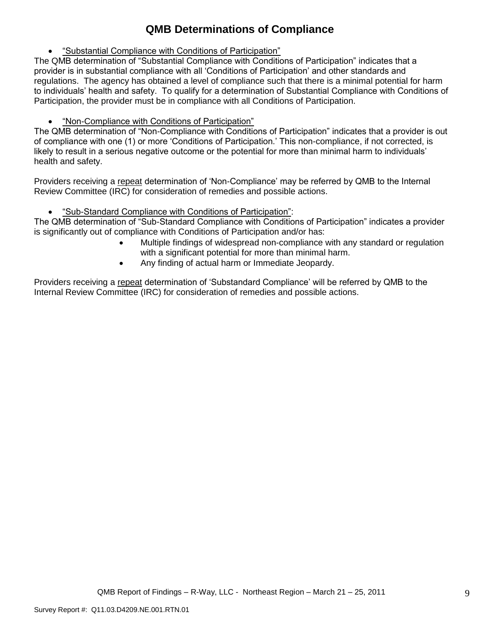# **QMB Determinations of Compliance**

"Substantial Compliance with Conditions of Participation"

The QMB determination of "Substantial Compliance with Conditions of Participation" indicates that a provider is in substantial compliance with all "Conditions of Participation" and other standards and regulations. The agency has obtained a level of compliance such that there is a minimal potential for harm to individuals" health and safety. To qualify for a determination of Substantial Compliance with Conditions of Participation, the provider must be in compliance with all Conditions of Participation.

"Non-Compliance with Conditions of Participation"

The QMB determination of "Non-Compliance with Conditions of Participation" indicates that a provider is out of compliance with one (1) or more "Conditions of Participation." This non-compliance, if not corrected, is likely to result in a serious negative outcome or the potential for more than minimal harm to individuals" health and safety.

Providers receiving a repeat determination of 'Non-Compliance' may be referred by QMB to the Internal Review Committee (IRC) for consideration of remedies and possible actions.

"Sub-Standard Compliance with Conditions of Participation":

The QMB determination of "Sub-Standard Compliance with Conditions of Participation" indicates a provider is significantly out of compliance with Conditions of Participation and/or has:

- Multiple findings of widespread non-compliance with any standard or regulation with a significant potential for more than minimal harm.
- Any finding of actual harm or Immediate Jeopardy.

Providers receiving a repeat determination of 'Substandard Compliance' will be referred by QMB to the Internal Review Committee (IRC) for consideration of remedies and possible actions.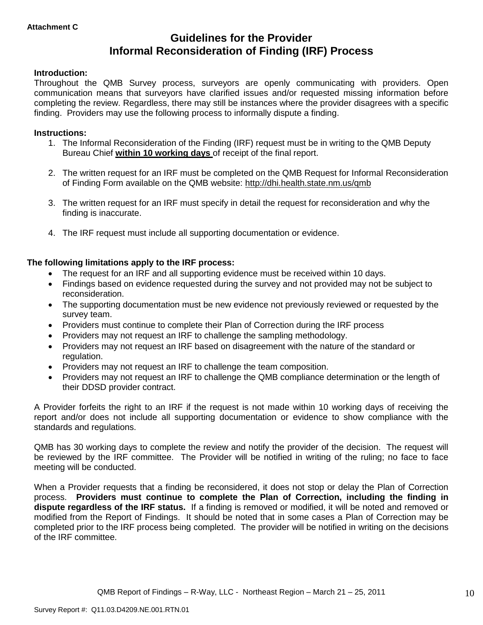# **Guidelines for the Provider Informal Reconsideration of Finding (IRF) Process**

## **Introduction:**

Throughout the QMB Survey process, surveyors are openly communicating with providers. Open communication means that surveyors have clarified issues and/or requested missing information before completing the review. Regardless, there may still be instances where the provider disagrees with a specific finding. Providers may use the following process to informally dispute a finding.

#### **Instructions:**

- 1. The Informal Reconsideration of the Finding (IRF) request must be in writing to the QMB Deputy Bureau Chief **within 10 working days** of receipt of the final report.
- 2. The written request for an IRF must be completed on the QMB Request for Informal Reconsideration of Finding Form available on the QMB website:<http://dhi.health.state.nm.us/qmb>
- 3. The written request for an IRF must specify in detail the request for reconsideration and why the finding is inaccurate.
- 4. The IRF request must include all supporting documentation or evidence.

## **The following limitations apply to the IRF process:**

- The request for an IRF and all supporting evidence must be received within 10 days.
- Findings based on evidence requested during the survey and not provided may not be subject to reconsideration.
- The supporting documentation must be new evidence not previously reviewed or requested by the survey team.
- Providers must continue to complete their Plan of Correction during the IRF process
- Providers may not request an IRF to challenge the sampling methodology.
- Providers may not request an IRF based on disagreement with the nature of the standard or regulation.
- Providers may not request an IRF to challenge the team composition.
- Providers may not request an IRF to challenge the QMB compliance determination or the length of their DDSD provider contract.

A Provider forfeits the right to an IRF if the request is not made within 10 working days of receiving the report and/or does not include all supporting documentation or evidence to show compliance with the standards and regulations.

QMB has 30 working days to complete the review and notify the provider of the decision. The request will be reviewed by the IRF committee. The Provider will be notified in writing of the ruling; no face to face meeting will be conducted.

When a Provider requests that a finding be reconsidered, it does not stop or delay the Plan of Correction process. **Providers must continue to complete the Plan of Correction, including the finding in dispute regardless of the IRF status.** If a finding is removed or modified, it will be noted and removed or modified from the Report of Findings. It should be noted that in some cases a Plan of Correction may be completed prior to the IRF process being completed. The provider will be notified in writing on the decisions of the IRF committee.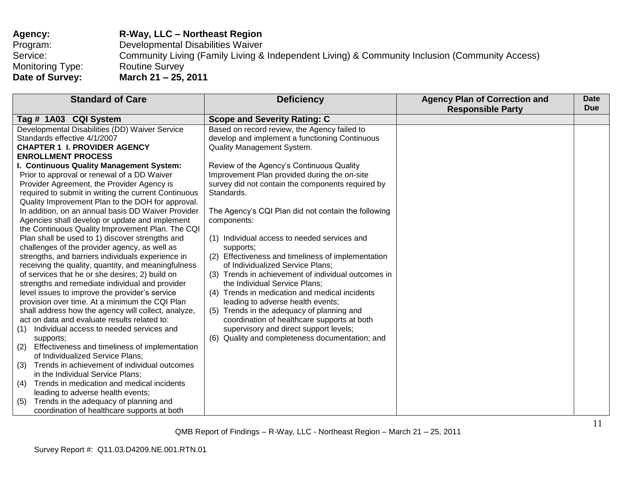| <b>Agency:</b>   | <b>R-Way, LLC – Northeast Region</b>                                                           |
|------------------|------------------------------------------------------------------------------------------------|
| Program:         | Developmental Disabilities Waiver                                                              |
| Service:         | Community Living (Family Living & Independent Living) & Community Inclusion (Community Access) |
| Monitoring Type: | <b>Routine Survey</b>                                                                          |
| Date of Survey:  | March 21 – 25, 2011                                                                            |

| <b>Standard of Care</b>                                                                                                                                                                                                                                                                                                                                                                                                                                                                                                                                                                                                                                                                                                                                                                                                                                                                                                                                                                                                                                                                               | <b>Deficiency</b>                                                                                                                                                                                                                                                                                                                                                                                                                                                                                                                                                                                                                                                                                                                                                                                     | <b>Agency Plan of Correction and</b><br><b>Responsible Party</b> | Date<br><b>Due</b> |
|-------------------------------------------------------------------------------------------------------------------------------------------------------------------------------------------------------------------------------------------------------------------------------------------------------------------------------------------------------------------------------------------------------------------------------------------------------------------------------------------------------------------------------------------------------------------------------------------------------------------------------------------------------------------------------------------------------------------------------------------------------------------------------------------------------------------------------------------------------------------------------------------------------------------------------------------------------------------------------------------------------------------------------------------------------------------------------------------------------|-------------------------------------------------------------------------------------------------------------------------------------------------------------------------------------------------------------------------------------------------------------------------------------------------------------------------------------------------------------------------------------------------------------------------------------------------------------------------------------------------------------------------------------------------------------------------------------------------------------------------------------------------------------------------------------------------------------------------------------------------------------------------------------------------------|------------------------------------------------------------------|--------------------|
| Tag # 1A03 CQI System                                                                                                                                                                                                                                                                                                                                                                                                                                                                                                                                                                                                                                                                                                                                                                                                                                                                                                                                                                                                                                                                                 | <b>Scope and Severity Rating: C</b>                                                                                                                                                                                                                                                                                                                                                                                                                                                                                                                                                                                                                                                                                                                                                                   |                                                                  |                    |
| Developmental Disabilities (DD) Waiver Service<br>Standards effective 4/1/2007<br><b>CHAPTER 1 I. PROVIDER AGENCY</b><br><b>ENROLLMENT PROCESS</b><br>I. Continuous Quality Management System:<br>Prior to approval or renewal of a DD Waiver<br>Provider Agreement, the Provider Agency is<br>required to submit in writing the current Continuous<br>Quality Improvement Plan to the DOH for approval.<br>In addition, on an annual basis DD Waiver Provider<br>Agencies shall develop or update and implement<br>the Continuous Quality Improvement Plan. The CQI<br>Plan shall be used to 1) discover strengths and<br>challenges of the provider agency, as well as<br>strengths, and barriers individuals experience in<br>receiving the quality, quantity, and meaningfulness<br>of services that he or she desires; 2) build on<br>strengths and remediate individual and provider<br>level issues to improve the provider's service<br>provision over time. At a minimum the CQI Plan<br>shall address how the agency will collect, analyze,<br>act on data and evaluate results related to: | Based on record review, the Agency failed to<br>develop and implement a functioning Continuous<br>Quality Management System.<br>Review of the Agency's Continuous Quality<br>Improvement Plan provided during the on-site<br>survey did not contain the components required by<br>Standards.<br>The Agency's CQI Plan did not contain the following<br>components:<br>(1) Individual access to needed services and<br>supports;<br>(2) Effectiveness and timeliness of implementation<br>of Individualized Service Plans;<br>(3) Trends in achievement of individual outcomes in<br>the Individual Service Plans;<br>(4) Trends in medication and medical incidents<br>leading to adverse health events;<br>(5) Trends in the adequacy of planning and<br>coordination of healthcare supports at both |                                                                  |                    |
| Individual access to needed services and<br>(1)<br>supports;                                                                                                                                                                                                                                                                                                                                                                                                                                                                                                                                                                                                                                                                                                                                                                                                                                                                                                                                                                                                                                          | supervisory and direct support levels;<br>(6) Quality and completeness documentation; and                                                                                                                                                                                                                                                                                                                                                                                                                                                                                                                                                                                                                                                                                                             |                                                                  |                    |
| Effectiveness and timeliness of implementation<br>(2)<br>of Individualized Service Plans;<br>Trends in achievement of individual outcomes<br>(3)<br>in the Individual Service Plans;<br>Trends in medication and medical incidents<br>(4)<br>leading to adverse health events;<br>Trends in the adequacy of planning and<br>(5)<br>coordination of healthcare supports at both                                                                                                                                                                                                                                                                                                                                                                                                                                                                                                                                                                                                                                                                                                                        |                                                                                                                                                                                                                                                                                                                                                                                                                                                                                                                                                                                                                                                                                                                                                                                                       |                                                                  |                    |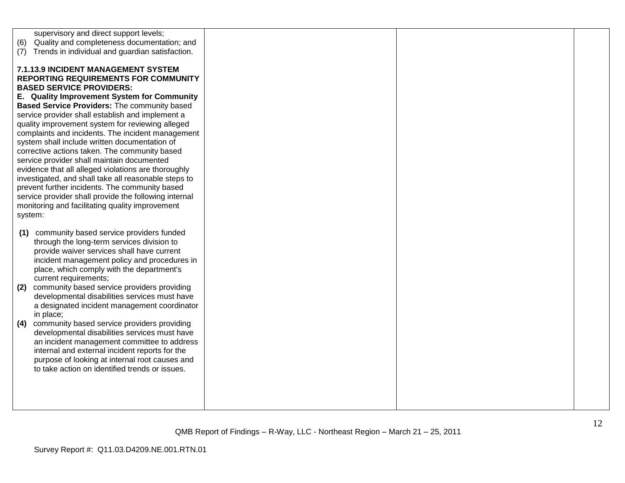| (6)<br>(7)        | supervisory and direct support levels;<br>Quality and completeness documentation; and<br>Trends in individual and guardian satisfaction.                                                                                                                                                                                                                                                                                                                                                                                                                                                                                                                                                                                                                                                                       |  |  |
|-------------------|----------------------------------------------------------------------------------------------------------------------------------------------------------------------------------------------------------------------------------------------------------------------------------------------------------------------------------------------------------------------------------------------------------------------------------------------------------------------------------------------------------------------------------------------------------------------------------------------------------------------------------------------------------------------------------------------------------------------------------------------------------------------------------------------------------------|--|--|
| system:           | 7.1.13.9 INCIDENT MANAGEMENT SYSTEM<br><b>REPORTING REQUIREMENTS FOR COMMUNITY</b><br><b>BASED SERVICE PROVIDERS:</b><br>E. Quality Improvement System for Community<br>Based Service Providers: The community based<br>service provider shall establish and implement a<br>quality improvement system for reviewing alleged<br>complaints and incidents. The incident management<br>system shall include written documentation of<br>corrective actions taken. The community based<br>service provider shall maintain documented<br>evidence that all alleged violations are thoroughly<br>investigated, and shall take all reasonable steps to<br>prevent further incidents. The community based<br>service provider shall provide the following internal<br>monitoring and facilitating quality improvement |  |  |
| (1)<br>(2)<br>(4) | community based service providers funded<br>through the long-term services division to<br>provide waiver services shall have current<br>incident management policy and procedures in<br>place, which comply with the department's<br>current requirements;<br>community based service providers providing<br>developmental disabilities services must have<br>a designated incident management coordinator<br>in place;<br>community based service providers providing<br>developmental disabilities services must have<br>an incident management committee to address<br>internal and external incident reports for the<br>purpose of looking at internal root causes and<br>to take action on identified trends or issues.                                                                                   |  |  |
|                   |                                                                                                                                                                                                                                                                                                                                                                                                                                                                                                                                                                                                                                                                                                                                                                                                                |  |  |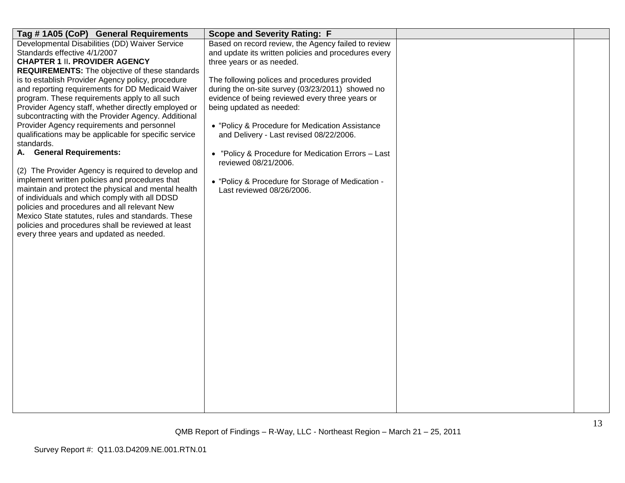| Tag #1A05 (CoP) General Requirements                                                                   | <b>Scope and Severity Rating: F</b>                                                               |  |
|--------------------------------------------------------------------------------------------------------|---------------------------------------------------------------------------------------------------|--|
| Developmental Disabilities (DD) Waiver Service                                                         | Based on record review, the Agency failed to review                                               |  |
| Standards effective 4/1/2007                                                                           | and update its written policies and procedures every                                              |  |
| <b>CHAPTER 1 II. PROVIDER AGENCY</b>                                                                   | three years or as needed.                                                                         |  |
| <b>REQUIREMENTS:</b> The objective of these standards                                                  |                                                                                                   |  |
| is to establish Provider Agency policy, procedure<br>and reporting requirements for DD Medicaid Waiver | The following polices and procedures provided<br>during the on-site survey (03/23/2011) showed no |  |
| program. These requirements apply to all such                                                          | evidence of being reviewed every three years or                                                   |  |
| Provider Agency staff, whether directly employed or                                                    | being updated as needed:                                                                          |  |
| subcontracting with the Provider Agency. Additional                                                    |                                                                                                   |  |
| Provider Agency requirements and personnel                                                             | • "Policy & Procedure for Medication Assistance                                                   |  |
| qualifications may be applicable for specific service                                                  | and Delivery - Last revised 08/22/2006.                                                           |  |
| standards.                                                                                             |                                                                                                   |  |
| A. General Requirements:                                                                               | • "Policy & Procedure for Medication Errors - Last                                                |  |
|                                                                                                        | reviewed 08/21/2006.                                                                              |  |
| (2) The Provider Agency is required to develop and                                                     |                                                                                                   |  |
| implement written policies and procedures that                                                         | • "Policy & Procedure for Storage of Medication -                                                 |  |
| maintain and protect the physical and mental health                                                    | Last reviewed 08/26/2006.                                                                         |  |
| of individuals and which comply with all DDSD<br>policies and procedures and all relevant New          |                                                                                                   |  |
| Mexico State statutes, rules and standards. These                                                      |                                                                                                   |  |
| policies and procedures shall be reviewed at least                                                     |                                                                                                   |  |
| every three years and updated as needed.                                                               |                                                                                                   |  |
|                                                                                                        |                                                                                                   |  |
|                                                                                                        |                                                                                                   |  |
|                                                                                                        |                                                                                                   |  |
|                                                                                                        |                                                                                                   |  |
|                                                                                                        |                                                                                                   |  |
|                                                                                                        |                                                                                                   |  |
|                                                                                                        |                                                                                                   |  |
|                                                                                                        |                                                                                                   |  |
|                                                                                                        |                                                                                                   |  |
|                                                                                                        |                                                                                                   |  |
|                                                                                                        |                                                                                                   |  |
|                                                                                                        |                                                                                                   |  |
|                                                                                                        |                                                                                                   |  |
|                                                                                                        |                                                                                                   |  |
|                                                                                                        |                                                                                                   |  |
|                                                                                                        |                                                                                                   |  |
|                                                                                                        |                                                                                                   |  |
|                                                                                                        |                                                                                                   |  |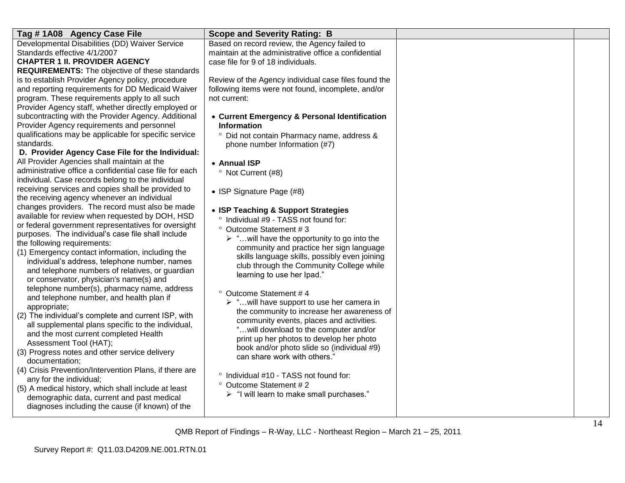| Tag #1A08 Agency Case File                              | <b>Scope and Severity Rating: B</b>                         |  |
|---------------------------------------------------------|-------------------------------------------------------------|--|
| Developmental Disabilities (DD) Waiver Service          | Based on record review, the Agency failed to                |  |
| Standards effective 4/1/2007                            | maintain at the administrative office a confidential        |  |
| <b>CHAPTER 1 II. PROVIDER AGENCY</b>                    | case file for 9 of 18 individuals.                          |  |
| <b>REQUIREMENTS:</b> The objective of these standards   |                                                             |  |
| is to establish Provider Agency policy, procedure       | Review of the Agency individual case files found the        |  |
| and reporting requirements for DD Medicaid Waiver       | following items were not found, incomplete, and/or          |  |
| program. These requirements apply to all such           | not current:                                                |  |
| Provider Agency staff, whether directly employed or     |                                                             |  |
| subcontracting with the Provider Agency. Additional     | • Current Emergency & Personal Identification               |  |
| Provider Agency requirements and personnel              | <b>Information</b>                                          |  |
| qualifications may be applicable for specific service   | Did not contain Pharmacy name, address &<br>$\circ$         |  |
| standards.                                              | phone number Information (#7)                               |  |
| D. Provider Agency Case File for the Individual:        |                                                             |  |
| All Provider Agencies shall maintain at the             | • Annual ISP                                                |  |
| administrative office a confidential case file for each | <sup>o</sup> Not Current (#8)                               |  |
| individual. Case records belong to the individual       |                                                             |  |
| receiving services and copies shall be provided to      | • ISP Signature Page (#8)                                   |  |
| the receiving agency whenever an individual             |                                                             |  |
| changes providers. The record must also be made         | • ISP Teaching & Support Strategies                         |  |
| available for review when requested by DOH, HSD         | Individual #9 - TASS not found for:<br>$\circ$              |  |
| or federal government representatives for oversight     | ° Outcome Statement #3                                      |  |
| purposes. The individual's case file shall include      | $\triangleright$ " will have the opportunity to go into the |  |
| the following requirements:                             | community and practice her sign language                    |  |
| (1) Emergency contact information, including the        | skills language skills, possibly even joining               |  |
| individual's address, telephone number, names           | club through the Community College while                    |  |
| and telephone numbers of relatives, or guardian         | learning to use her Ipad."                                  |  |
| or conservator, physician's name(s) and                 |                                                             |  |
| telephone number(s), pharmacy name, address             | ° Outcome Statement #4                                      |  |
| and telephone number, and health plan if                | > "will have support to use her camera in                   |  |
| appropriate;                                            | the community to increase her awareness of                  |  |
| (2) The individual's complete and current ISP, with     | community events, places and activities.                    |  |
| all supplemental plans specific to the individual,      | " will download to the computer and/or                      |  |
| and the most current completed Health                   | print up her photos to develop her photo                    |  |
| Assessment Tool (HAT);                                  | book and/or photo slide so (individual #9)                  |  |
| (3) Progress notes and other service delivery           | can share work with others."                                |  |
| documentation:                                          |                                                             |  |
| (4) Crisis Prevention/Intervention Plans, if there are  | ° Individual #10 - TASS not found for:                      |  |
| any for the individual;                                 | ° Outcome Statement #2                                      |  |
| (5) A medical history, which shall include at least     | > "I will learn to make small purchases."                   |  |
| demographic data, current and past medical              |                                                             |  |
| diagnoses including the cause (if known) of the         |                                                             |  |
|                                                         |                                                             |  |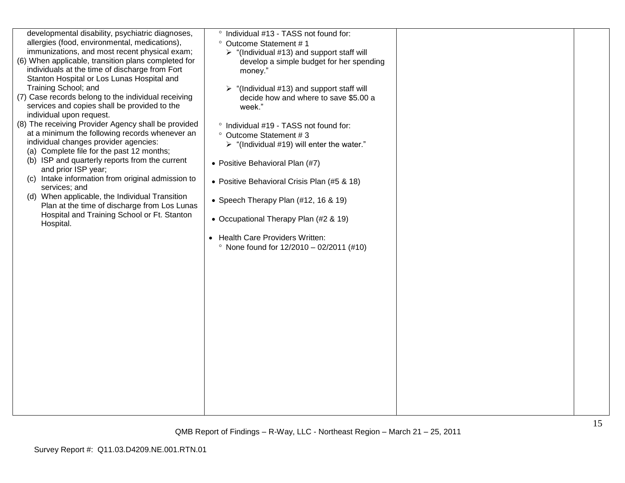| developmental disability, psychiatric diagnoses,<br>allergies (food, environmental, medications),<br>immunizations, and most recent physical exam;<br>(6) When applicable, transition plans completed for<br>individuals at the time of discharge from Fort<br>Stanton Hospital or Los Lunas Hospital and<br>Training School; and<br>(7) Case records belong to the individual receiving<br>services and copies shall be provided to the<br>individual upon request.<br>(8) The receiving Provider Agency shall be provided<br>at a minimum the following records whenever an<br>individual changes provider agencies:<br>(a) Complete file for the past 12 months;<br>(b) ISP and quarterly reports from the current<br>and prior ISP year;<br>(c) Intake information from original admission to<br>services; and<br>(d) When applicable, the Individual Transition<br>Plan at the time of discharge from Los Lunas<br>Hospital and Training School or Ft. Stanton<br>Hospital. | ° Individual #13 - TASS not found for:<br>° Outcome Statement #1<br>$\triangleright$ "(Individual #13) and support staff will<br>develop a simple budget for her spending<br>money."<br>"(Individual #13) and support staff will<br>decide how and where to save \$5.00 a<br>week."<br>° Individual #19 - TASS not found for:<br>° Outcome Statement # 3<br>$\triangleright$ "(Individual #19) will enter the water."<br>• Positive Behavioral Plan (#7)<br>• Positive Behavioral Crisis Plan (#5 & 18)<br>• Speech Therapy Plan (#12, 16 & 19)<br>• Occupational Therapy Plan (#2 & 19)<br>• Health Care Providers Written:<br>• None found for $12/2010 - 02/2011$ (#10) |  |
|----------------------------------------------------------------------------------------------------------------------------------------------------------------------------------------------------------------------------------------------------------------------------------------------------------------------------------------------------------------------------------------------------------------------------------------------------------------------------------------------------------------------------------------------------------------------------------------------------------------------------------------------------------------------------------------------------------------------------------------------------------------------------------------------------------------------------------------------------------------------------------------------------------------------------------------------------------------------------------|----------------------------------------------------------------------------------------------------------------------------------------------------------------------------------------------------------------------------------------------------------------------------------------------------------------------------------------------------------------------------------------------------------------------------------------------------------------------------------------------------------------------------------------------------------------------------------------------------------------------------------------------------------------------------|--|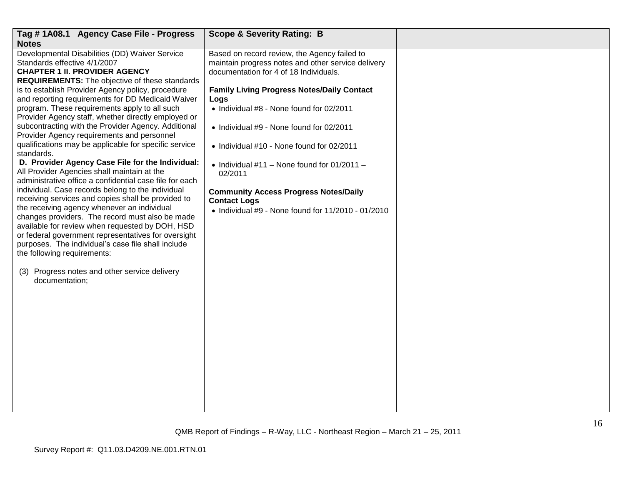| Tag #1A08.1 Agency Case File - Progress<br><b>Notes</b>                                                                                                                                                                                                                                                                                                                                                                                                                                                                                                                                                                                                                                                                                                                                                                                                                                                                                                                                                                                                                                                                                                                                                                    | <b>Scope &amp; Severity Rating: B</b>                                                                                                                                                                                                                                                                                                                                                                                                                                                                                                           |  |
|----------------------------------------------------------------------------------------------------------------------------------------------------------------------------------------------------------------------------------------------------------------------------------------------------------------------------------------------------------------------------------------------------------------------------------------------------------------------------------------------------------------------------------------------------------------------------------------------------------------------------------------------------------------------------------------------------------------------------------------------------------------------------------------------------------------------------------------------------------------------------------------------------------------------------------------------------------------------------------------------------------------------------------------------------------------------------------------------------------------------------------------------------------------------------------------------------------------------------|-------------------------------------------------------------------------------------------------------------------------------------------------------------------------------------------------------------------------------------------------------------------------------------------------------------------------------------------------------------------------------------------------------------------------------------------------------------------------------------------------------------------------------------------------|--|
| Developmental Disabilities (DD) Waiver Service<br>Standards effective 4/1/2007<br><b>CHAPTER 1 II. PROVIDER AGENCY</b><br><b>REQUIREMENTS:</b> The objective of these standards<br>is to establish Provider Agency policy, procedure<br>and reporting requirements for DD Medicaid Waiver<br>program. These requirements apply to all such<br>Provider Agency staff, whether directly employed or<br>subcontracting with the Provider Agency. Additional<br>Provider Agency requirements and personnel<br>qualifications may be applicable for specific service<br>standards.<br>D. Provider Agency Case File for the Individual:<br>All Provider Agencies shall maintain at the<br>administrative office a confidential case file for each<br>individual. Case records belong to the individual<br>receiving services and copies shall be provided to<br>the receiving agency whenever an individual<br>changes providers. The record must also be made<br>available for review when requested by DOH, HSD<br>or federal government representatives for oversight<br>purposes. The individual's case file shall include<br>the following requirements:<br>(3) Progress notes and other service delivery<br>documentation; | Based on record review, the Agency failed to<br>maintain progress notes and other service delivery<br>documentation for 4 of 18 Individuals.<br><b>Family Living Progress Notes/Daily Contact</b><br>Logs<br>• Individual #8 - None found for 02/2011<br>• Individual #9 - None found for 02/2011<br>• Individual #10 - None found for 02/2011<br>• Individual $#11$ – None found for 01/2011 –<br>02/2011<br><b>Community Access Progress Notes/Daily</b><br><b>Contact Logs</b><br>$\bullet$ Individual #9 - None found for 11/2010 - 01/2010 |  |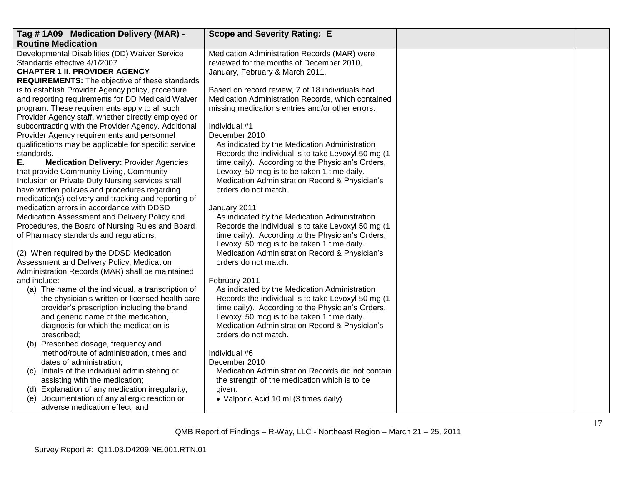| Tag #1A09 Medication Delivery (MAR) -                                                        | <b>Scope and Severity Rating: E</b>                                                           |  |
|----------------------------------------------------------------------------------------------|-----------------------------------------------------------------------------------------------|--|
| <b>Routine Medication</b>                                                                    |                                                                                               |  |
| Developmental Disabilities (DD) Waiver Service                                               | Medication Administration Records (MAR) were                                                  |  |
| Standards effective 4/1/2007                                                                 | reviewed for the months of December 2010,                                                     |  |
| <b>CHAPTER 1 II. PROVIDER AGENCY</b>                                                         | January, February & March 2011.                                                               |  |
| <b>REQUIREMENTS:</b> The objective of these standards                                        |                                                                                               |  |
| is to establish Provider Agency policy, procedure                                            | Based on record review, 7 of 18 individuals had                                               |  |
| and reporting requirements for DD Medicaid Waiver                                            | Medication Administration Records, which contained                                            |  |
| program. These requirements apply to all such                                                | missing medications entries and/or other errors:                                              |  |
| Provider Agency staff, whether directly employed or                                          |                                                                                               |  |
| subcontracting with the Provider Agency. Additional                                          | Individual #1                                                                                 |  |
| Provider Agency requirements and personnel                                                   | December 2010                                                                                 |  |
| qualifications may be applicable for specific service                                        | As indicated by the Medication Administration                                                 |  |
| standards.                                                                                   | Records the individual is to take Levoxyl 50 mg (1                                            |  |
| Е.<br><b>Medication Delivery: Provider Agencies</b>                                          | time daily). According to the Physician's Orders,                                             |  |
| that provide Community Living, Community<br>Inclusion or Private Duty Nursing services shall | Levoxyl 50 mcg is to be taken 1 time daily.<br>Medication Administration Record & Physician's |  |
| have written policies and procedures regarding                                               | orders do not match.                                                                          |  |
| medication(s) delivery and tracking and reporting of                                         |                                                                                               |  |
| medication errors in accordance with DDSD                                                    | January 2011                                                                                  |  |
| Medication Assessment and Delivery Policy and                                                | As indicated by the Medication Administration                                                 |  |
| Procedures, the Board of Nursing Rules and Board                                             | Records the individual is to take Levoxyl 50 mg (1)                                           |  |
| of Pharmacy standards and regulations.                                                       | time daily). According to the Physician's Orders,                                             |  |
|                                                                                              | Levoxyl 50 mcg is to be taken 1 time daily.                                                   |  |
| (2) When required by the DDSD Medication                                                     | Medication Administration Record & Physician's                                                |  |
| Assessment and Delivery Policy, Medication                                                   | orders do not match.                                                                          |  |
| Administration Records (MAR) shall be maintained                                             |                                                                                               |  |
| and include:                                                                                 | February 2011                                                                                 |  |
| (a) The name of the individual, a transcription of                                           | As indicated by the Medication Administration                                                 |  |
| the physician's written or licensed health care                                              | Records the individual is to take Levoxyl 50 mg (1                                            |  |
| provider's prescription including the brand                                                  | time daily). According to the Physician's Orders,                                             |  |
| and generic name of the medication,                                                          | Levoxyl 50 mcg is to be taken 1 time daily.                                                   |  |
| diagnosis for which the medication is                                                        | Medication Administration Record & Physician's                                                |  |
| prescribed;                                                                                  | orders do not match.                                                                          |  |
| (b) Prescribed dosage, frequency and                                                         |                                                                                               |  |
| method/route of administration, times and                                                    | Individual #6                                                                                 |  |
| dates of administration;                                                                     | December 2010                                                                                 |  |
| (c) Initials of the individual administering or                                              | Medication Administration Records did not contain                                             |  |
| assisting with the medication;<br>(d) Explanation of any medication irregularity;            | the strength of the medication which is to be                                                 |  |
| Documentation of any allergic reaction or<br>(e)                                             | given:                                                                                        |  |
| adverse medication effect; and                                                               | • Valporic Acid 10 ml (3 times daily)                                                         |  |
|                                                                                              |                                                                                               |  |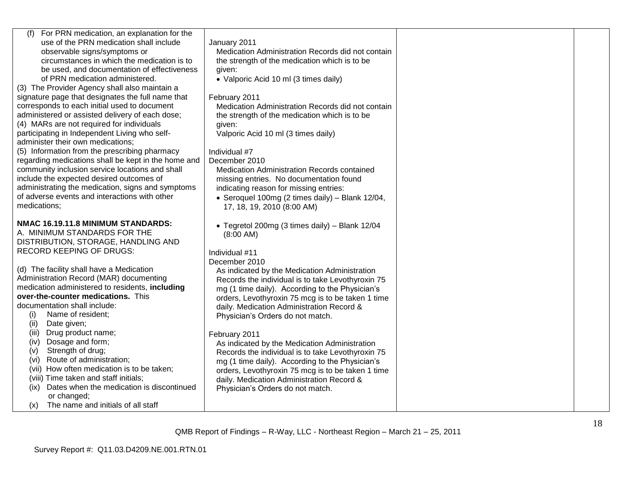| (f)<br>For PRN medication, an explanation for the<br>use of the PRN medication shall include<br>observable signs/symptoms or<br>circumstances in which the medication is to<br>be used, and documentation of effectiveness<br>of PRN medication administered.<br>(3) The Provider Agency shall also maintain a<br>signature page that designates the full name that<br>corresponds to each initial used to document<br>administered or assisted delivery of each dose;<br>(4) MARs are not required for individuals<br>participating in Independent Living who self-<br>administer their own medications; | January 2011<br>Medication Administration Records did not contain<br>the strength of the medication which is to be<br>given:<br>• Valporic Acid 10 ml (3 times daily)<br>February 2011<br>Medication Administration Records did not contain<br>the strength of the medication which is to be<br>given:<br>Valporic Acid 10 ml (3 times daily) |  |
|-----------------------------------------------------------------------------------------------------------------------------------------------------------------------------------------------------------------------------------------------------------------------------------------------------------------------------------------------------------------------------------------------------------------------------------------------------------------------------------------------------------------------------------------------------------------------------------------------------------|-----------------------------------------------------------------------------------------------------------------------------------------------------------------------------------------------------------------------------------------------------------------------------------------------------------------------------------------------|--|
| (5) Information from the prescribing pharmacy<br>regarding medications shall be kept in the home and<br>community inclusion service locations and shall<br>include the expected desired outcomes of<br>administrating the medication, signs and symptoms<br>of adverse events and interactions with other<br>medications;                                                                                                                                                                                                                                                                                 | Individual #7<br>December 2010<br>Medication Administration Records contained<br>missing entries. No documentation found<br>indicating reason for missing entries:<br>• Seroquel 100mg (2 times daily) - Blank 12/04,<br>17, 18, 19, 2010 (8:00 AM)                                                                                           |  |
| NMAC 16.19.11.8 MINIMUM STANDARDS:<br>A. MINIMUM STANDARDS FOR THE<br>DISTRIBUTION, STORAGE, HANDLING AND<br><b>RECORD KEEPING OF DRUGS:</b>                                                                                                                                                                                                                                                                                                                                                                                                                                                              | • Tegretol 200mg (3 times daily) - Blank 12/04<br>$(8:00 \text{ AM})$<br>Individual #11                                                                                                                                                                                                                                                       |  |
| (d) The facility shall have a Medication<br>Administration Record (MAR) documenting<br>medication administered to residents, including<br>over-the-counter medications. This<br>documentation shall include:<br>Name of resident;<br>(i)<br>(ii)<br>Date given;                                                                                                                                                                                                                                                                                                                                           | December 2010<br>As indicated by the Medication Administration<br>Records the individual is to take Levothyroxin 75<br>mg (1 time daily). According to the Physician's<br>orders, Levothyroxin 75 mcg is to be taken 1 time<br>daily. Medication Administration Record &<br>Physician's Orders do not match.                                  |  |
| (iii)<br>Drug product name;<br>Dosage and form;<br>(iv)<br>Strength of drug;<br>(v)<br>Route of administration;<br>(vi)<br>(vii) How often medication is to be taken;<br>(viii) Time taken and staff initials;<br>(ix) Dates when the medication is discontinued<br>or changed;<br>The name and initials of all staff<br>(x)                                                                                                                                                                                                                                                                              | February 2011<br>As indicated by the Medication Administration<br>Records the individual is to take Levothyroxin 75<br>mg (1 time daily). According to the Physician's<br>orders, Levothyroxin 75 mcg is to be taken 1 time<br>daily. Medication Administration Record &<br>Physician's Orders do not match.                                  |  |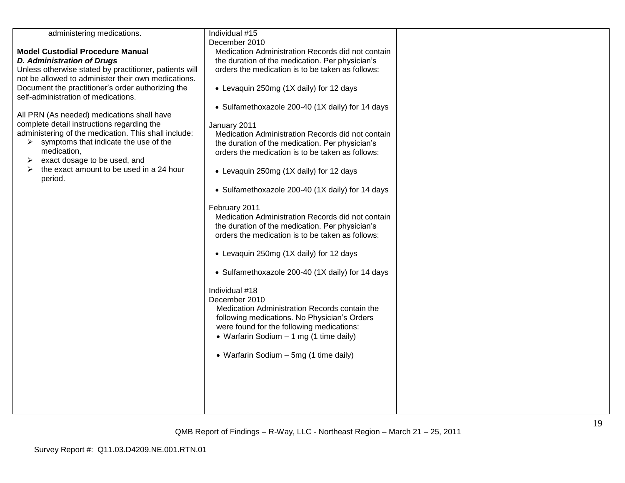| administering medications.                             | Individual #15                                    |  |
|--------------------------------------------------------|---------------------------------------------------|--|
|                                                        | December 2010                                     |  |
| <b>Model Custodial Procedure Manual</b>                | Medication Administration Records did not contain |  |
| <b>D. Administration of Drugs</b>                      | the duration of the medication. Per physician's   |  |
| Unless otherwise stated by practitioner, patients will | orders the medication is to be taken as follows:  |  |
| not be allowed to administer their own medications.    |                                                   |  |
| Document the practitioner's order authorizing the      | • Levaquin 250mg (1X daily) for 12 days           |  |
| self-administration of medications.                    |                                                   |  |
|                                                        | • Sulfamethoxazole 200-40 (1X daily) for 14 days  |  |
| All PRN (As needed) medications shall have             |                                                   |  |
| complete detail instructions regarding the             |                                                   |  |
| administering of the medication. This shall include:   | January 2011                                      |  |
|                                                        | Medication Administration Records did not contain |  |
| symptoms that indicate the use of the<br>➤             | the duration of the medication. Per physician's   |  |
| medication,                                            | orders the medication is to be taken as follows:  |  |
| exact dosage to be used, and<br>➤                      |                                                   |  |
| the exact amount to be used in a 24 hour<br>➤          | • Levaquin 250mg (1X daily) for 12 days           |  |
| period.                                                |                                                   |  |
|                                                        | • Sulfamethoxazole 200-40 (1X daily) for 14 days  |  |
|                                                        |                                                   |  |
|                                                        | February 2011                                     |  |
|                                                        | Medication Administration Records did not contain |  |
|                                                        | the duration of the medication. Per physician's   |  |
|                                                        | orders the medication is to be taken as follows:  |  |
|                                                        |                                                   |  |
|                                                        | • Levaquin 250mg (1X daily) for 12 days           |  |
|                                                        |                                                   |  |
|                                                        | • Sulfamethoxazole 200-40 (1X daily) for 14 days  |  |
|                                                        |                                                   |  |
|                                                        | Individual #18                                    |  |
|                                                        | December 2010                                     |  |
|                                                        |                                                   |  |
|                                                        | Medication Administration Records contain the     |  |
|                                                        | following medications. No Physician's Orders      |  |
|                                                        | were found for the following medications:         |  |
|                                                        | • Warfarin Sodium $-1$ mg (1 time daily)          |  |
|                                                        |                                                   |  |
|                                                        | • Warfarin Sodium - 5mg (1 time daily)            |  |
|                                                        |                                                   |  |
|                                                        |                                                   |  |
|                                                        |                                                   |  |
|                                                        |                                                   |  |
|                                                        |                                                   |  |
|                                                        |                                                   |  |
|                                                        |                                                   |  |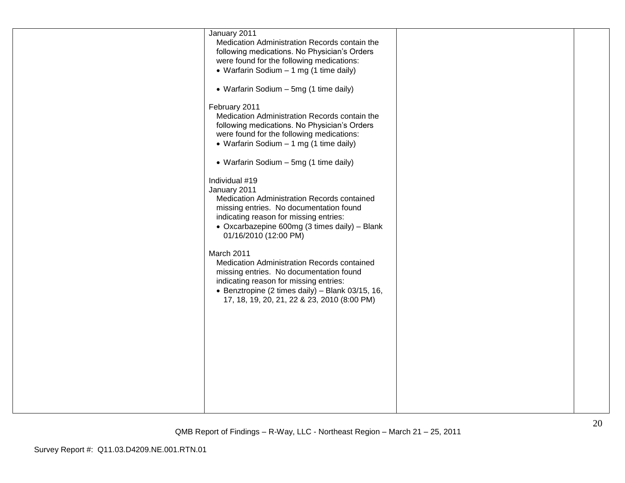| January 2011<br>February 2011<br>Individual #19<br>January 2011<br>March 2011 | Medication Administration Records contain the<br>following medications. No Physician's Orders<br>were found for the following medications:<br>• Warfarin Sodium - 1 mg (1 time daily)<br>• Warfarin Sodium - 5mg (1 time daily)<br>Medication Administration Records contain the<br>following medications. No Physician's Orders<br>were found for the following medications:<br>• Warfarin Sodium - 1 mg (1 time daily)<br>• Warfarin Sodium - 5mg (1 time daily)<br>Medication Administration Records contained<br>missing entries. No documentation found<br>indicating reason for missing entries:<br>• Oxcarbazepine 600mg (3 times daily) - Blank<br>01/16/2010 (12:00 PM)<br>Medication Administration Records contained<br>missing entries. No documentation found<br>indicating reason for missing entries:<br>• Benztropine (2 times daily) - Blank 03/15, 16,<br>17, 18, 19, 20, 21, 22 & 23, 2010 (8:00 PM) |  |  |
|-------------------------------------------------------------------------------|-------------------------------------------------------------------------------------------------------------------------------------------------------------------------------------------------------------------------------------------------------------------------------------------------------------------------------------------------------------------------------------------------------------------------------------------------------------------------------------------------------------------------------------------------------------------------------------------------------------------------------------------------------------------------------------------------------------------------------------------------------------------------------------------------------------------------------------------------------------------------------------------------------------------------|--|--|
|-------------------------------------------------------------------------------|-------------------------------------------------------------------------------------------------------------------------------------------------------------------------------------------------------------------------------------------------------------------------------------------------------------------------------------------------------------------------------------------------------------------------------------------------------------------------------------------------------------------------------------------------------------------------------------------------------------------------------------------------------------------------------------------------------------------------------------------------------------------------------------------------------------------------------------------------------------------------------------------------------------------------|--|--|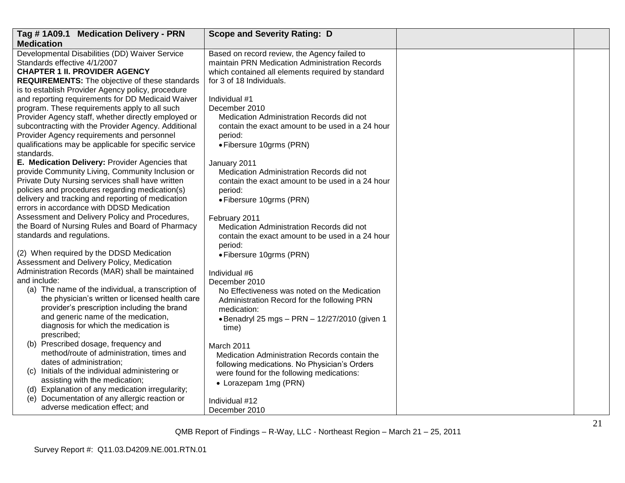| Tag #1A09.1 Medication Delivery - PRN                                                                      | <b>Scope and Severity Rating: D</b>                                                         |  |
|------------------------------------------------------------------------------------------------------------|---------------------------------------------------------------------------------------------|--|
| <b>Medication</b>                                                                                          |                                                                                             |  |
| Developmental Disabilities (DD) Waiver Service                                                             | Based on record review, the Agency failed to                                                |  |
| Standards effective 4/1/2007                                                                               | maintain PRN Medication Administration Records                                              |  |
| <b>CHAPTER 1 II. PROVIDER AGENCY</b>                                                                       | which contained all elements required by standard                                           |  |
| <b>REQUIREMENTS:</b> The objective of these standards<br>is to establish Provider Agency policy, procedure | for 3 of 18 Individuals.                                                                    |  |
| and reporting requirements for DD Medicaid Waiver                                                          | Individual #1                                                                               |  |
| program. These requirements apply to all such                                                              | December 2010                                                                               |  |
| Provider Agency staff, whether directly employed or                                                        | Medication Administration Records did not                                                   |  |
| subcontracting with the Provider Agency. Additional                                                        | contain the exact amount to be used in a 24 hour                                            |  |
| Provider Agency requirements and personnel                                                                 | period:                                                                                     |  |
| qualifications may be applicable for specific service                                                      | · Fibersure 10grms (PRN)                                                                    |  |
| standards.                                                                                                 |                                                                                             |  |
| E. Medication Delivery: Provider Agencies that                                                             | January 2011                                                                                |  |
| provide Community Living, Community Inclusion or                                                           | Medication Administration Records did not                                                   |  |
| Private Duty Nursing services shall have written                                                           | contain the exact amount to be used in a 24 hour                                            |  |
| policies and procedures regarding medication(s)<br>delivery and tracking and reporting of medication       | period:                                                                                     |  |
| errors in accordance with DDSD Medication                                                                  | · Fibersure 10grms (PRN)                                                                    |  |
| Assessment and Delivery Policy and Procedures,                                                             | February 2011                                                                               |  |
| the Board of Nursing Rules and Board of Pharmacy                                                           | Medication Administration Records did not                                                   |  |
| standards and regulations.                                                                                 | contain the exact amount to be used in a 24 hour                                            |  |
|                                                                                                            | period:                                                                                     |  |
| (2) When required by the DDSD Medication                                                                   | • Fibersure 10grms (PRN)                                                                    |  |
| Assessment and Delivery Policy, Medication                                                                 |                                                                                             |  |
| Administration Records (MAR) shall be maintained<br>and include:                                           | Individual #6                                                                               |  |
| (a) The name of the individual, a transcription of                                                         | December 2010                                                                               |  |
| the physician's written or licensed health care                                                            | No Effectiveness was noted on the Medication<br>Administration Record for the following PRN |  |
| provider's prescription including the brand                                                                | medication:                                                                                 |  |
| and generic name of the medication,                                                                        | • Benadryl 25 mgs - PRN - 12/27/2010 (given 1                                               |  |
| diagnosis for which the medication is                                                                      | time)                                                                                       |  |
| prescribed;                                                                                                |                                                                                             |  |
| (b) Prescribed dosage, frequency and                                                                       | March 2011                                                                                  |  |
| method/route of administration, times and                                                                  | Medication Administration Records contain the                                               |  |
| dates of administration;<br>(c) Initials of the individual administering or                                | following medications. No Physician's Orders                                                |  |
| assisting with the medication;                                                                             | were found for the following medications:                                                   |  |
| (d) Explanation of any medication irregularity;                                                            | • Lorazepam 1mg (PRN)                                                                       |  |
| (e) Documentation of any allergic reaction or                                                              | Individual #12                                                                              |  |
| adverse medication effect; and                                                                             | December 2010                                                                               |  |
|                                                                                                            |                                                                                             |  |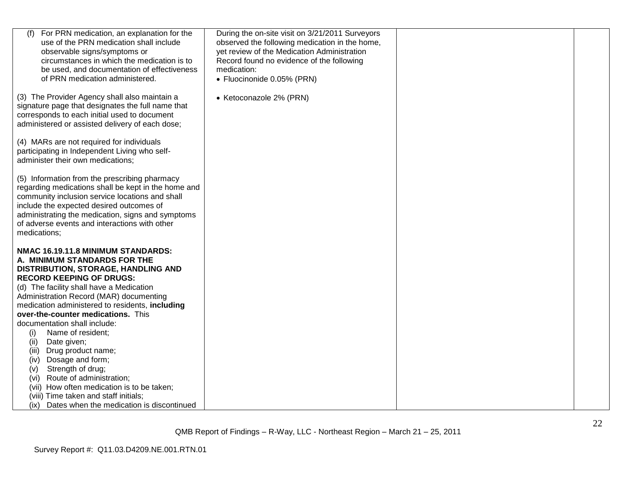| For PRN medication, an explanation for the<br>use of the PRN medication shall include<br>observable signs/symptoms or<br>circumstances in which the medication is to<br>be used, and documentation of effectiveness<br>of PRN medication administered.                                                                                                                                                                                                                                                                                                                                                                                                                                 | During the on-site visit on 3/21/2011 Surveyors<br>observed the following medication in the home,<br>yet review of the Medication Administration<br>Record found no evidence of the following<br>medication:<br>• Fluocinonide 0.05% (PRN) |  |
|----------------------------------------------------------------------------------------------------------------------------------------------------------------------------------------------------------------------------------------------------------------------------------------------------------------------------------------------------------------------------------------------------------------------------------------------------------------------------------------------------------------------------------------------------------------------------------------------------------------------------------------------------------------------------------------|--------------------------------------------------------------------------------------------------------------------------------------------------------------------------------------------------------------------------------------------|--|
| (3) The Provider Agency shall also maintain a<br>signature page that designates the full name that<br>corresponds to each initial used to document<br>administered or assisted delivery of each dose;                                                                                                                                                                                                                                                                                                                                                                                                                                                                                  | • Ketoconazole 2% (PRN)                                                                                                                                                                                                                    |  |
| (4) MARs are not required for individuals<br>participating in Independent Living who self-<br>administer their own medications;                                                                                                                                                                                                                                                                                                                                                                                                                                                                                                                                                        |                                                                                                                                                                                                                                            |  |
| (5) Information from the prescribing pharmacy<br>regarding medications shall be kept in the home and<br>community inclusion service locations and shall<br>include the expected desired outcomes of<br>administrating the medication, signs and symptoms<br>of adverse events and interactions with other<br>medications;                                                                                                                                                                                                                                                                                                                                                              |                                                                                                                                                                                                                                            |  |
| NMAC 16.19.11.8 MINIMUM STANDARDS:<br>A. MINIMUM STANDARDS FOR THE<br>DISTRIBUTION, STORAGE, HANDLING AND<br><b>RECORD KEEPING OF DRUGS:</b><br>(d) The facility shall have a Medication<br>Administration Record (MAR) documenting<br>medication administered to residents, including<br>over-the-counter medications. This<br>documentation shall include:<br>Name of resident;<br>(i)<br>(ii)<br>Date given;<br>Drug product name;<br>(iii)<br>Dosage and form;<br>(iv)<br>Strength of drug;<br>(v)<br>Route of administration;<br>(vi)<br>(vii) How often medication is to be taken;<br>(viii) Time taken and staff initials;<br>Dates when the medication is discontinued<br>(ix) |                                                                                                                                                                                                                                            |  |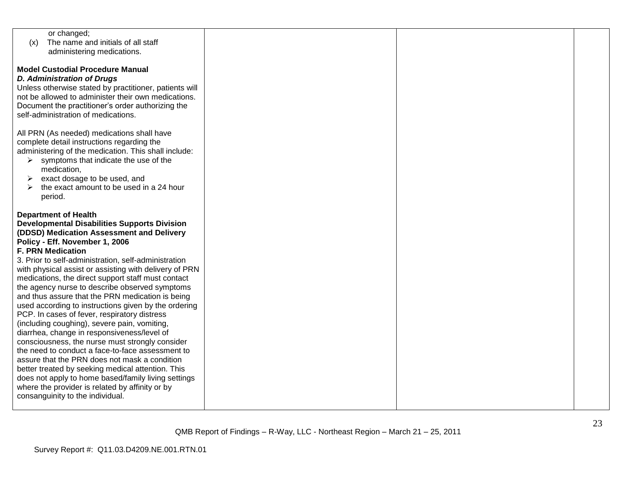|                  | or changed;                                            |  |  |
|------------------|--------------------------------------------------------|--|--|
| (x)              | The name and initials of all staff                     |  |  |
|                  | administering medications.                             |  |  |
|                  |                                                        |  |  |
|                  | <b>Model Custodial Procedure Manual</b>                |  |  |
|                  | <b>D. Administration of Drugs</b>                      |  |  |
|                  | Unless otherwise stated by practitioner, patients will |  |  |
|                  | not be allowed to administer their own medications.    |  |  |
|                  | Document the practitioner's order authorizing the      |  |  |
|                  | self-administration of medications.                    |  |  |
|                  |                                                        |  |  |
|                  | All PRN (As needed) medications shall have             |  |  |
|                  | complete detail instructions regarding the             |  |  |
|                  | administering of the medication. This shall include:   |  |  |
| ➤                | symptoms that indicate the use of the                  |  |  |
|                  | medication,                                            |  |  |
| ➤                | exact dosage to be used, and                           |  |  |
| $\triangleright$ | the exact amount to be used in a 24 hour               |  |  |
|                  | period.                                                |  |  |
|                  |                                                        |  |  |
|                  | <b>Department of Health</b>                            |  |  |
|                  | <b>Developmental Disabilities Supports Division</b>    |  |  |
|                  | (DDSD) Medication Assessment and Delivery              |  |  |
|                  | Policy - Eff. November 1, 2006                         |  |  |
|                  | <b>F. PRN Medication</b>                               |  |  |
|                  | 3. Prior to self-administration, self-administration   |  |  |
|                  | with physical assist or assisting with delivery of PRN |  |  |
|                  | medications, the direct support staff must contact     |  |  |
|                  | the agency nurse to describe observed symptoms         |  |  |
|                  | and thus assure that the PRN medication is being       |  |  |
|                  | used according to instructions given by the ordering   |  |  |
|                  | PCP. In cases of fever, respiratory distress           |  |  |
|                  | (including coughing), severe pain, vomiting,           |  |  |
|                  | diarrhea, change in responsiveness/level of            |  |  |
|                  | consciousness, the nurse must strongly consider        |  |  |
|                  | the need to conduct a face-to-face assessment to       |  |  |
|                  | assure that the PRN does not mask a condition          |  |  |
|                  | better treated by seeking medical attention. This      |  |  |
|                  | does not apply to home based/family living settings    |  |  |
|                  | where the provider is related by affinity or by        |  |  |
|                  | consanguinity to the individual.                       |  |  |
|                  |                                                        |  |  |
|                  |                                                        |  |  |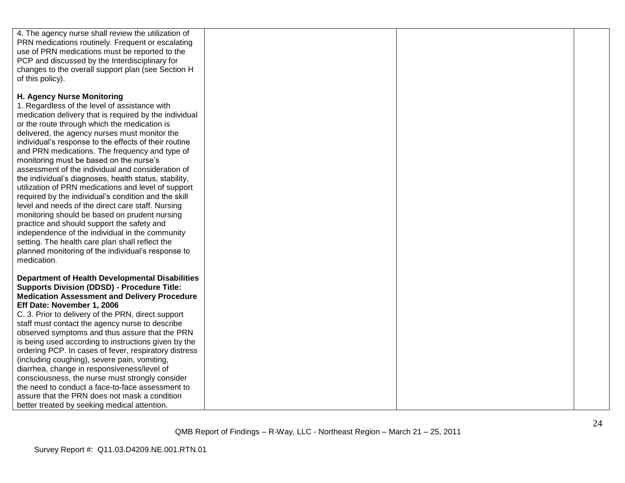| 4. The agency nurse shall review the utilization of    |  |  |
|--------------------------------------------------------|--|--|
| PRN medications routinely. Frequent or escalating      |  |  |
| use of PRN medications must be reported to the         |  |  |
|                                                        |  |  |
| PCP and discussed by the Interdisciplinary for         |  |  |
| changes to the overall support plan (see Section H     |  |  |
| of this policy).                                       |  |  |
|                                                        |  |  |
| H. Agency Nurse Monitoring                             |  |  |
| 1. Regardless of the level of assistance with          |  |  |
| medication delivery that is required by the individual |  |  |
| or the route through which the medication is           |  |  |
| delivered, the agency nurses must monitor the          |  |  |
| individual's response to the effects of their routine  |  |  |
| and PRN medications. The frequency and type of         |  |  |
| monitoring must be based on the nurse's                |  |  |
| assessment of the individual and consideration of      |  |  |
| the individual's diagnoses, health status, stability,  |  |  |
| utilization of PRN medications and level of support    |  |  |
| required by the individual's condition and the skill   |  |  |
|                                                        |  |  |
| level and needs of the direct care staff. Nursing      |  |  |
| monitoring should be based on prudent nursing          |  |  |
| practice and should support the safety and             |  |  |
| independence of the individual in the community        |  |  |
| setting. The health care plan shall reflect the        |  |  |
| planned monitoring of the individual's response to     |  |  |
| medication.                                            |  |  |
|                                                        |  |  |
| <b>Department of Health Developmental Disabilities</b> |  |  |
| <b>Supports Division (DDSD) - Procedure Title:</b>     |  |  |
| <b>Medication Assessment and Delivery Procedure</b>    |  |  |
| Eff Date: November 1, 2006                             |  |  |
| C. 3. Prior to delivery of the PRN, direct support     |  |  |
| staff must contact the agency nurse to describe        |  |  |
| observed symptoms and thus assure that the PRN         |  |  |
| is being used according to instructions given by the   |  |  |
| ordering PCP. In cases of fever, respiratory distress  |  |  |
| (including coughing), severe pain, vomiting,           |  |  |
| diarrhea, change in responsiveness/level of            |  |  |
| consciousness, the nurse must strongly consider        |  |  |
| the need to conduct a face-to-face assessment to       |  |  |
| assure that the PRN does not mask a condition          |  |  |
| better treated by seeking medical attention.           |  |  |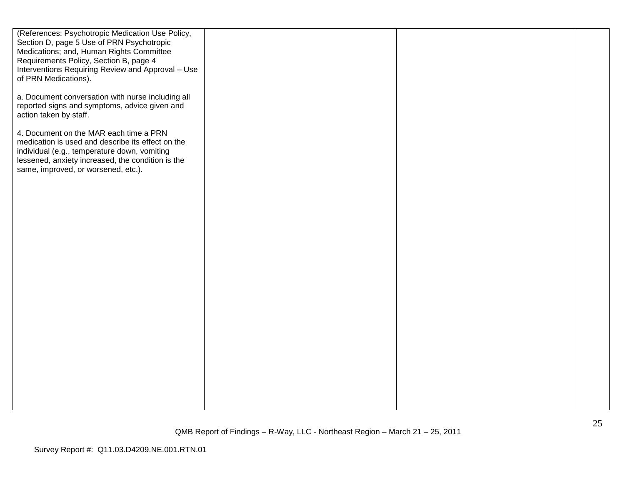| (References: Psychotropic Medication Use Policy,<br>Section D, page 5 Use of PRN Psychotropic<br>Medications; and, Human Rights Committee<br>Requirements Policy, Section B, page 4<br>Interventions Requiring Review and Approval - Use<br>of PRN Medications). |  |  |
|------------------------------------------------------------------------------------------------------------------------------------------------------------------------------------------------------------------------------------------------------------------|--|--|
| a. Document conversation with nurse including all<br>reported signs and symptoms, advice given and<br>action taken by staff.                                                                                                                                     |  |  |
| 4. Document on the MAR each time a PRN<br>medication is used and describe its effect on the<br>individual (e.g., temperature down, vomiting<br>lessened, anxiety increased, the condition is the<br>same, improved, or worsened, etc.).                          |  |  |
|                                                                                                                                                                                                                                                                  |  |  |
|                                                                                                                                                                                                                                                                  |  |  |
|                                                                                                                                                                                                                                                                  |  |  |
|                                                                                                                                                                                                                                                                  |  |  |
|                                                                                                                                                                                                                                                                  |  |  |
|                                                                                                                                                                                                                                                                  |  |  |
|                                                                                                                                                                                                                                                                  |  |  |
|                                                                                                                                                                                                                                                                  |  |  |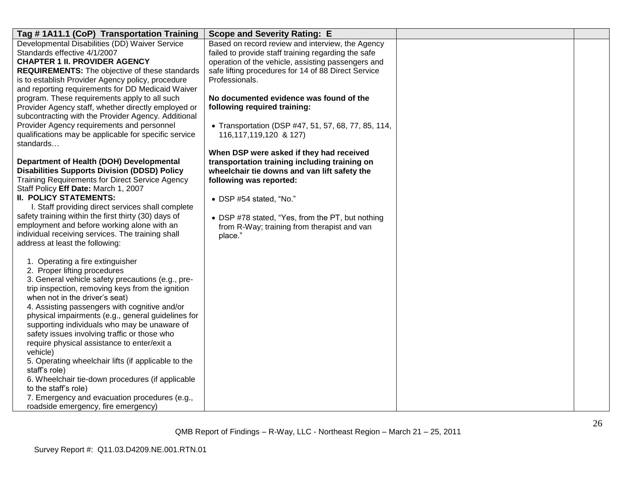| Tag #1A11.1 (CoP) Transportation Training                                                                  | <b>Scope and Severity Rating: E</b>                 |  |
|------------------------------------------------------------------------------------------------------------|-----------------------------------------------------|--|
| Developmental Disabilities (DD) Waiver Service                                                             | Based on record review and interview, the Agency    |  |
| Standards effective 4/1/2007                                                                               | failed to provide staff training regarding the safe |  |
| <b>CHAPTER 1 II. PROVIDER AGENCY</b>                                                                       | operation of the vehicle, assisting passengers and  |  |
| <b>REQUIREMENTS:</b> The objective of these standards                                                      | safe lifting procedures for 14 of 88 Direct Service |  |
| is to establish Provider Agency policy, procedure<br>and reporting requirements for DD Medicaid Waiver     | Professionals.                                      |  |
| program. These requirements apply to all such                                                              | No documented evidence was found of the             |  |
| Provider Agency staff, whether directly employed or<br>subcontracting with the Provider Agency. Additional | following required training:                        |  |
| Provider Agency requirements and personnel                                                                 | • Transportation (DSP #47, 51, 57, 68, 77, 85, 114, |  |
| qualifications may be applicable for specific service<br>standards                                         | 116, 117, 119, 120 & 127)                           |  |
|                                                                                                            | When DSP were asked if they had received            |  |
| Department of Health (DOH) Developmental                                                                   | transportation training including training on       |  |
| <b>Disabilities Supports Division (DDSD) Policy</b>                                                        | wheelchair tie downs and van lift safety the        |  |
| Training Requirements for Direct Service Agency                                                            | following was reported:                             |  |
| Staff Policy Eff Date: March 1, 2007                                                                       |                                                     |  |
| <b>II. POLICY STATEMENTS:</b>                                                                              | • DSP #54 stated, "No."                             |  |
| I. Staff providing direct services shall complete                                                          |                                                     |  |
| safety training within the first thirty (30) days of                                                       | • DSP #78 stated, "Yes, from the PT, but nothing    |  |
| employment and before working alone with an                                                                | from R-Way; training from therapist and van         |  |
| individual receiving services. The training shall                                                          | place."                                             |  |
| address at least the following:                                                                            |                                                     |  |
| 1. Operating a fire extinguisher                                                                           |                                                     |  |
| 2. Proper lifting procedures                                                                               |                                                     |  |
| 3. General vehicle safety precautions (e.g., pre-                                                          |                                                     |  |
| trip inspection, removing keys from the ignition                                                           |                                                     |  |
| when not in the driver's seat)                                                                             |                                                     |  |
| 4. Assisting passengers with cognitive and/or                                                              |                                                     |  |
| physical impairments (e.g., general guidelines for                                                         |                                                     |  |
| supporting individuals who may be unaware of                                                               |                                                     |  |
| safety issues involving traffic or those who                                                               |                                                     |  |
| require physical assistance to enter/exit a                                                                |                                                     |  |
| vehicle)                                                                                                   |                                                     |  |
| 5. Operating wheelchair lifts (if applicable to the                                                        |                                                     |  |
| staff's role)                                                                                              |                                                     |  |
| 6. Wheelchair tie-down procedures (if applicable                                                           |                                                     |  |
| to the staff's role)                                                                                       |                                                     |  |
| 7. Emergency and evacuation procedures (e.g.,                                                              |                                                     |  |
| roadside emergency, fire emergency)                                                                        |                                                     |  |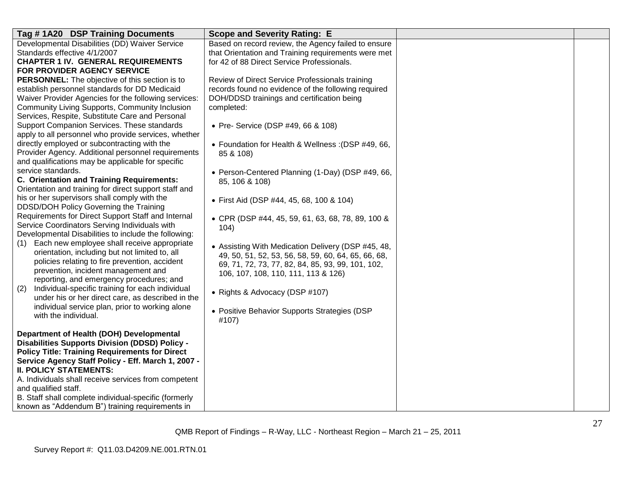| Tag #1A20 DSP Training Documents                                                                      | <b>Scope and Severity Rating: E</b>                 |  |
|-------------------------------------------------------------------------------------------------------|-----------------------------------------------------|--|
| Developmental Disabilities (DD) Waiver Service                                                        | Based on record review, the Agency failed to ensure |  |
| Standards effective 4/1/2007                                                                          | that Orientation and Training requirements were met |  |
| <b>CHAPTER 1 IV. GENERAL REQUIREMENTS</b>                                                             | for 42 of 88 Direct Service Professionals.          |  |
| FOR PROVIDER AGENCY SERVICE                                                                           |                                                     |  |
| <b>PERSONNEL:</b> The objective of this section is to                                                 | Review of Direct Service Professionals training     |  |
| establish personnel standards for DD Medicaid                                                         | records found no evidence of the following required |  |
| Waiver Provider Agencies for the following services:                                                  | DOH/DDSD trainings and certification being          |  |
| Community Living Supports, Community Inclusion                                                        | completed:                                          |  |
| Services, Respite, Substitute Care and Personal                                                       |                                                     |  |
| Support Companion Services. These standards                                                           | • Pre- Service (DSP #49, 66 & 108)                  |  |
| apply to all personnel who provide services, whether                                                  |                                                     |  |
| directly employed or subcontracting with the                                                          | • Foundation for Health & Wellness: (DSP #49, 66,   |  |
| Provider Agency. Additional personnel requirements                                                    | 85 & 108)                                           |  |
| and qualifications may be applicable for specific                                                     |                                                     |  |
| service standards.                                                                                    | • Person-Centered Planning (1-Day) (DSP #49, 66,    |  |
| C. Orientation and Training Requirements:                                                             | 85, 106 & 108)                                      |  |
| Orientation and training for direct support staff and                                                 |                                                     |  |
| his or her supervisors shall comply with the                                                          | • First Aid (DSP #44, 45, 68, 100 & 104)            |  |
| DDSD/DOH Policy Governing the Training                                                                |                                                     |  |
| Requirements for Direct Support Staff and Internal                                                    | • CPR (DSP #44, 45, 59, 61, 63, 68, 78, 89, 100 &   |  |
| Service Coordinators Serving Individuals with<br>Developmental Disabilities to include the following: | 104)                                                |  |
|                                                                                                       |                                                     |  |
| Each new employee shall receive appropriate<br>(1)<br>orientation, including but not limited to, all  | • Assisting With Medication Delivery (DSP #45, 48,  |  |
| policies relating to fire prevention, accident                                                        | 49, 50, 51, 52, 53, 56, 58, 59, 60, 64, 65, 66, 68, |  |
| prevention, incident management and                                                                   | 69, 71, 72, 73, 77, 82, 84, 85, 93, 99, 101, 102,   |  |
| reporting, and emergency procedures; and                                                              | 106, 107, 108, 110, 111, 113 & 126)                 |  |
| Individual-specific training for each individual<br>(2)                                               |                                                     |  |
| under his or her direct care, as described in the                                                     | • Rights & Advocacy (DSP #107)                      |  |
| individual service plan, prior to working alone                                                       |                                                     |  |
| with the individual.                                                                                  | • Positive Behavior Supports Strategies (DSP        |  |
|                                                                                                       | #107)                                               |  |
| Department of Health (DOH) Developmental                                                              |                                                     |  |
| <b>Disabilities Supports Division (DDSD) Policy -</b>                                                 |                                                     |  |
| <b>Policy Title: Training Requirements for Direct</b>                                                 |                                                     |  |
| Service Agency Staff Policy - Eff. March 1, 2007 -                                                    |                                                     |  |
| <b>II. POLICY STATEMENTS:</b>                                                                         |                                                     |  |
| A. Individuals shall receive services from competent                                                  |                                                     |  |
| and qualified staff.                                                                                  |                                                     |  |
| B. Staff shall complete individual-specific (formerly                                                 |                                                     |  |
| known as "Addendum B") training requirements in                                                       |                                                     |  |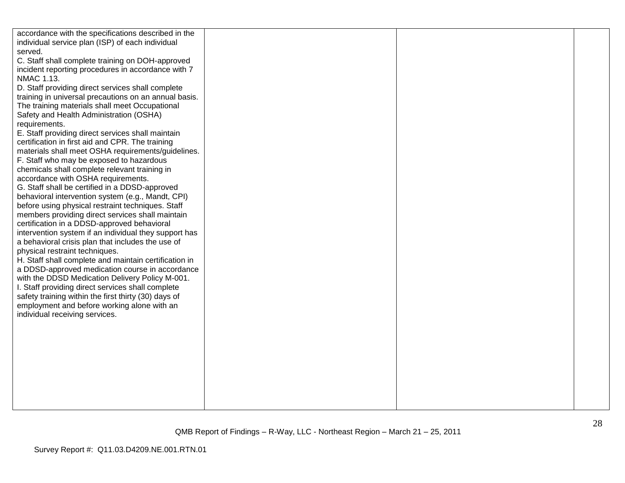| accordance with the specifications described in the<br>individual service plan (ISP) of each individual<br>served.<br>C. Staff shall complete training on DOH-approved<br>incident reporting procedures in accordance with 7<br>NMAC 1.13.<br>D. Staff providing direct services shall complete<br>training in universal precautions on an annual basis.<br>The training materials shall meet Occupational<br>Safety and Health Administration (OSHA)<br>requirements.<br>E. Staff providing direct services shall maintain<br>certification in first aid and CPR. The training                                                                                                                                                                                                                                                                                                                                                                                   |  |  |
|-------------------------------------------------------------------------------------------------------------------------------------------------------------------------------------------------------------------------------------------------------------------------------------------------------------------------------------------------------------------------------------------------------------------------------------------------------------------------------------------------------------------------------------------------------------------------------------------------------------------------------------------------------------------------------------------------------------------------------------------------------------------------------------------------------------------------------------------------------------------------------------------------------------------------------------------------------------------|--|--|
| materials shall meet OSHA requirements/guidelines.<br>F. Staff who may be exposed to hazardous<br>chemicals shall complete relevant training in<br>accordance with OSHA requirements.<br>G. Staff shall be certified in a DDSD-approved<br>behavioral intervention system (e.g., Mandt, CPI)<br>before using physical restraint techniques. Staff<br>members providing direct services shall maintain<br>certification in a DDSD-approved behavioral<br>intervention system if an individual they support has<br>a behavioral crisis plan that includes the use of<br>physical restraint techniques.<br>H. Staff shall complete and maintain certification in<br>a DDSD-approved medication course in accordance<br>with the DDSD Medication Delivery Policy M-001.<br>I. Staff providing direct services shall complete<br>safety training within the first thirty (30) days of<br>employment and before working alone with an<br>individual receiving services. |  |  |
|                                                                                                                                                                                                                                                                                                                                                                                                                                                                                                                                                                                                                                                                                                                                                                                                                                                                                                                                                                   |  |  |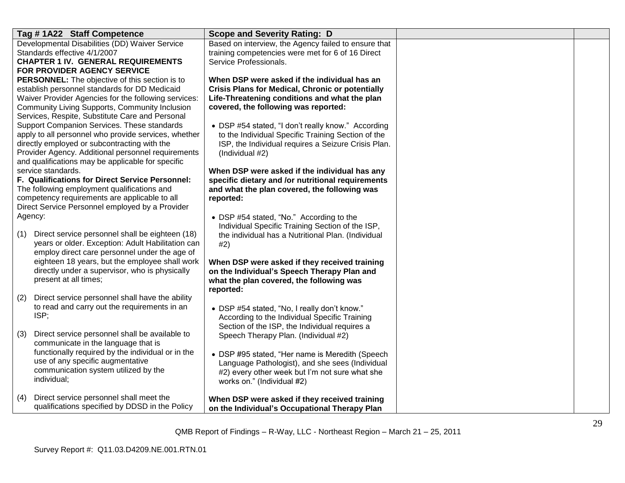| Tag #1A22 Staff Competence                                                                                  | <b>Scope and Severity Rating: D</b>                                                               |  |
|-------------------------------------------------------------------------------------------------------------|---------------------------------------------------------------------------------------------------|--|
| Developmental Disabilities (DD) Waiver Service                                                              | Based on interview, the Agency failed to ensure that                                              |  |
| Standards effective 4/1/2007<br><b>CHAPTER 1 IV. GENERAL REQUIREMENTS</b>                                   | training competencies were met for 6 of 16 Direct<br>Service Professionals.                       |  |
| FOR PROVIDER AGENCY SERVICE                                                                                 |                                                                                                   |  |
| <b>PERSONNEL:</b> The objective of this section is to                                                       | When DSP were asked if the individual has an                                                      |  |
| establish personnel standards for DD Medicaid                                                               | <b>Crisis Plans for Medical, Chronic or potentially</b>                                           |  |
| Waiver Provider Agencies for the following services:                                                        | Life-Threatening conditions and what the plan                                                     |  |
| <b>Community Living Supports, Community Inclusion</b>                                                       | covered, the following was reported:                                                              |  |
| Services, Respite, Substitute Care and Personal<br>Support Companion Services. These standards              | • DSP #54 stated, "I don't really know." According                                                |  |
| apply to all personnel who provide services, whether                                                        | to the Individual Specific Training Section of the                                                |  |
| directly employed or subcontracting with the                                                                | ISP, the Individual requires a Seizure Crisis Plan.                                               |  |
| Provider Agency. Additional personnel requirements                                                          | (Individual #2)                                                                                   |  |
| and qualifications may be applicable for specific                                                           |                                                                                                   |  |
| service standards.<br>F. Qualifications for Direct Service Personnel:                                       | When DSP were asked if the individual has any                                                     |  |
| The following employment qualifications and                                                                 | specific dietary and /or nutritional requirements<br>and what the plan covered, the following was |  |
| competency requirements are applicable to all                                                               | reported:                                                                                         |  |
| Direct Service Personnel employed by a Provider                                                             |                                                                                                   |  |
| Agency:                                                                                                     | • DSP #54 stated, "No." According to the                                                          |  |
|                                                                                                             | Individual Specific Training Section of the ISP,                                                  |  |
| Direct service personnel shall be eighteen (18)<br>(1)<br>years or older. Exception: Adult Habilitation can | the individual has a Nutritional Plan. (Individual                                                |  |
| employ direct care personnel under the age of                                                               | #2)                                                                                               |  |
| eighteen 18 years, but the employee shall work                                                              | When DSP were asked if they received training                                                     |  |
| directly under a supervisor, who is physically                                                              | on the Individual's Speech Therapy Plan and                                                       |  |
| present at all times;                                                                                       | what the plan covered, the following was                                                          |  |
| Direct service personnel shall have the ability<br>(2)                                                      | reported:                                                                                         |  |
| to read and carry out the requirements in an                                                                | • DSP #54 stated, "No, I really don't know."                                                      |  |
| ISP;                                                                                                        | According to the Individual Specific Training                                                     |  |
|                                                                                                             | Section of the ISP, the Individual requires a                                                     |  |
| Direct service personnel shall be available to<br>(3)                                                       | Speech Therapy Plan. (Individual #2)                                                              |  |
| communicate in the language that is                                                                         |                                                                                                   |  |
| functionally required by the individual or in the<br>use of any specific augmentative                       | • DSP #95 stated, "Her name is Meredith (Speech                                                   |  |
| communication system utilized by the                                                                        | Language Pathologist), and she sees (Individual<br>#2) every other week but I'm not sure what she |  |
| individual;                                                                                                 | works on." (Individual #2)                                                                        |  |
|                                                                                                             |                                                                                                   |  |
| Direct service personnel shall meet the<br>(4)                                                              | When DSP were asked if they received training                                                     |  |
| qualifications specified by DDSD in the Policy                                                              | on the Individual's Occupational Therapy Plan                                                     |  |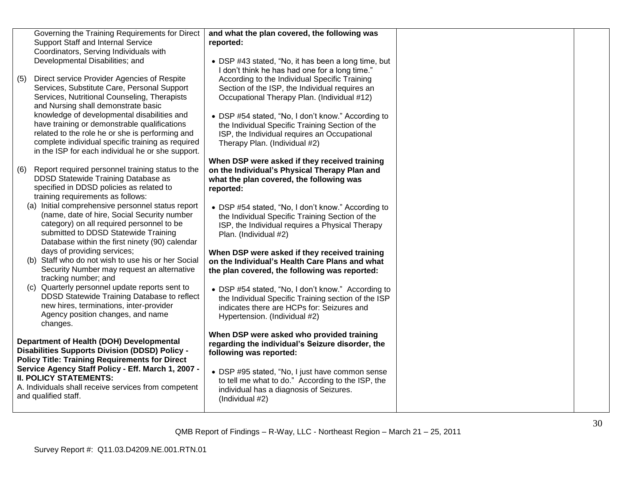|     | Governing the Training Requirements for Direct<br>Support Staff and Internal Service<br>Coordinators, Serving Individuals with<br>Developmental Disabilities; and                                                                                        | and what the plan covered, the following was<br>reported:<br>• DSP #43 stated, "No, it has been a long time, but<br>I don't think he has had one for a long time."                       |  |
|-----|----------------------------------------------------------------------------------------------------------------------------------------------------------------------------------------------------------------------------------------------------------|------------------------------------------------------------------------------------------------------------------------------------------------------------------------------------------|--|
| (5) | Direct service Provider Agencies of Respite<br>Services, Substitute Care, Personal Support<br>Services, Nutritional Counseling, Therapists<br>and Nursing shall demonstrate basic                                                                        | According to the Individual Specific Training<br>Section of the ISP, the Individual requires an<br>Occupational Therapy Plan. (Individual #12)                                           |  |
|     | knowledge of developmental disabilities and<br>have training or demonstrable qualifications<br>related to the role he or she is performing and<br>complete individual specific training as required<br>in the ISP for each individual he or she support. | • DSP #54 stated, "No, I don't know." According to<br>the Individual Specific Training Section of the<br>ISP, the Individual requires an Occupational<br>Therapy Plan. (Individual #2)   |  |
| (6) | Report required personnel training status to the<br>DDSD Statewide Training Database as<br>specified in DDSD policies as related to<br>training requirements as follows:                                                                                 | When DSP were asked if they received training<br>on the Individual's Physical Therapy Plan and<br>what the plan covered, the following was<br>reported:                                  |  |
|     | (a) Initial comprehensive personnel status report<br>(name, date of hire, Social Security number<br>category) on all required personnel to be<br>submitted to DDSD Statewide Training<br>Database within the first ninety (90) calendar                  | • DSP #54 stated, "No, I don't know." According to<br>the Individual Specific Training Section of the<br>ISP, the Individual requires a Physical Therapy<br>Plan. (Individual #2)        |  |
|     | days of providing services;<br>(b) Staff who do not wish to use his or her Social<br>Security Number may request an alternative<br>tracking number; and                                                                                                  | When DSP were asked if they received training<br>on the Individual's Health Care Plans and what<br>the plan covered, the following was reported:                                         |  |
|     | (c) Quarterly personnel update reports sent to<br>DDSD Statewide Training Database to reflect<br>new hires, terminations, inter-provider<br>Agency position changes, and name<br>changes.                                                                | • DSP #54 stated, "No, I don't know." According to<br>the Individual Specific Training section of the ISP<br>indicates there are HCPs for: Seizures and<br>Hypertension. (Individual #2) |  |
|     | Department of Health (DOH) Developmental<br><b>Disabilities Supports Division (DDSD) Policy -</b><br><b>Policy Title: Training Requirements for Direct</b>                                                                                               | When DSP were asked who provided training<br>regarding the individual's Seizure disorder, the<br>following was reported:                                                                 |  |
|     | Service Agency Staff Policy - Eff. March 1, 2007 -<br><b>II. POLICY STATEMENTS:</b><br>A. Individuals shall receive services from competent<br>and qualified staff.                                                                                      | • DSP #95 stated, "No, I just have common sense<br>to tell me what to do." According to the ISP, the<br>individual has a diagnosis of Seizures.<br>(Individual #2)                       |  |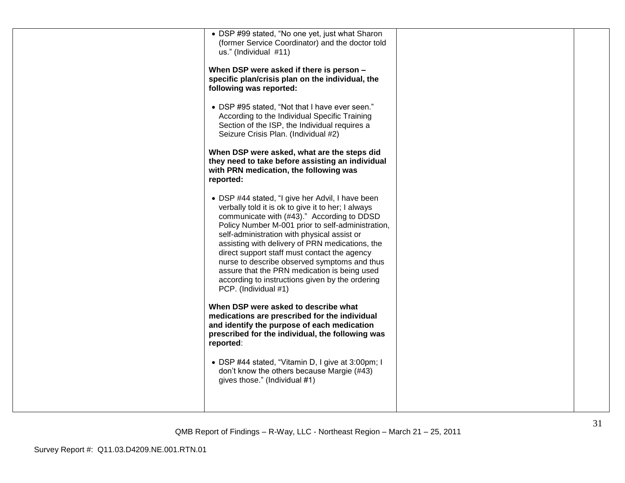| • DSP #99 stated, "No one yet, just what Sharon<br>(former Service Coordinator) and the doctor told<br>us." (Individual #11)<br>When DSP were asked if there is person -<br>specific plan/crisis plan on the individual, the<br>following was reported:<br>• DSP #95 stated, "Not that I have ever seen."<br>According to the Individual Specific Training<br>Section of the ISP, the Individual requires a<br>Seizure Crisis Plan. (Individual #2)<br>When DSP were asked, what are the steps did<br>they need to take before assisting an individual<br>with PRN medication, the following was<br>reported:<br>• DSP #44 stated, "I give her Advil, I have been |  |
|-------------------------------------------------------------------------------------------------------------------------------------------------------------------------------------------------------------------------------------------------------------------------------------------------------------------------------------------------------------------------------------------------------------------------------------------------------------------------------------------------------------------------------------------------------------------------------------------------------------------------------------------------------------------|--|
| verbally told it is ok to give it to her; I always<br>communicate with (#43)." According to DDSD<br>Policy Number M-001 prior to self-administration,<br>self-administration with physical assist or<br>assisting with delivery of PRN medications, the<br>direct support staff must contact the agency<br>nurse to describe observed symptoms and thus<br>assure that the PRN medication is being used<br>according to instructions given by the ordering<br>PCP. (Individual #1)                                                                                                                                                                                |  |
| When DSP were asked to describe what<br>medications are prescribed for the individual<br>and identify the purpose of each medication<br>prescribed for the individual, the following was<br>reported:                                                                                                                                                                                                                                                                                                                                                                                                                                                             |  |
| • DSP #44 stated, "Vitamin D, I give at 3:00pm; I<br>don't know the others because Margie (#43)<br>gives those." (Individual #1)                                                                                                                                                                                                                                                                                                                                                                                                                                                                                                                                  |  |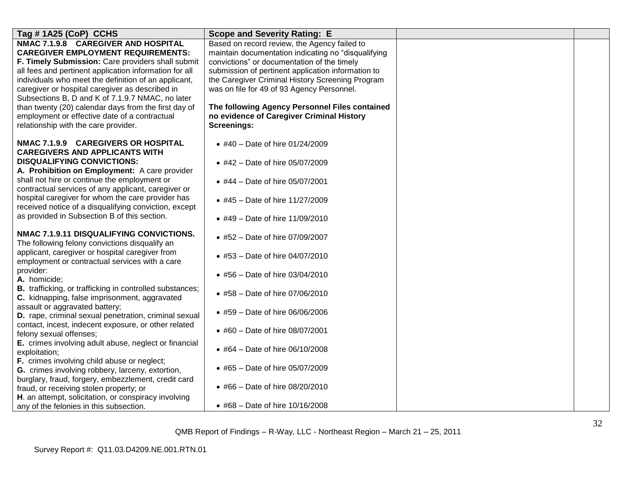| Tag #1A25 (CoP) CCHS                                                                                             | <b>Scope and Severity Rating: E</b>                 |  |
|------------------------------------------------------------------------------------------------------------------|-----------------------------------------------------|--|
| NMAC 7.1.9.8 CAREGIVER AND HOSPITAL                                                                              | Based on record review, the Agency failed to        |  |
| <b>CAREGIVER EMPLOYMENT REQUIREMENTS:</b>                                                                        | maintain documentation indicating no "disqualifying |  |
| F. Timely Submission: Care providers shall submit                                                                | convictions" or documentation of the timely         |  |
| all fees and pertinent application information for all                                                           | submission of pertinent application information to  |  |
| individuals who meet the definition of an applicant,                                                             | the Caregiver Criminal History Screening Program    |  |
| caregiver or hospital caregiver as described in                                                                  | was on file for 49 of 93 Agency Personnel.          |  |
| Subsections B, D and K of 7.1.9.7 NMAC, no later                                                                 |                                                     |  |
| than twenty (20) calendar days from the first day of                                                             | The following Agency Personnel Files contained      |  |
| employment or effective date of a contractual                                                                    | no evidence of Caregiver Criminal History           |  |
| relationship with the care provider.                                                                             | <b>Screenings:</b>                                  |  |
| NMAC 7.1.9.9 CAREGIVERS OR HOSPITAL<br><b>CAREGIVERS AND APPLICANTS WITH</b>                                     | • #40 - Date of hire 01/24/2009                     |  |
| <b>DISQUALIFYING CONVICTIONS:</b><br>A. Prohibition on Employment: A care provider                               | • #42 - Date of hire 05/07/2009                     |  |
| shall not hire or continue the employment or                                                                     | • #44 – Date of hire 05/07/2001                     |  |
| contractual services of any applicant, caregiver or<br>hospital caregiver for whom the care provider has         | • #45 - Date of hire 11/27/2009                     |  |
| received notice of a disqualifying conviction, except                                                            |                                                     |  |
| as provided in Subsection B of this section.                                                                     | • #49 - Date of hire 11/09/2010                     |  |
| NMAC 7.1.9.11 DISQUALIFYING CONVICTIONS.                                                                         | • #52 – Date of hire 07/09/2007                     |  |
| The following felony convictions disqualify an<br>applicant, caregiver or hospital caregiver from                |                                                     |  |
| employment or contractual services with a care                                                                   | • #53 - Date of hire 04/07/2010                     |  |
| provider:<br>A. homicide;                                                                                        | • #56 – Date of hire 03/04/2010                     |  |
| <b>B.</b> trafficking, or trafficking in controlled substances;<br>C. kidnapping, false imprisonment, aggravated | • #58 - Date of hire 07/06/2010                     |  |
| assault or aggravated battery;<br>D. rape, criminal sexual penetration, criminal sexual                          | • #59 – Date of hire 06/06/2006                     |  |
| contact, incest, indecent exposure, or other related<br>felony sexual offenses;                                  | • #60 – Date of hire $08/07/2001$                   |  |
| E. crimes involving adult abuse, neglect or financial<br>exploitation;                                           | • #64 - Date of hire 06/10/2008                     |  |
| F. crimes involving child abuse or neglect;<br>G. crimes involving robbery, larceny, extortion,                  | • #65 - Date of hire 05/07/2009                     |  |
| burglary, fraud, forgery, embezzlement, credit card<br>fraud, or receiving stolen property; or                   | • #66 – Date of hire $08/20/2010$                   |  |
| H. an attempt, solicitation, or conspiracy involving                                                             |                                                     |  |
| any of the felonies in this subsection.                                                                          | • #68 – Date of hire $10/16/2008$                   |  |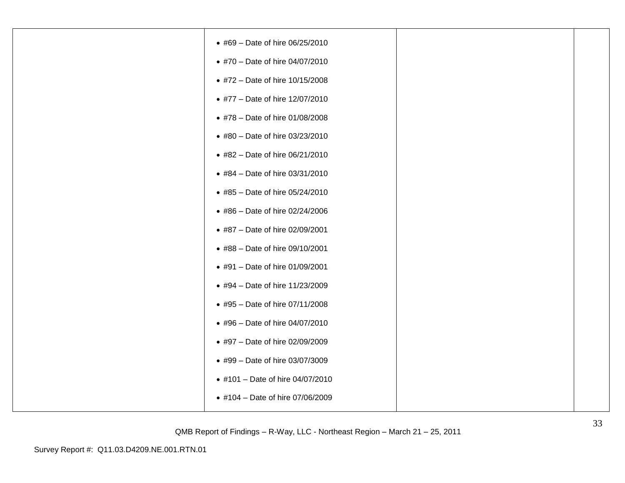| • #69 - Date of hire 06/25/2010  |  |
|----------------------------------|--|
| • #70 - Date of hire 04/07/2010  |  |
| • #72 - Date of hire 10/15/2008  |  |
| • #77 - Date of hire 12/07/2010  |  |
| • #78 - Date of hire 01/08/2008  |  |
| • #80 - Date of hire 03/23/2010  |  |
| • #82 - Date of hire 06/21/2010  |  |
| • #84 - Date of hire 03/31/2010  |  |
| • #85 - Date of hire 05/24/2010  |  |
| ● #86 - Date of hire 02/24/2006  |  |
| • #87 - Date of hire 02/09/2001  |  |
| • #88 - Date of hire 09/10/2001  |  |
| • #91 - Date of hire 01/09/2001  |  |
| • #94 - Date of hire 11/23/2009  |  |
| • #95 - Date of hire 07/11/2008  |  |
| • #96 - Date of hire 04/07/2010  |  |
| • #97 - Date of hire 02/09/2009  |  |
| • #99 - Date of hire 03/07/3009  |  |
| • #101 - Date of hire 04/07/2010 |  |
| • #104 - Date of hire 07/06/2009 |  |
|                                  |  |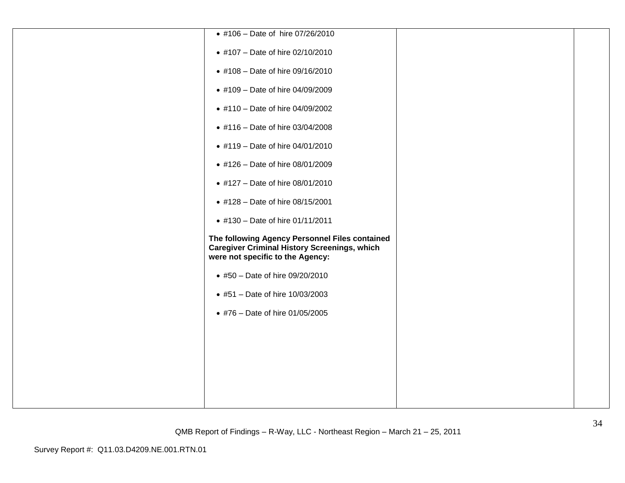| • #106 - Date of hire 07/26/2010                                                                                                          |  |
|-------------------------------------------------------------------------------------------------------------------------------------------|--|
| • #107 - Date of hire 02/10/2010                                                                                                          |  |
| • #108 - Date of hire 09/16/2010                                                                                                          |  |
| • #109 - Date of hire 04/09/2009                                                                                                          |  |
| • #110 - Date of hire 04/09/2002                                                                                                          |  |
| • #116 - Date of hire 03/04/2008                                                                                                          |  |
| • #119 - Date of hire 04/01/2010                                                                                                          |  |
| • #126 - Date of hire 08/01/2009                                                                                                          |  |
| • #127 - Date of hire 08/01/2010                                                                                                          |  |
| • #128 - Date of hire 08/15/2001                                                                                                          |  |
| • #130 - Date of hire 01/11/2011                                                                                                          |  |
| The following Agency Personnel Files contained<br><b>Caregiver Criminal History Screenings, which</b><br>were not specific to the Agency: |  |
| • #50 - Date of hire 09/20/2010                                                                                                           |  |
| • #51 - Date of hire 10/03/2003                                                                                                           |  |
| • #76 - Date of hire 01/05/2005                                                                                                           |  |
|                                                                                                                                           |  |
|                                                                                                                                           |  |
|                                                                                                                                           |  |
|                                                                                                                                           |  |
|                                                                                                                                           |  |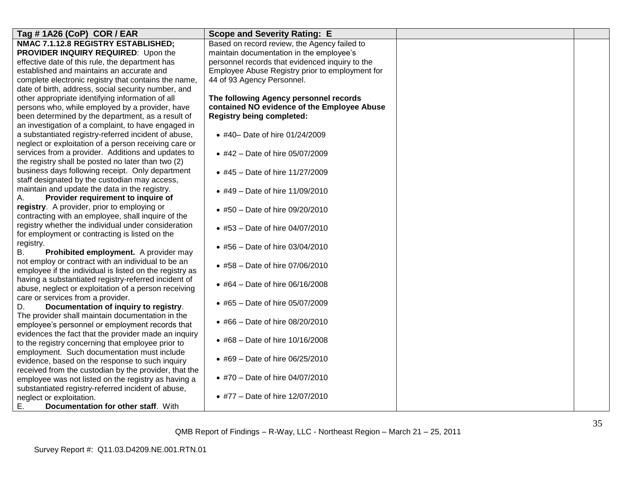| Tag #1A26 (CoP) COR / EAR                               | <b>Scope and Severity Rating: E</b>             |  |
|---------------------------------------------------------|-------------------------------------------------|--|
| NMAC 7.1.12.8 REGISTRY ESTABLISHED;                     | Based on record review, the Agency failed to    |  |
| PROVIDER INQUIRY REQUIRED: Upon the                     | maintain documentation in the employee's        |  |
| effective date of this rule, the department has         | personnel records that evidenced inquiry to the |  |
| established and maintains an accurate and               | Employee Abuse Registry prior to employment for |  |
| complete electronic registry that contains the name.    | 44 of 93 Agency Personnel.                      |  |
| date of birth, address, social security number, and     |                                                 |  |
| other appropriate identifying information of all        | The following Agency personnel records          |  |
| persons who, while employed by a provider, have         | contained NO evidence of the Employee Abuse     |  |
| been determined by the department, as a result of       | <b>Registry being completed:</b>                |  |
| an investigation of a complaint, to have engaged in     |                                                 |  |
| a substantiated registry-referred incident of abuse,    | • #40- Date of hire 01/24/2009                  |  |
| neglect or exploitation of a person receiving care or   |                                                 |  |
| services from a provider. Additions and updates to      | • #42 - Date of hire 05/07/2009                 |  |
| the registry shall be posted no later than two (2)      |                                                 |  |
| business days following receipt. Only department        | • #45 - Date of hire 11/27/2009                 |  |
| staff designated by the custodian may access,           |                                                 |  |
| maintain and update the data in the registry.           | • #49 – Date of hire 11/09/2010                 |  |
| Provider requirement to inquire of<br>Α.                |                                                 |  |
| registry. A provider, prior to employing or             | • #50 - Date of hire 09/20/2010                 |  |
| contracting with an employee, shall inquire of the      |                                                 |  |
| registry whether the individual under consideration     | • #53 – Date of hire $04/07/2010$               |  |
| for employment or contracting is listed on the          |                                                 |  |
| registry.                                               | • #56 - Date of hire 03/04/2010                 |  |
| Prohibited employment. A provider may<br>В.             |                                                 |  |
| not employ or contract with an individual to be an      | • #58 – Date of hire 07/06/2010                 |  |
| employee if the individual is listed on the registry as |                                                 |  |
| having a substantiated registry-referred incident of    | • #64 - Date of hire 06/16/2008                 |  |
| abuse, neglect or exploitation of a person receiving    |                                                 |  |
| care or services from a provider.                       | • #65 – Date of hire 05/07/2009                 |  |
| Documentation of inquiry to registry.<br>D.             |                                                 |  |
| The provider shall maintain documentation in the        | • #66 - Date of hire 08/20/2010                 |  |
| employee's personnel or employment records that         |                                                 |  |
| evidences the fact that the provider made an inquiry    | • #68 - Date of hire 10/16/2008                 |  |
| to the registry concerning that employee prior to       |                                                 |  |
| employment. Such documentation must include             | • #69 - Date of hire 06/25/2010                 |  |
| evidence, based on the response to such inquiry         |                                                 |  |
| received from the custodian by the provider, that the   | • #70 - Date of hire 04/07/2010                 |  |
| employee was not listed on the registry as having a     |                                                 |  |
| substantiated registry-referred incident of abuse,      |                                                 |  |
| neglect or exploitation.                                | • #77 - Date of hire 12/07/2010                 |  |
| Ε.<br>Documentation for other staff. With               |                                                 |  |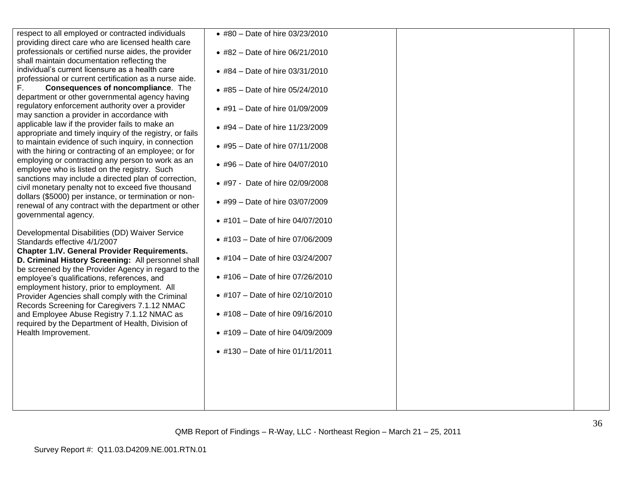| respect to all employed or contracted individuals<br>providing direct care who are licensed health care       | • #80 - Date of hire 03/23/2010  |  |
|---------------------------------------------------------------------------------------------------------------|----------------------------------|--|
| professionals or certified nurse aides, the provider                                                          | • #82 - Date of hire 06/21/2010  |  |
| shall maintain documentation reflecting the<br>individual's current licensure as a health care                | • #84 - Date of hire 03/31/2010  |  |
| professional or current certification as a nurse aide.                                                        |                                  |  |
| F.<br>Consequences of noncompliance. The<br>department or other governmental agency having                    | • #85 - Date of hire 05/24/2010  |  |
| regulatory enforcement authority over a provider<br>may sanction a provider in accordance with                | • #91 - Date of hire 01/09/2009  |  |
| applicable law if the provider fails to make an<br>appropriate and timely inquiry of the registry, or fails   | • #94 - Date of hire 11/23/2009  |  |
| to maintain evidence of such inquiry, in connection<br>with the hiring or contracting of an employee; or for  | • #95 - Date of hire 07/11/2008  |  |
| employing or contracting any person to work as an<br>employee who is listed on the registry. Such             | • #96 - Date of hire 04/07/2010  |  |
| sanctions may include a directed plan of correction,<br>civil monetary penalty not to exceed five thousand    | • #97 - Date of hire 02/09/2008  |  |
| dollars (\$5000) per instance, or termination or non-<br>renewal of any contract with the department or other | • #99 - Date of hire 03/07/2009  |  |
| governmental agency.                                                                                          | • #101 - Date of hire 04/07/2010 |  |
| Developmental Disabilities (DD) Waiver Service<br>Standards effective 4/1/2007                                | • #103 - Date of hire 07/06/2009 |  |
| <b>Chapter 1.IV. General Provider Requirements.</b><br>D. Criminal History Screening: All personnel shall     | • #104 - Date of hire 03/24/2007 |  |
| be screened by the Provider Agency in regard to the<br>employee's qualifications, references, and             | • #106 - Date of hire 07/26/2010 |  |
| employment history, prior to employment. All<br>Provider Agencies shall comply with the Criminal              | • #107 - Date of hire 02/10/2010 |  |
| Records Screening for Caregivers 7.1.12 NMAC<br>and Employee Abuse Registry 7.1.12 NMAC as                    | • #108 - Date of hire 09/16/2010 |  |
| required by the Department of Health, Division of<br>Health Improvement.                                      | • #109 - Date of hire 04/09/2009 |  |
|                                                                                                               | • #130 - Date of hire 01/11/2011 |  |
|                                                                                                               |                                  |  |
|                                                                                                               |                                  |  |
|                                                                                                               |                                  |  |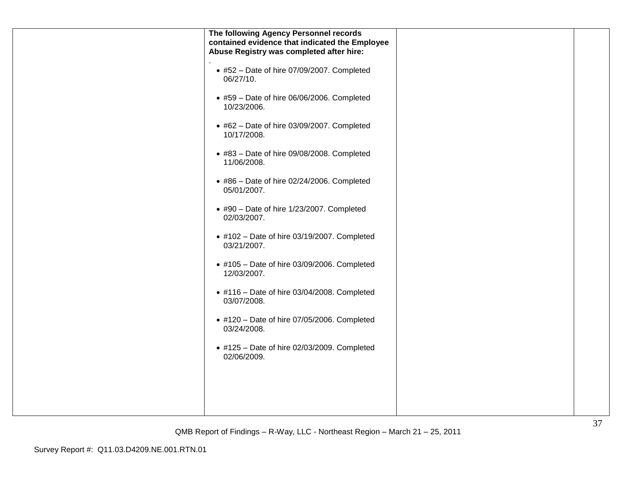| The following Agency Personnel records<br>contained evidence that indicated the Employee<br>Abuse Registry was completed after hire: |  |
|--------------------------------------------------------------------------------------------------------------------------------------|--|
| $\bullet$ #52 - Date of hire 07/09/2007. Completed<br>06/27/10.                                                                      |  |
| $*$ #59 - Date of hire 06/06/2006. Completed<br>10/23/2006.                                                                          |  |
| $\bullet$ #62 - Date of hire 03/09/2007. Completed<br>10/17/2008.                                                                    |  |
| $\bullet$ #83 - Date of hire 09/08/2008. Completed<br>11/06/2008.                                                                    |  |
| $\bullet$ #86 - Date of hire 02/24/2006. Completed<br>05/01/2007.                                                                    |  |
| $\bullet$ #90 - Date of hire 1/23/2007. Completed<br>02/03/2007.                                                                     |  |
| $\bullet$ #102 - Date of hire 03/19/2007. Completed<br>03/21/2007.                                                                   |  |
| • #105 - Date of hire 03/09/2006. Completed<br>12/03/2007.                                                                           |  |
| $\bullet$ #116 - Date of hire 03/04/2008. Completed<br>03/07/2008.                                                                   |  |
| $\bullet$ #120 - Date of hire 07/05/2006. Completed<br>03/24/2008.                                                                   |  |
| $\bullet$ #125 - Date of hire 02/03/2009. Completed<br>02/06/2009.                                                                   |  |
|                                                                                                                                      |  |
|                                                                                                                                      |  |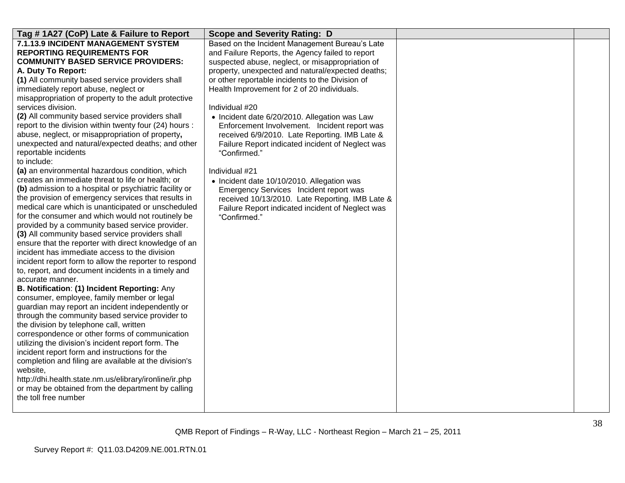| Tag #1A27 (CoP) Late & Failure to Report                                                                  | <b>Scope and Severity Rating: D</b>                              |  |
|-----------------------------------------------------------------------------------------------------------|------------------------------------------------------------------|--|
| 7.1.13.9 INCIDENT MANAGEMENT SYSTEM                                                                       | Based on the Incident Management Bureau's Late                   |  |
| <b>REPORTING REQUIREMENTS FOR</b>                                                                         | and Failure Reports, the Agency failed to report                 |  |
| <b>COMMUNITY BASED SERVICE PROVIDERS:</b>                                                                 | suspected abuse, neglect, or misappropriation of                 |  |
| A. Duty To Report:                                                                                        | property, unexpected and natural/expected deaths;                |  |
| (1) All community based service providers shall                                                           | or other reportable incidents to the Division of                 |  |
| immediately report abuse, neglect or                                                                      | Health Improvement for 2 of 20 individuals.                      |  |
| misappropriation of property to the adult protective                                                      |                                                                  |  |
| services division.                                                                                        | Individual #20                                                   |  |
| (2) All community based service providers shall                                                           | • Incident date 6/20/2010. Allegation was Law                    |  |
| report to the division within twenty four (24) hours :                                                    | Enforcement Involvement. Incident report was                     |  |
| abuse, neglect, or misappropriation of property,                                                          | received 6/9/2010. Late Reporting. IMB Late &                    |  |
| unexpected and natural/expected deaths; and other                                                         | Failure Report indicated incident of Neglect was                 |  |
| reportable incidents                                                                                      | "Confirmed."                                                     |  |
| to include:                                                                                               |                                                                  |  |
| (a) an environmental hazardous condition, which                                                           | Individual #21                                                   |  |
| creates an immediate threat to life or health; or                                                         | • Incident date 10/10/2010. Allegation was                       |  |
| (b) admission to a hospital or psychiatric facility or                                                    | Emergency Services Incident report was                           |  |
| the provision of emergency services that results in<br>medical care which is unanticipated or unscheduled | received 10/13/2010. Late Reporting. IMB Late &                  |  |
| for the consumer and which would not routinely be                                                         | Failure Report indicated incident of Neglect was<br>"Confirmed." |  |
| provided by a community based service provider.                                                           |                                                                  |  |
| (3) All community based service providers shall                                                           |                                                                  |  |
| ensure that the reporter with direct knowledge of an                                                      |                                                                  |  |
| incident has immediate access to the division                                                             |                                                                  |  |
| incident report form to allow the reporter to respond                                                     |                                                                  |  |
| to, report, and document incidents in a timely and                                                        |                                                                  |  |
| accurate manner.                                                                                          |                                                                  |  |
| B. Notification: (1) Incident Reporting: Any                                                              |                                                                  |  |
| consumer, employee, family member or legal                                                                |                                                                  |  |
| guardian may report an incident independently or                                                          |                                                                  |  |
| through the community based service provider to                                                           |                                                                  |  |
| the division by telephone call, written                                                                   |                                                                  |  |
| correspondence or other forms of communication                                                            |                                                                  |  |
| utilizing the division's incident report form. The                                                        |                                                                  |  |
| incident report form and instructions for the                                                             |                                                                  |  |
| completion and filing are available at the division's                                                     |                                                                  |  |
| website,                                                                                                  |                                                                  |  |
| http://dhi.health.state.nm.us/elibrary/ironline/ir.php                                                    |                                                                  |  |
| or may be obtained from the department by calling<br>the toll free number                                 |                                                                  |  |
|                                                                                                           |                                                                  |  |
|                                                                                                           |                                                                  |  |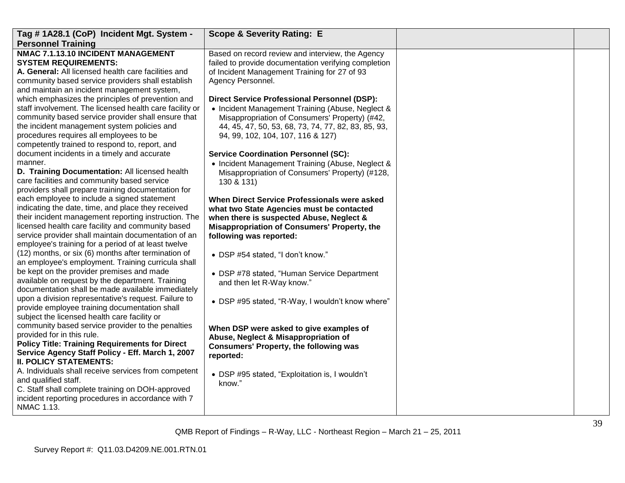| Tag # 1A28.1 (CoP) Incident Mgt. System -               | <b>Scope &amp; Severity Rating: E</b>                |  |
|---------------------------------------------------------|------------------------------------------------------|--|
| <b>Personnel Training</b>                               |                                                      |  |
| NMAC 7.1.13.10 INCIDENT MANAGEMENT                      | Based on record review and interview, the Agency     |  |
| <b>SYSTEM REQUIREMENTS:</b>                             | failed to provide documentation verifying completion |  |
| A. General: All licensed health care facilities and     | of Incident Management Training for 27 of 93         |  |
| community based service providers shall establish       | Agency Personnel.                                    |  |
| and maintain an incident management system,             |                                                      |  |
| which emphasizes the principles of prevention and       | <b>Direct Service Professional Personnel (DSP):</b>  |  |
| staff involvement. The licensed health care facility or | • Incident Management Training (Abuse, Neglect &     |  |
| community based service provider shall ensure that      | Misappropriation of Consumers' Property) (#42,       |  |
| the incident management system policies and             | 44, 45, 47, 50, 53, 68, 73, 74, 77, 82, 83, 85, 93,  |  |
| procedures requires all employees to be                 | 94, 99, 102, 104, 107, 116 & 127)                    |  |
| competently trained to respond to, report, and          |                                                      |  |
| document incidents in a timely and accurate             | <b>Service Coordination Personnel (SC):</b>          |  |
| manner.                                                 | • Incident Management Training (Abuse, Neglect &     |  |
| D. Training Documentation: All licensed health          | Misappropriation of Consumers' Property) (#128,      |  |
| care facilities and community based service             | 130 & 131)                                           |  |
| providers shall prepare training documentation for      |                                                      |  |
| each employee to include a signed statement             | When Direct Service Professionals were asked         |  |
| indicating the date, time, and place they received      | what two State Agencies must be contacted            |  |
| their incident management reporting instruction. The    | when there is suspected Abuse, Neglect &             |  |
| licensed health care facility and community based       | Misappropriation of Consumers' Property, the         |  |
| service provider shall maintain documentation of an     | following was reported:                              |  |
| employee's training for a period of at least twelve     |                                                      |  |
| (12) months, or six (6) months after termination of     | • DSP #54 stated, "I don't know."                    |  |
| an employee's employment. Training curricula shall      |                                                      |  |
| be kept on the provider premises and made               | • DSP #78 stated, "Human Service Department          |  |
| available on request by the department. Training        | and then let R-Way know."                            |  |
| documentation shall be made available immediately       |                                                      |  |
| upon a division representative's request. Failure to    | • DSP #95 stated, "R-Way, I wouldn't know where"     |  |
| provide employee training documentation shall           |                                                      |  |
| subject the licensed health care facility or            |                                                      |  |
| community based service provider to the penalties       | When DSP were asked to give examples of              |  |
| provided for in this rule.                              | Abuse, Neglect & Misappropriation of                 |  |
| <b>Policy Title: Training Requirements for Direct</b>   | <b>Consumers' Property, the following was</b>        |  |
| Service Agency Staff Policy - Eff. March 1, 2007        | reported:                                            |  |
| <b>II. POLICY STATEMENTS:</b>                           |                                                      |  |
| A. Individuals shall receive services from competent    | • DSP #95 stated, "Exploitation is, I wouldn't       |  |
| and qualified staff.                                    | know."                                               |  |
| C. Staff shall complete training on DOH-approved        |                                                      |  |
| incident reporting procedures in accordance with 7      |                                                      |  |
| NMAC 1.13.                                              |                                                      |  |
|                                                         |                                                      |  |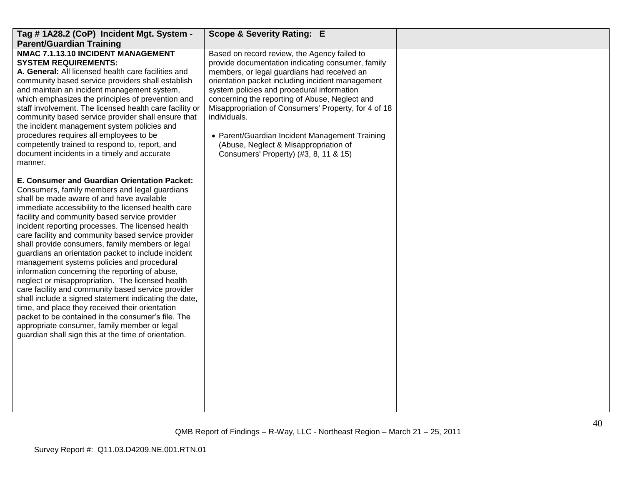| Tag #1A28.2 (CoP) Incident Mgt. System -<br><b>Parent/Guardian Training</b>                                                                                                                                                                                                                                                                                                                                                                                                                                                                                                                                                                                                                                                                                                                                                                                                                                                                                  | <b>Scope &amp; Severity Rating: E</b>                                                                                                                                                                                                                                                                                                                                                                                                                                                                            |  |
|--------------------------------------------------------------------------------------------------------------------------------------------------------------------------------------------------------------------------------------------------------------------------------------------------------------------------------------------------------------------------------------------------------------------------------------------------------------------------------------------------------------------------------------------------------------------------------------------------------------------------------------------------------------------------------------------------------------------------------------------------------------------------------------------------------------------------------------------------------------------------------------------------------------------------------------------------------------|------------------------------------------------------------------------------------------------------------------------------------------------------------------------------------------------------------------------------------------------------------------------------------------------------------------------------------------------------------------------------------------------------------------------------------------------------------------------------------------------------------------|--|
| NMAC 7.1.13.10 INCIDENT MANAGEMENT<br><b>SYSTEM REQUIREMENTS:</b><br>A. General: All licensed health care facilities and<br>community based service providers shall establish<br>and maintain an incident management system,<br>which emphasizes the principles of prevention and<br>staff involvement. The licensed health care facility or<br>community based service provider shall ensure that<br>the incident management system policies and<br>procedures requires all employees to be<br>competently trained to respond to, report, and<br>document incidents in a timely and accurate<br>manner.                                                                                                                                                                                                                                                                                                                                                     | Based on record review, the Agency failed to<br>provide documentation indicating consumer, family<br>members, or legal guardians had received an<br>orientation packet including incident management<br>system policies and procedural information<br>concerning the reporting of Abuse, Neglect and<br>Misappropriation of Consumers' Property, for 4 of 18<br>individuals.<br>• Parent/Guardian Incident Management Training<br>(Abuse, Neglect & Misappropriation of<br>Consumers' Property) (#3, 8, 11 & 15) |  |
| E. Consumer and Guardian Orientation Packet:<br>Consumers, family members and legal guardians<br>shall be made aware of and have available<br>immediate accessibility to the licensed health care<br>facility and community based service provider<br>incident reporting processes. The licensed health<br>care facility and community based service provider<br>shall provide consumers, family members or legal<br>guardians an orientation packet to include incident<br>management systems policies and procedural<br>information concerning the reporting of abuse,<br>neglect or misappropriation. The licensed health<br>care facility and community based service provider<br>shall include a signed statement indicating the date,<br>time, and place they received their orientation<br>packet to be contained in the consumer's file. The<br>appropriate consumer, family member or legal<br>guardian shall sign this at the time of orientation. |                                                                                                                                                                                                                                                                                                                                                                                                                                                                                                                  |  |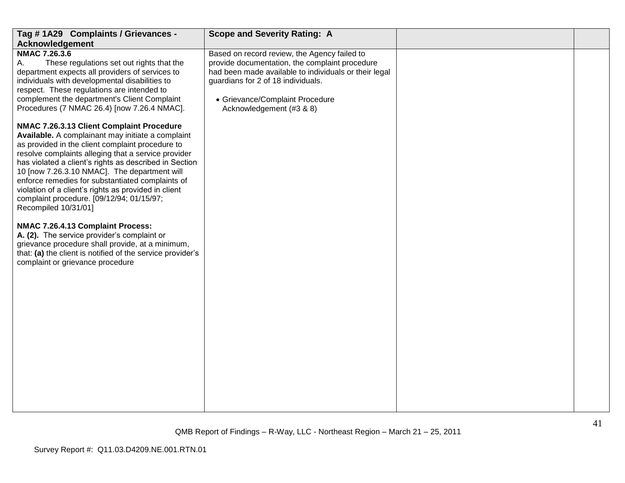| Tag #1A29 Complaints / Grievances -                                                                                                                                                                                                                                                                                                                                                                                                                                                                                                                                                                                                                                                                                                                                                                                                                                                                                                                                                                                                                                                                   | <b>Scope and Severity Rating: A</b>                                                                                                                                                                                                                          |    |
|-------------------------------------------------------------------------------------------------------------------------------------------------------------------------------------------------------------------------------------------------------------------------------------------------------------------------------------------------------------------------------------------------------------------------------------------------------------------------------------------------------------------------------------------------------------------------------------------------------------------------------------------------------------------------------------------------------------------------------------------------------------------------------------------------------------------------------------------------------------------------------------------------------------------------------------------------------------------------------------------------------------------------------------------------------------------------------------------------------|--------------------------------------------------------------------------------------------------------------------------------------------------------------------------------------------------------------------------------------------------------------|----|
|                                                                                                                                                                                                                                                                                                                                                                                                                                                                                                                                                                                                                                                                                                                                                                                                                                                                                                                                                                                                                                                                                                       |                                                                                                                                                                                                                                                              |    |
| <b>Acknowledgement</b><br><b>NMAC 7.26.3.6</b><br>A.<br>These regulations set out rights that the<br>department expects all providers of services to<br>individuals with developmental disabilities to<br>respect. These regulations are intended to<br>complement the department's Client Complaint<br>Procedures (7 NMAC 26.4) [now 7.26.4 NMAC].<br>NMAC 7.26.3.13 Client Complaint Procedure<br>Available. A complainant may initiate a complaint<br>as provided in the client complaint procedure to<br>resolve complaints alleging that a service provider<br>has violated a client's rights as described in Section<br>10 [now 7.26.3.10 NMAC]. The department will<br>enforce remedies for substantiated complaints of<br>violation of a client's rights as provided in client<br>complaint procedure. [09/12/94; 01/15/97;<br>Recompiled 10/31/01]<br>NMAC 7.26.4.13 Complaint Process:<br>A. (2). The service provider's complaint or<br>grievance procedure shall provide, at a minimum,<br>that: (a) the client is notified of the service provider's<br>complaint or grievance procedure | Based on record review, the Agency failed to<br>provide documentation, the complaint procedure<br>had been made available to individuals or their legal<br>guardians for 2 of 18 individuals.<br>• Grievance/Complaint Procedure<br>Acknowledgement (#3 & 8) |    |
|                                                                                                                                                                                                                                                                                                                                                                                                                                                                                                                                                                                                                                                                                                                                                                                                                                                                                                                                                                                                                                                                                                       |                                                                                                                                                                                                                                                              |    |
|                                                                                                                                                                                                                                                                                                                                                                                                                                                                                                                                                                                                                                                                                                                                                                                                                                                                                                                                                                                                                                                                                                       |                                                                                                                                                                                                                                                              | 41 |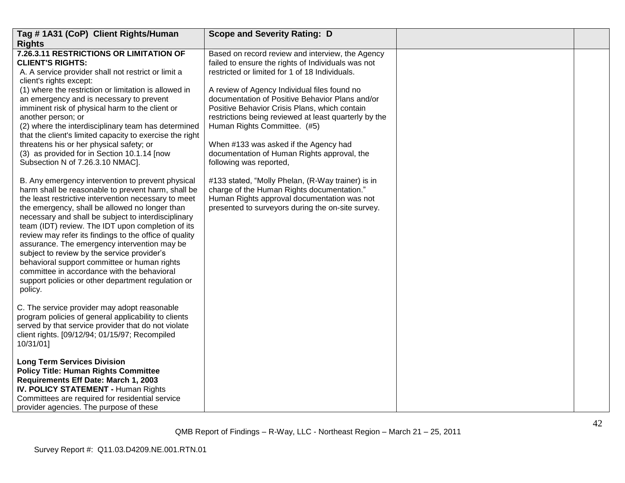| Tag #1A31 (CoP) Client Rights/Human                                                                                                                                                                                                                                                                                                                                                                                                                                                                                                                                                                                                                    | <b>Scope and Severity Rating: D</b>                                                                                                                                                                                                                                                                                                                                                                                                                                                                                      |  |
|--------------------------------------------------------------------------------------------------------------------------------------------------------------------------------------------------------------------------------------------------------------------------------------------------------------------------------------------------------------------------------------------------------------------------------------------------------------------------------------------------------------------------------------------------------------------------------------------------------------------------------------------------------|--------------------------------------------------------------------------------------------------------------------------------------------------------------------------------------------------------------------------------------------------------------------------------------------------------------------------------------------------------------------------------------------------------------------------------------------------------------------------------------------------------------------------|--|
| <b>Rights</b>                                                                                                                                                                                                                                                                                                                                                                                                                                                                                                                                                                                                                                          |                                                                                                                                                                                                                                                                                                                                                                                                                                                                                                                          |  |
| 7.26.3.11 RESTRICTIONS OR LIMITATION OF<br><b>CLIENT'S RIGHTS:</b><br>A. A service provider shall not restrict or limit a<br>client's rights except:<br>(1) where the restriction or limitation is allowed in<br>an emergency and is necessary to prevent<br>imminent risk of physical harm to the client or<br>another person; or<br>(2) where the interdisciplinary team has determined<br>that the client's limited capacity to exercise the right<br>threatens his or her physical safety; or<br>(3) as provided for in Section 10.1.14 [now<br>Subsection N of 7.26.3.10 NMAC].                                                                   | Based on record review and interview, the Agency<br>failed to ensure the rights of Individuals was not<br>restricted or limited for 1 of 18 Individuals.<br>A review of Agency Individual files found no<br>documentation of Positive Behavior Plans and/or<br>Positive Behavior Crisis Plans, which contain<br>restrictions being reviewed at least quarterly by the<br>Human Rights Committee. (#5)<br>When #133 was asked if the Agency had<br>documentation of Human Rights approval, the<br>following was reported, |  |
| B. Any emergency intervention to prevent physical<br>harm shall be reasonable to prevent harm, shall be<br>the least restrictive intervention necessary to meet<br>the emergency, shall be allowed no longer than<br>necessary and shall be subject to interdisciplinary<br>team (IDT) review. The IDT upon completion of its<br>review may refer its findings to the office of quality<br>assurance. The emergency intervention may be<br>subject to review by the service provider's<br>behavioral support committee or human rights<br>committee in accordance with the behavioral<br>support policies or other department regulation or<br>policy. | #133 stated, "Molly Phelan, (R-Way trainer) is in<br>charge of the Human Rights documentation."<br>Human Rights approval documentation was not<br>presented to surveyors during the on-site survey.                                                                                                                                                                                                                                                                                                                      |  |
| C. The service provider may adopt reasonable<br>program policies of general applicability to clients<br>served by that service provider that do not violate<br>client rights. [09/12/94; 01/15/97; Recompiled<br>10/31/01]                                                                                                                                                                                                                                                                                                                                                                                                                             |                                                                                                                                                                                                                                                                                                                                                                                                                                                                                                                          |  |
| <b>Long Term Services Division</b><br><b>Policy Title: Human Rights Committee</b><br>Requirements Eff Date: March 1, 2003<br><b>IV. POLICY STATEMENT - Human Rights</b><br>Committees are required for residential service<br>provider agencies. The purpose of these                                                                                                                                                                                                                                                                                                                                                                                  |                                                                                                                                                                                                                                                                                                                                                                                                                                                                                                                          |  |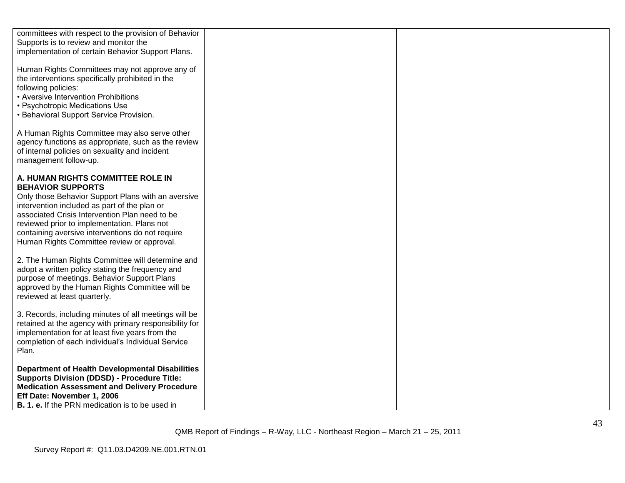| committees with respect to the provision of Behavior<br>Supports is to review and monitor the<br>implementation of certain Behavior Support Plans.                                                                                                                                                                                                                     |  |
|------------------------------------------------------------------------------------------------------------------------------------------------------------------------------------------------------------------------------------------------------------------------------------------------------------------------------------------------------------------------|--|
| Human Rights Committees may not approve any of<br>the interventions specifically prohibited in the<br>following policies:<br>• Aversive Intervention Prohibitions<br>· Psychotropic Medications Use<br>• Behavioral Support Service Provision.                                                                                                                         |  |
| A Human Rights Committee may also serve other<br>agency functions as appropriate, such as the review<br>of internal policies on sexuality and incident<br>management follow-up.                                                                                                                                                                                        |  |
| A. HUMAN RIGHTS COMMITTEE ROLE IN<br><b>BEHAVIOR SUPPORTS</b><br>Only those Behavior Support Plans with an aversive<br>intervention included as part of the plan or<br>associated Crisis Intervention Plan need to be<br>reviewed prior to implementation. Plans not<br>containing aversive interventions do not require<br>Human Rights Committee review or approval. |  |
| 2. The Human Rights Committee will determine and<br>adopt a written policy stating the frequency and<br>purpose of meetings. Behavior Support Plans<br>approved by the Human Rights Committee will be<br>reviewed at least quarterly.                                                                                                                                  |  |
| 3. Records, including minutes of all meetings will be<br>retained at the agency with primary responsibility for<br>implementation for at least five years from the<br>completion of each individual's Individual Service<br>Plan.                                                                                                                                      |  |
| <b>Department of Health Developmental Disabilities</b><br><b>Supports Division (DDSD) - Procedure Title:</b><br><b>Medication Assessment and Delivery Procedure</b><br>Eff Date: November 1, 2006<br><b>B. 1. e.</b> If the PRN medication is to be used in                                                                                                            |  |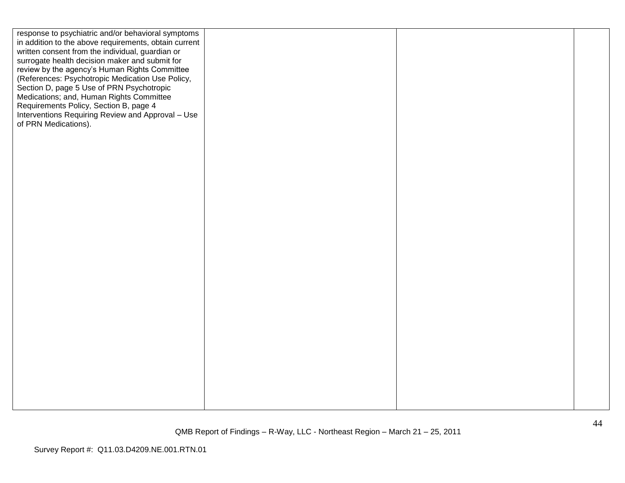| response to psychiatric and/or behavioral symptoms    |  |  |
|-------------------------------------------------------|--|--|
| in addition to the above requirements, obtain current |  |  |
| written consent from the individual, guardian or      |  |  |
| surrogate health decision maker and submit for        |  |  |
| review by the agency's Human Rights Committee         |  |  |
| (References: Psychotropic Medication Use Policy,      |  |  |
|                                                       |  |  |
| Section D, page 5 Use of PRN Psychotropic             |  |  |
| Medications; and, Human Rights Committee              |  |  |
| Requirements Policy, Section B, page 4                |  |  |
| Interventions Requiring Review and Approval - Use     |  |  |
| of PRN Medications).                                  |  |  |
|                                                       |  |  |
|                                                       |  |  |
|                                                       |  |  |
|                                                       |  |  |
|                                                       |  |  |
|                                                       |  |  |
|                                                       |  |  |
|                                                       |  |  |
|                                                       |  |  |
|                                                       |  |  |
|                                                       |  |  |
|                                                       |  |  |
|                                                       |  |  |
|                                                       |  |  |
|                                                       |  |  |
|                                                       |  |  |
|                                                       |  |  |
|                                                       |  |  |
|                                                       |  |  |
|                                                       |  |  |
|                                                       |  |  |
|                                                       |  |  |
|                                                       |  |  |
|                                                       |  |  |
|                                                       |  |  |
|                                                       |  |  |
|                                                       |  |  |
|                                                       |  |  |
|                                                       |  |  |
|                                                       |  |  |
|                                                       |  |  |
|                                                       |  |  |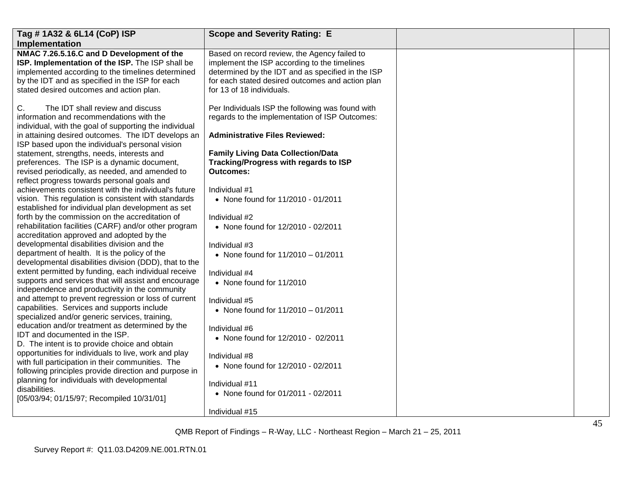| Tag # 1A32 & 6L14 (CoP) ISP                                                                                                                                                                                                                                                                                                                                                                                                                                                                                                                                                                                                                                                                                                                                                                                                                                                                                                                                                                                                                                                                                                                                                 | <b>Scope and Severity Rating: E</b>                                                                                                                                                                                                                                                                                                                                                                       |  |
|-----------------------------------------------------------------------------------------------------------------------------------------------------------------------------------------------------------------------------------------------------------------------------------------------------------------------------------------------------------------------------------------------------------------------------------------------------------------------------------------------------------------------------------------------------------------------------------------------------------------------------------------------------------------------------------------------------------------------------------------------------------------------------------------------------------------------------------------------------------------------------------------------------------------------------------------------------------------------------------------------------------------------------------------------------------------------------------------------------------------------------------------------------------------------------|-----------------------------------------------------------------------------------------------------------------------------------------------------------------------------------------------------------------------------------------------------------------------------------------------------------------------------------------------------------------------------------------------------------|--|
| Implementation                                                                                                                                                                                                                                                                                                                                                                                                                                                                                                                                                                                                                                                                                                                                                                                                                                                                                                                                                                                                                                                                                                                                                              |                                                                                                                                                                                                                                                                                                                                                                                                           |  |
| NMAC 7.26.5.16.C and D Development of the<br>ISP. Implementation of the ISP. The ISP shall be<br>implemented according to the timelines determined<br>by the IDT and as specified in the ISP for each<br>stated desired outcomes and action plan.                                                                                                                                                                                                                                                                                                                                                                                                                                                                                                                                                                                                                                                                                                                                                                                                                                                                                                                           | Based on record review, the Agency failed to<br>implement the ISP according to the timelines<br>determined by the IDT and as specified in the ISP<br>for each stated desired outcomes and action plan<br>for 13 of 18 individuals.                                                                                                                                                                        |  |
| C.<br>The IDT shall review and discuss<br>information and recommendations with the<br>individual, with the goal of supporting the individual<br>in attaining desired outcomes. The IDT develops an<br>ISP based upon the individual's personal vision<br>statement, strengths, needs, interests and<br>preferences. The ISP is a dynamic document,<br>revised periodically, as needed, and amended to<br>reflect progress towards personal goals and                                                                                                                                                                                                                                                                                                                                                                                                                                                                                                                                                                                                                                                                                                                        | Per Individuals ISP the following was found with<br>regards to the implementation of ISP Outcomes:<br><b>Administrative Files Reviewed:</b><br><b>Family Living Data Collection/Data</b><br>Tracking/Progress with regards to ISP<br><b>Outcomes:</b>                                                                                                                                                     |  |
| achievements consistent with the individual's future<br>vision. This regulation is consistent with standards<br>established for individual plan development as set<br>forth by the commission on the accreditation of<br>rehabilitation facilities (CARF) and/or other program<br>accreditation approved and adopted by the<br>developmental disabilities division and the<br>department of health. It is the policy of the<br>developmental disabilities division (DDD), that to the<br>extent permitted by funding, each individual receive<br>supports and services that will assist and encourage<br>independence and productivity in the community<br>and attempt to prevent regression or loss of current<br>capabilities. Services and supports include<br>specialized and/or generic services, training,<br>education and/or treatment as determined by the<br>IDT and documented in the ISP.<br>D. The intent is to provide choice and obtain<br>opportunities for individuals to live, work and play<br>with full participation in their communities. The<br>following principles provide direction and purpose in<br>planning for individuals with developmental | Individual #1<br>• None found for 11/2010 - 01/2011<br>Individual #2<br>• None found for 12/2010 - 02/2011<br>Individual #3<br>• None found for $11/2010 - 01/2011$<br>Individual #4<br>• None found for 11/2010<br>Individual #5<br>• None found for $11/2010 - 01/2011$<br>Individual #6<br>• None found for 12/2010 - 02/2011<br>Individual #8<br>• None found for 12/2010 - 02/2011<br>Individual #11 |  |
| disabilities.<br>[05/03/94; 01/15/97; Recompiled 10/31/01]                                                                                                                                                                                                                                                                                                                                                                                                                                                                                                                                                                                                                                                                                                                                                                                                                                                                                                                                                                                                                                                                                                                  | • None found for 01/2011 - 02/2011<br>Individual #15                                                                                                                                                                                                                                                                                                                                                      |  |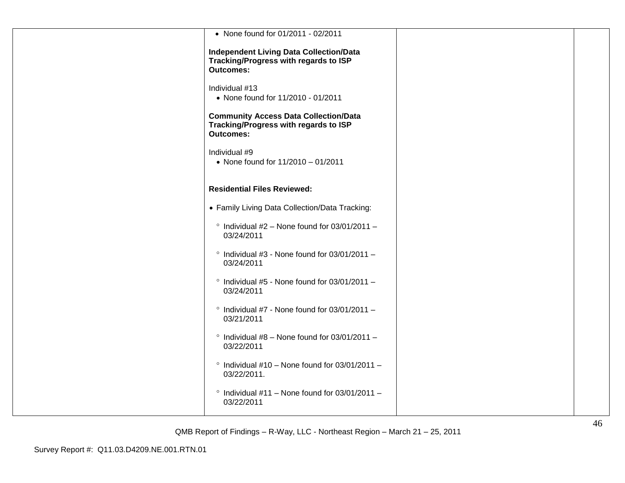| • None found for 01/2011 - 02/2011                                                                          |  |
|-------------------------------------------------------------------------------------------------------------|--|
| <b>Independent Living Data Collection/Data</b><br>Tracking/Progress with regards to ISP<br><b>Outcomes:</b> |  |
| Individual #13<br>• None found for 11/2010 - 01/2011                                                        |  |
| <b>Community Access Data Collection/Data</b><br>Tracking/Progress with regards to ISP<br><b>Outcomes:</b>   |  |
| Individual #9<br>• None found for 11/2010 - 01/2011                                                         |  |
| <b>Residential Files Reviewed:</b>                                                                          |  |
| • Family Living Data Collection/Data Tracking:                                                              |  |
| $\degree$ Individual #2 - None found for 03/01/2011 -<br>03/24/2011                                         |  |
| $\degree$ Individual #3 - None found for 03/01/2011 -<br>03/24/2011                                         |  |
| $\degree$ Individual #5 - None found for 03/01/2011 -<br>03/24/2011                                         |  |
| $\degree$ Individual #7 - None found for 03/01/2011 -<br>03/21/2011                                         |  |
| $\degree$ Individual #8 - None found for 03/01/2011 -<br>03/22/2011                                         |  |
| $\degree$ Individual #10 - None found for 03/01/2011 -<br>03/22/2011.                                       |  |
| $\degree$ Individual #11 - None found for 03/01/2011 -<br>03/22/2011                                        |  |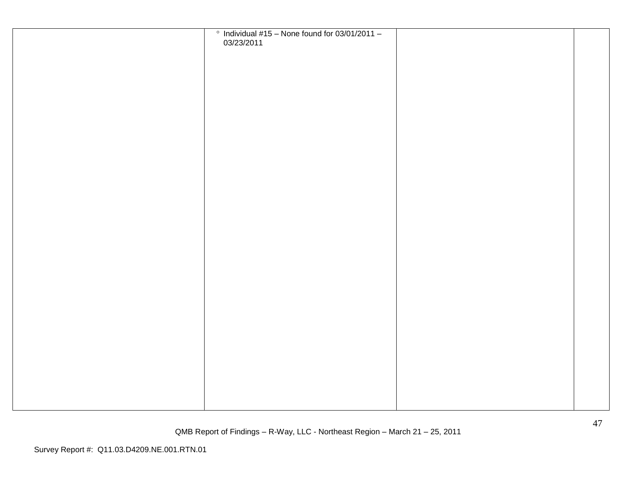| $\degree$ Individual #15 - None found for 03/01/2011 -<br>03/23/2011 |  |
|----------------------------------------------------------------------|--|
|                                                                      |  |
|                                                                      |  |
|                                                                      |  |
|                                                                      |  |
|                                                                      |  |
|                                                                      |  |
|                                                                      |  |
|                                                                      |  |
|                                                                      |  |
|                                                                      |  |
|                                                                      |  |
|                                                                      |  |
|                                                                      |  |
|                                                                      |  |
|                                                                      |  |
|                                                                      |  |
|                                                                      |  |
|                                                                      |  |
|                                                                      |  |
|                                                                      |  |
|                                                                      |  |
|                                                                      |  |
|                                                                      |  |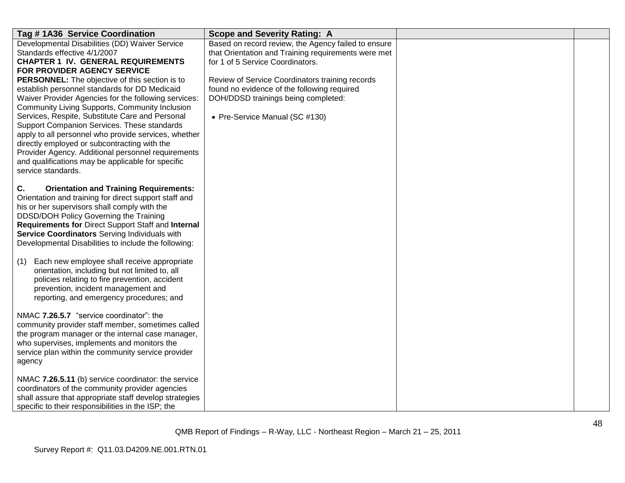| Tag # 1A36 Service Coordination                                                                                                                                                                                                                                                                                                                                                                                                                                                                                                                                                                                                                                                                                           | <b>Scope and Severity Rating: A</b>                                                                                                                                                                                                                                                                                       |  |
|---------------------------------------------------------------------------------------------------------------------------------------------------------------------------------------------------------------------------------------------------------------------------------------------------------------------------------------------------------------------------------------------------------------------------------------------------------------------------------------------------------------------------------------------------------------------------------------------------------------------------------------------------------------------------------------------------------------------------|---------------------------------------------------------------------------------------------------------------------------------------------------------------------------------------------------------------------------------------------------------------------------------------------------------------------------|--|
| Developmental Disabilities (DD) Waiver Service<br>Standards effective 4/1/2007<br><b>CHAPTER 1 IV. GENERAL REQUIREMENTS</b><br>FOR PROVIDER AGENCY SERVICE<br><b>PERSONNEL:</b> The objective of this section is to<br>establish personnel standards for DD Medicaid<br>Waiver Provider Agencies for the following services:<br>Community Living Supports, Community Inclusion<br>Services, Respite, Substitute Care and Personal<br>Support Companion Services. These standards<br>apply to all personnel who provide services, whether<br>directly employed or subcontracting with the<br>Provider Agency. Additional personnel requirements<br>and qualifications may be applicable for specific<br>service standards. | Based on record review, the Agency failed to ensure<br>that Orientation and Training requirements were met<br>for 1 of 5 Service Coordinators.<br>Review of Service Coordinators training records<br>found no evidence of the following required<br>DOH/DDSD trainings being completed:<br>• Pre-Service Manual (SC #130) |  |
| <b>Orientation and Training Requirements:</b><br>C.<br>Orientation and training for direct support staff and<br>his or her supervisors shall comply with the<br>DDSD/DOH Policy Governing the Training<br>Requirements for Direct Support Staff and Internal<br>Service Coordinators Serving Individuals with<br>Developmental Disabilities to include the following:<br>Each new employee shall receive appropriate<br>(1)<br>orientation, including but not limited to, all<br>policies relating to fire prevention, accident<br>prevention, incident management and<br>reporting, and emergency procedures; and                                                                                                        |                                                                                                                                                                                                                                                                                                                           |  |
| NMAC 7.26.5.7 "service coordinator": the<br>community provider staff member, sometimes called<br>the program manager or the internal case manager,<br>who supervises, implements and monitors the<br>service plan within the community service provider<br>agency                                                                                                                                                                                                                                                                                                                                                                                                                                                         |                                                                                                                                                                                                                                                                                                                           |  |
| NMAC 7.26.5.11 (b) service coordinator: the service<br>coordinators of the community provider agencies<br>shall assure that appropriate staff develop strategies<br>specific to their responsibilities in the ISP; the                                                                                                                                                                                                                                                                                                                                                                                                                                                                                                    |                                                                                                                                                                                                                                                                                                                           |  |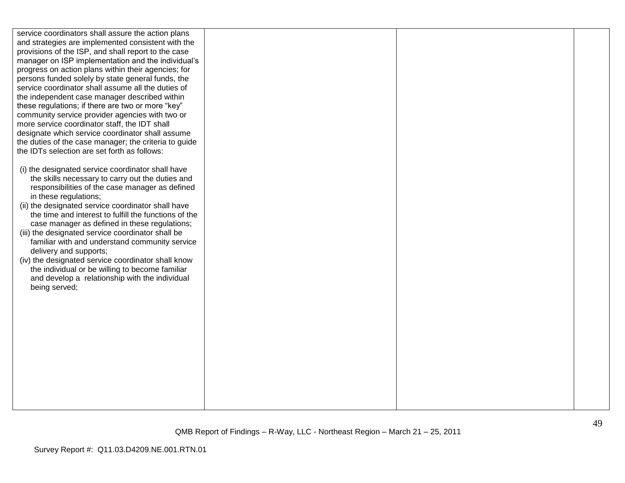service coordinators shall assure the action plans and strategies are implemented consistent with the provisions of the ISP, and shall report to the case manager on ISP implementation and the individual"s progress on action plans within their agencies; for persons funded solely by state general funds, the service coordinator shall assume all the duties of the independent case manager described within these regulations; if there are two or more "key" community service provider agencies with two or more service coordinator staff, the IDT shall designate which service coordinator shall assume the duties of the case manager; the criteria to guide the IDTs selection are set forth as follows:

- (i) the designated service coordinator shall have the skills necessary to carry out the duties and responsibilities of the case manager as defined in these regulations;
- (ii) the designated service coordinator shall have the time and interest to fulfill the functions of the case manager as defined in these regulations;
- (iii) the designated service coordinator shall be familiar with and understand community service delivery and supports;
- (iv) the designated service coordinator shall know the individual or be willing to become familiar and develop a relationship with the individual being served;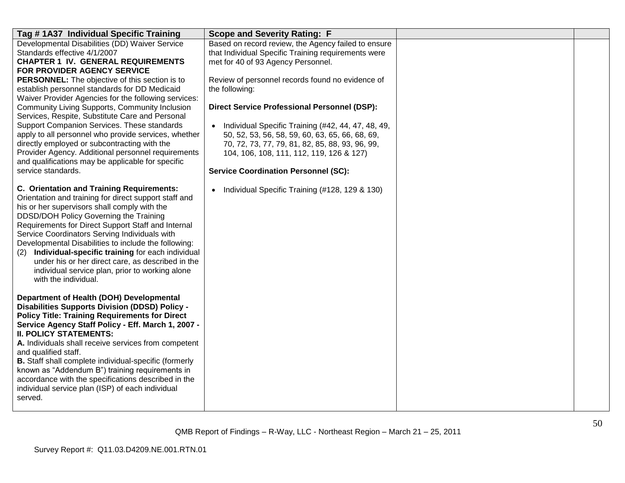| Tag #1A37 Individual Specific Training                                                                                                                                                                                                                                                                                                                                                                                                                                                                                                                                                                                                                                                                                                                                        | <b>Scope and Severity Rating: F</b>                                                                                                                                                                                                                                                                                                                                                                                                                                                                                                                                                                 |  |
|-------------------------------------------------------------------------------------------------------------------------------------------------------------------------------------------------------------------------------------------------------------------------------------------------------------------------------------------------------------------------------------------------------------------------------------------------------------------------------------------------------------------------------------------------------------------------------------------------------------------------------------------------------------------------------------------------------------------------------------------------------------------------------|-----------------------------------------------------------------------------------------------------------------------------------------------------------------------------------------------------------------------------------------------------------------------------------------------------------------------------------------------------------------------------------------------------------------------------------------------------------------------------------------------------------------------------------------------------------------------------------------------------|--|
| Developmental Disabilities (DD) Waiver Service<br>Standards effective 4/1/2007<br><b>CHAPTER 1 IV. GENERAL REQUIREMENTS</b><br>FOR PROVIDER AGENCY SERVICE<br><b>PERSONNEL:</b> The objective of this section is to<br>establish personnel standards for DD Medicaid<br>Waiver Provider Agencies for the following services:<br>Community Living Supports, Community Inclusion<br>Services, Respite, Substitute Care and Personal<br>Support Companion Services. These standards<br>apply to all personnel who provide services, whether<br>directly employed or subcontracting with the<br>Provider Agency. Additional personnel requirements<br>and qualifications may be applicable for specific<br>service standards.<br><b>C. Orientation and Training Requirements:</b> | Based on record review, the Agency failed to ensure<br>that Individual Specific Training requirements were<br>met for 40 of 93 Agency Personnel.<br>Review of personnel records found no evidence of<br>the following:<br><b>Direct Service Professional Personnel (DSP):</b><br>Individual Specific Training (#42, 44, 47, 48, 49,<br>50, 52, 53, 56, 58, 59, 60, 63, 65, 66, 68, 69,<br>70, 72, 73, 77, 79, 81, 82, 85, 88, 93, 96, 99,<br>104, 106, 108, 111, 112, 119, 126 & 127)<br><b>Service Coordination Personnel (SC):</b><br>Individual Specific Training (#128, 129 & 130)<br>$\bullet$ |  |
| Orientation and training for direct support staff and<br>his or her supervisors shall comply with the<br>DDSD/DOH Policy Governing the Training<br>Requirements for Direct Support Staff and Internal<br>Service Coordinators Serving Individuals with<br>Developmental Disabilities to include the following:<br>Individual-specific training for each individual<br>(2)<br>under his or her direct care, as described in the<br>individual service plan, prior to working alone<br>with the individual.                                                                                                                                                                                                                                                                     |                                                                                                                                                                                                                                                                                                                                                                                                                                                                                                                                                                                                     |  |
| Department of Health (DOH) Developmental<br><b>Disabilities Supports Division (DDSD) Policy -</b><br><b>Policy Title: Training Requirements for Direct</b><br>Service Agency Staff Policy - Eff. March 1, 2007 -<br><b>II. POLICY STATEMENTS:</b><br>A. Individuals shall receive services from competent<br>and qualified staff.<br>B. Staff shall complete individual-specific (formerly<br>known as "Addendum B") training requirements in<br>accordance with the specifications described in the<br>individual service plan (ISP) of each individual<br>served.                                                                                                                                                                                                           |                                                                                                                                                                                                                                                                                                                                                                                                                                                                                                                                                                                                     |  |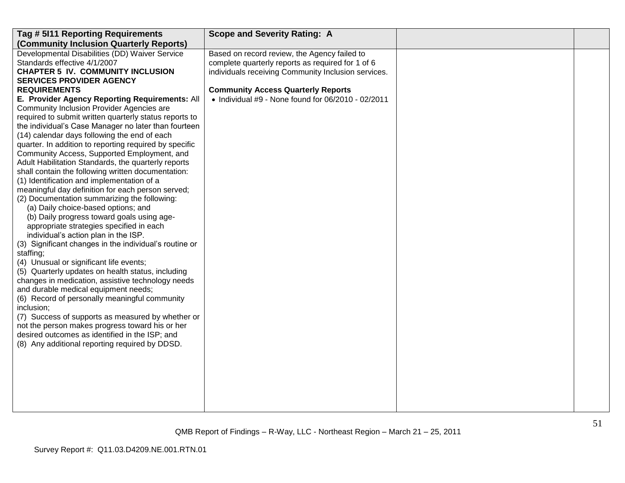| Tag # 5I11 Reporting Requirements                                                                | <b>Scope and Severity Rating: A</b>                 |  |
|--------------------------------------------------------------------------------------------------|-----------------------------------------------------|--|
| (Community Inclusion Quarterly Reports)                                                          |                                                     |  |
| Developmental Disabilities (DD) Waiver Service                                                   | Based on record review, the Agency failed to        |  |
| Standards effective 4/1/2007                                                                     | complete quarterly reports as required for 1 of 6   |  |
| <b>CHAPTER 5 IV. COMMUNITY INCLUSION</b>                                                         | individuals receiving Community Inclusion services. |  |
| <b>SERVICES PROVIDER AGENCY</b>                                                                  |                                                     |  |
| <b>REQUIREMENTS</b>                                                                              | <b>Community Access Quarterly Reports</b>           |  |
| E. Provider Agency Reporting Requirements: All                                                   | • Individual #9 - None found for 06/2010 - 02/2011  |  |
| Community Inclusion Provider Agencies are                                                        |                                                     |  |
| required to submit written quarterly status reports to                                           |                                                     |  |
| the individual's Case Manager no later than fourteen                                             |                                                     |  |
| (14) calendar days following the end of each                                                     |                                                     |  |
| quarter. In addition to reporting required by specific                                           |                                                     |  |
| Community Access, Supported Employment, and                                                      |                                                     |  |
| Adult Habilitation Standards, the quarterly reports                                              |                                                     |  |
| shall contain the following written documentation:<br>(1) Identification and implementation of a |                                                     |  |
| meaningful day definition for each person served;                                                |                                                     |  |
| (2) Documentation summarizing the following:                                                     |                                                     |  |
| (a) Daily choice-based options; and                                                              |                                                     |  |
| (b) Daily progress toward goals using age-                                                       |                                                     |  |
| appropriate strategies specified in each                                                         |                                                     |  |
| individual's action plan in the ISP.                                                             |                                                     |  |
| (3) Significant changes in the individual's routine or                                           |                                                     |  |
| staffing;                                                                                        |                                                     |  |
| (4) Unusual or significant life events;                                                          |                                                     |  |
| (5) Quarterly updates on health status, including                                                |                                                     |  |
| changes in medication, assistive technology needs                                                |                                                     |  |
| and durable medical equipment needs;                                                             |                                                     |  |
| (6) Record of personally meaningful community                                                    |                                                     |  |
| inclusion;                                                                                       |                                                     |  |
| (7) Success of supports as measured by whether or                                                |                                                     |  |
| not the person makes progress toward his or her                                                  |                                                     |  |
| desired outcomes as identified in the ISP; and                                                   |                                                     |  |
| (8) Any additional reporting required by DDSD.                                                   |                                                     |  |
|                                                                                                  |                                                     |  |
|                                                                                                  |                                                     |  |
|                                                                                                  |                                                     |  |
|                                                                                                  |                                                     |  |
|                                                                                                  |                                                     |  |
|                                                                                                  |                                                     |  |
|                                                                                                  |                                                     |  |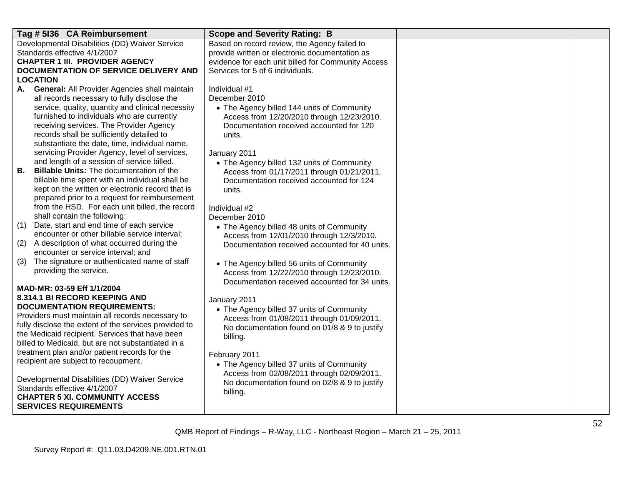| Tag # 5136 CA Reimbursement                                                                     | <b>Scope and Severity Rating: B</b>                                                          |  |
|-------------------------------------------------------------------------------------------------|----------------------------------------------------------------------------------------------|--|
| Developmental Disabilities (DD) Waiver Service                                                  | Based on record review, the Agency failed to                                                 |  |
| Standards effective 4/1/2007                                                                    | provide written or electronic documentation as                                               |  |
| <b>CHAPTER 1 III. PROVIDER AGENCY</b>                                                           | evidence for each unit billed for Community Access                                           |  |
| DOCUMENTATION OF SERVICE DELIVERY AND                                                           | Services for 5 of 6 individuals.                                                             |  |
| <b>LOCATION</b>                                                                                 |                                                                                              |  |
| A. General: All Provider Agencies shall maintain                                                | Individual #1                                                                                |  |
| all records necessary to fully disclose the                                                     | December 2010                                                                                |  |
| service, quality, quantity and clinical necessity                                               | • The Agency billed 144 units of Community                                                   |  |
| furnished to individuals who are currently                                                      | Access from 12/20/2010 through 12/23/2010.                                                   |  |
| receiving services. The Provider Agency                                                         | Documentation received accounted for 120                                                     |  |
| records shall be sufficiently detailed to                                                       | units.                                                                                       |  |
| substantiate the date, time, individual name,                                                   |                                                                                              |  |
| servicing Provider Agency, level of services,                                                   | January 2011                                                                                 |  |
| and length of a session of service billed.                                                      | • The Agency billed 132 units of Community                                                   |  |
| В.<br><b>Billable Units: The documentation of the</b>                                           | Access from 01/17/2011 through 01/21/2011.                                                   |  |
| billable time spent with an individual shall be                                                 | Documentation received accounted for 124                                                     |  |
| kept on the written or electronic record that is                                                | units.                                                                                       |  |
| prepared prior to a request for reimbursement<br>from the HSD. For each unit billed, the record |                                                                                              |  |
| shall contain the following:                                                                    | Individual #2                                                                                |  |
| Date, start and end time of each service<br>(1)                                                 | December 2010                                                                                |  |
| encounter or other billable service interval;                                                   | • The Agency billed 48 units of Community                                                    |  |
| (2)<br>A description of what occurred during the                                                | Access from 12/01/2010 through 12/3/2010.                                                    |  |
| encounter or service interval; and                                                              | Documentation received accounted for 40 units.                                               |  |
| (3)<br>The signature or authenticated name of staff                                             |                                                                                              |  |
| providing the service.                                                                          | • The Agency billed 56 units of Community                                                    |  |
|                                                                                                 | Access from 12/22/2010 through 12/23/2010.<br>Documentation received accounted for 34 units. |  |
| MAD-MR: 03-59 Eff 1/1/2004                                                                      |                                                                                              |  |
| 8.314.1 BI RECORD KEEPING AND                                                                   | January 2011                                                                                 |  |
| <b>DOCUMENTATION REQUIREMENTS:</b>                                                              | • The Agency billed 37 units of Community                                                    |  |
| Providers must maintain all records necessary to                                                | Access from 01/08/2011 through 01/09/2011.                                                   |  |
| fully disclose the extent of the services provided to                                           | No documentation found on 01/8 & 9 to justify                                                |  |
| the Medicaid recipient. Services that have been                                                 | billing.                                                                                     |  |
| billed to Medicaid, but are not substantiated in a                                              |                                                                                              |  |
| treatment plan and/or patient records for the                                                   | February 2011                                                                                |  |
| recipient are subject to recoupment.                                                            | • The Agency billed 37 units of Community                                                    |  |
|                                                                                                 | Access from 02/08/2011 through 02/09/2011.                                                   |  |
| Developmental Disabilities (DD) Waiver Service                                                  | No documentation found on 02/8 & 9 to justify                                                |  |
| Standards effective 4/1/2007                                                                    | billing.                                                                                     |  |
| <b>CHAPTER 5 XI. COMMUNITY ACCESS</b>                                                           |                                                                                              |  |
| <b>SERVICES REQUIREMENTS</b>                                                                    |                                                                                              |  |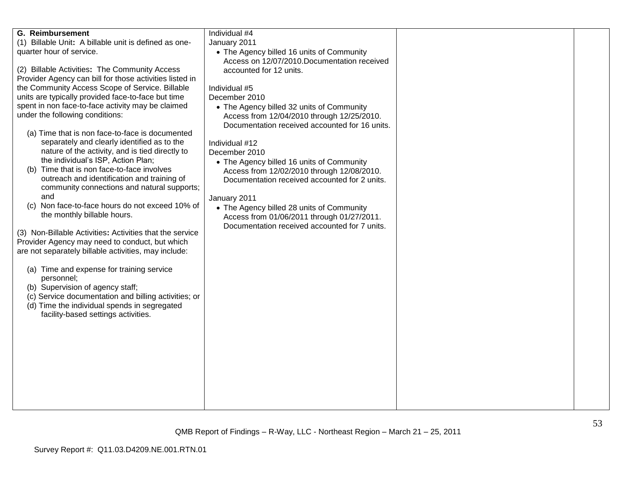| <b>G. Reimbursement</b>                                  | Individual #4                                  |  |
|----------------------------------------------------------|------------------------------------------------|--|
| (1) Billable Unit: A billable unit is defined as one-    | January 2011                                   |  |
| quarter hour of service.                                 | • The Agency billed 16 units of Community      |  |
|                                                          | Access on 12/07/2010. Documentation received   |  |
| (2) Billable Activities: The Community Access            | accounted for 12 units.                        |  |
| Provider Agency can bill for those activities listed in  |                                                |  |
| the Community Access Scope of Service. Billable          | Individual #5                                  |  |
| units are typically provided face-to-face but time       | December 2010                                  |  |
| spent in non face-to-face activity may be claimed        | • The Agency billed 32 units of Community      |  |
| under the following conditions:                          | Access from 12/04/2010 through 12/25/2010.     |  |
|                                                          | Documentation received accounted for 16 units. |  |
| (a) Time that is non face-to-face is documented          |                                                |  |
| separately and clearly identified as to the              | Individual #12                                 |  |
| nature of the activity, and is tied directly to          | December 2010                                  |  |
| the individual's ISP, Action Plan;                       | • The Agency billed 16 units of Community      |  |
| Time that is non face-to-face involves<br>(b)            | Access from 12/02/2010 through 12/08/2010.     |  |
| outreach and identification and training of              | Documentation received accounted for 2 units.  |  |
| community connections and natural supports;              |                                                |  |
| and                                                      | January 2011                                   |  |
| (c) Non face-to-face hours do not exceed 10% of          | • The Agency billed 28 units of Community      |  |
| the monthly billable hours.                              | Access from 01/06/2011 through 01/27/2011.     |  |
|                                                          | Documentation received accounted for 7 units.  |  |
| (3) Non-Billable Activities: Activities that the service |                                                |  |
| Provider Agency may need to conduct, but which           |                                                |  |
| are not separately billable activities, may include:     |                                                |  |
|                                                          |                                                |  |
| (a) Time and expense for training service                |                                                |  |
| personnel;                                               |                                                |  |
| (b) Supervision of agency staff;                         |                                                |  |
| (c) Service documentation and billing activities; or     |                                                |  |
| (d) Time the individual spends in segregated             |                                                |  |
| facility-based settings activities.                      |                                                |  |
|                                                          |                                                |  |
|                                                          |                                                |  |
|                                                          |                                                |  |
|                                                          |                                                |  |
|                                                          |                                                |  |
|                                                          |                                                |  |
|                                                          |                                                |  |
|                                                          |                                                |  |
|                                                          |                                                |  |
|                                                          |                                                |  |
|                                                          |                                                |  |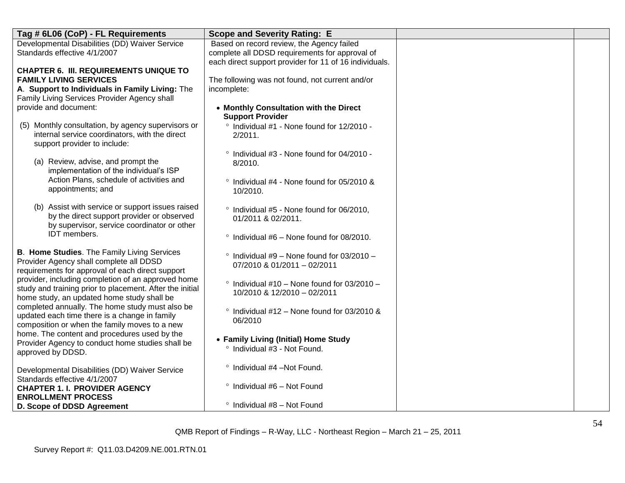| Tag # 6L06 (CoP) - FL Requirements                                                             | <b>Scope and Severity Rating: E</b>                    |  |
|------------------------------------------------------------------------------------------------|--------------------------------------------------------|--|
| Developmental Disabilities (DD) Waiver Service                                                 | Based on record review, the Agency failed              |  |
| Standards effective 4/1/2007                                                                   | complete all DDSD requirements for approval of         |  |
|                                                                                                | each direct support provider for 11 of 16 individuals. |  |
| <b>CHAPTER 6. III. REQUIREMENTS UNIQUE TO</b>                                                  |                                                        |  |
| <b>FAMILY LIVING SERVICES</b>                                                                  | The following was not found, not current and/or        |  |
| A. Support to Individuals in Family Living: The                                                | incomplete:                                            |  |
| Family Living Services Provider Agency shall                                                   |                                                        |  |
| provide and document:                                                                          | • Monthly Consultation with the Direct                 |  |
|                                                                                                | <b>Support Provider</b>                                |  |
| (5) Monthly consultation, by agency supervisors or                                             | ° Individual #1 - None found for 12/2010 -             |  |
| internal service coordinators, with the direct<br>support provider to include:                 | 2/2011.                                                |  |
|                                                                                                |                                                        |  |
| (a) Review, advise, and prompt the                                                             | ° Individual #3 - None found for 04/2010 -             |  |
| implementation of the individual's ISP                                                         | 8/2010.                                                |  |
| Action Plans, schedule of activities and                                                       | ° Individual #4 - None found for 05/2010 &             |  |
| appointments; and                                                                              | 10/2010.                                               |  |
|                                                                                                |                                                        |  |
| (b) Assist with service or support issues raised                                               | ° Individual #5 - None found for 06/2010,              |  |
| by the direct support provider or observed                                                     | 01/2011 & 02/2011.                                     |  |
| by supervisor, service coordinator or other                                                    |                                                        |  |
| IDT members.                                                                                   | $\degree$ Individual #6 – None found for 08/2010.      |  |
|                                                                                                |                                                        |  |
| <b>B. Home Studies.</b> The Family Living Services                                             | $\degree$ Individual #9 - None found for 03/2010 -     |  |
| Provider Agency shall complete all DDSD                                                        | 07/2010 & 01/2011 - 02/2011                            |  |
| requirements for approval of each direct support                                               |                                                        |  |
| provider, including completion of an approved home                                             | $\degree$ Individual #10 - None found for 03/2010 -    |  |
| study and training prior to placement. After the initial                                       | 10/2010 & 12/2010 - 02/2011                            |  |
| home study, an updated home study shall be                                                     |                                                        |  |
| completed annually. The home study must also be                                                | $\degree$ Individual #12 – None found for 03/2010 &    |  |
| updated each time there is a change in family<br>composition or when the family moves to a new | 06/2010                                                |  |
| home. The content and procedures used by the                                                   |                                                        |  |
| Provider Agency to conduct home studies shall be                                               | • Family Living (Initial) Home Study                   |  |
| approved by DDSD.                                                                              | ° Individual #3 - Not Found.                           |  |
|                                                                                                |                                                        |  |
| Developmental Disabilities (DD) Waiver Service                                                 | ° Individual #4 -Not Found.                            |  |
| Standards effective 4/1/2007                                                                   |                                                        |  |
| <b>CHAPTER 1. I. PROVIDER AGENCY</b>                                                           | $\degree$ Individual #6 - Not Found                    |  |
| <b>ENROLLMENT PROCESS</b>                                                                      |                                                        |  |
| D. Scope of DDSD Agreement                                                                     | $\degree$ Individual #8 - Not Found                    |  |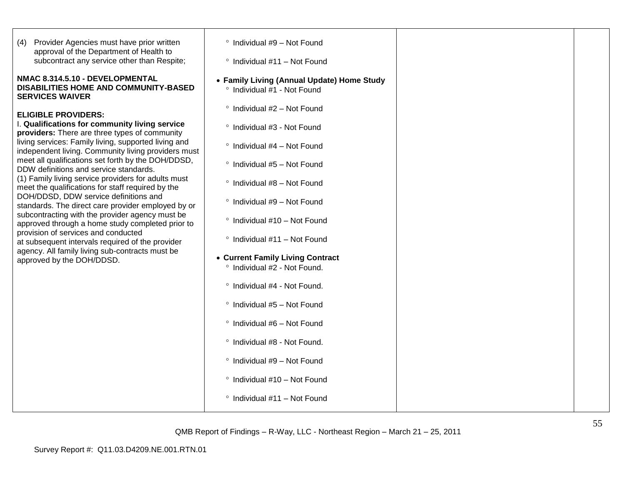| Provider Agencies must have prior written<br>(4)<br>approval of the Department of Health to<br>subcontract any service other than Respite;                                                                                  | ° Individual #9 - Not Found<br>$\degree$ Individual #11 - Not Found       |  |
|-----------------------------------------------------------------------------------------------------------------------------------------------------------------------------------------------------------------------------|---------------------------------------------------------------------------|--|
| NMAC 8.314.5.10 - DEVELOPMENTAL<br><b>DISABILITIES HOME AND COMMUNITY-BASED</b><br><b>SERVICES WAIVER</b>                                                                                                                   | • Family Living (Annual Update) Home Study<br>° Individual #1 - Not Found |  |
| <b>ELIGIBLE PROVIDERS:</b>                                                                                                                                                                                                  | ° Individual #2 - Not Found                                               |  |
| I. Qualifications for community living service<br>providers: There are three types of community<br>living services: Family living, supported living and                                                                     | ° Individual #3 - Not Found<br>$\degree$ Individual #4 - Not Found        |  |
| independent living. Community living providers must<br>meet all qualifications set forth by the DOH/DDSD,<br>DDW definitions and service standards.                                                                         | ° Individual #5 - Not Found                                               |  |
| (1) Family living service providers for adults must<br>meet the qualifications for staff required by the                                                                                                                    | ° Individual #8 - Not Found                                               |  |
| DOH/DDSD, DDW service definitions and<br>standards. The direct care provider employed by or<br>subcontracting with the provider agency must be                                                                              | ° Individual #9 - Not Found<br>° Individual #10 - Not Found               |  |
| approved through a home study completed prior to<br>provision of services and conducted<br>at subsequent intervals required of the provider<br>agency. All family living sub-contracts must be<br>approved by the DOH/DDSD. | $\degree$ Individual #11 - Not Found                                      |  |
|                                                                                                                                                                                                                             | • Current Family Living Contract<br>° Individual #2 - Not Found.          |  |
|                                                                                                                                                                                                                             | ° Individual #4 - Not Found.                                              |  |
|                                                                                                                                                                                                                             | ° Individual #5 - Not Found                                               |  |
|                                                                                                                                                                                                                             | ° Individual #6 - Not Found                                               |  |
|                                                                                                                                                                                                                             | ° Individual #8 - Not Found.<br>° Individual #9 - Not Found               |  |
|                                                                                                                                                                                                                             | ° Individual #10 - Not Found                                              |  |
|                                                                                                                                                                                                                             | $\degree$ Individual #11 - Not Found                                      |  |
|                                                                                                                                                                                                                             |                                                                           |  |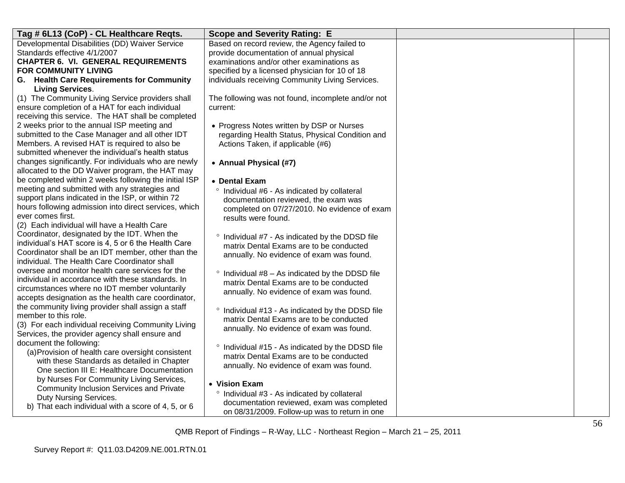| Tag # 6L13 (CoP) - CL Healthcare Reqts.                                                                   | <b>Scope and Severity Rating: E</b>                            |  |
|-----------------------------------------------------------------------------------------------------------|----------------------------------------------------------------|--|
| Developmental Disabilities (DD) Waiver Service                                                            | Based on record review, the Agency failed to                   |  |
| Standards effective 4/1/2007                                                                              | provide documentation of annual physical                       |  |
| <b>CHAPTER 6. VI. GENERAL REQUIREMENTS</b>                                                                | examinations and/or other examinations as                      |  |
| <b>FOR COMMUNITY LIVING</b>                                                                               | specified by a licensed physician for 10 of 18                 |  |
| G. Health Care Requirements for Community                                                                 | individuals receiving Community Living Services.               |  |
| <b>Living Services.</b>                                                                                   |                                                                |  |
| (1) The Community Living Service providers shall<br>ensure completion of a HAT for each individual        | The following was not found, incomplete and/or not<br>current: |  |
| receiving this service. The HAT shall be completed                                                        |                                                                |  |
| 2 weeks prior to the annual ISP meeting and                                                               | • Progress Notes written by DSP or Nurses                      |  |
| submitted to the Case Manager and all other IDT                                                           | regarding Health Status, Physical Condition and                |  |
| Members. A revised HAT is required to also be                                                             | Actions Taken, if applicable (#6)                              |  |
| submitted whenever the individual's health status                                                         |                                                                |  |
| changes significantly. For individuals who are newly                                                      | • Annual Physical (#7)                                         |  |
| allocated to the DD Waiver program, the HAT may                                                           |                                                                |  |
| be completed within 2 weeks following the initial ISP                                                     | • Dental Exam                                                  |  |
| meeting and submitted with any strategies and                                                             | ° Individual #6 - As indicated by collateral                   |  |
| support plans indicated in the ISP, or within 72                                                          | documentation reviewed, the exam was                           |  |
| hours following admission into direct services, which                                                     | completed on 07/27/2010. No evidence of exam                   |  |
| ever comes first.                                                                                         | results were found.                                            |  |
| (2) Each individual will have a Health Care                                                               |                                                                |  |
| Coordinator, designated by the IDT. When the                                                              | ° Individual #7 - As indicated by the DDSD file                |  |
| individual's HAT score is 4, 5 or 6 the Health Care<br>Coordinator shall be an IDT member, other than the | matrix Dental Exams are to be conducted                        |  |
| individual. The Health Care Coordinator shall                                                             | annually. No evidence of exam was found.                       |  |
| oversee and monitor health care services for the                                                          |                                                                |  |
| individual in accordance with these standards. In                                                         | $\degree$ Individual #8 - As indicated by the DDSD file        |  |
| circumstances where no IDT member voluntarily                                                             | matrix Dental Exams are to be conducted                        |  |
| accepts designation as the health care coordinator,                                                       | annually. No evidence of exam was found.                       |  |
| the community living provider shall assign a staff                                                        | ° Individual #13 - As indicated by the DDSD file               |  |
| member to this role.                                                                                      | matrix Dental Exams are to be conducted                        |  |
| (3) For each individual receiving Community Living                                                        | annually. No evidence of exam was found.                       |  |
| Services, the provider agency shall ensure and                                                            |                                                                |  |
| document the following:                                                                                   | Individual #15 - As indicated by the DDSD file                 |  |
| (a) Provision of health care oversight consistent                                                         | matrix Dental Exams are to be conducted                        |  |
| with these Standards as detailed in Chapter                                                               | annually. No evidence of exam was found.                       |  |
| One section III E: Healthcare Documentation                                                               |                                                                |  |
| by Nurses For Community Living Services,<br>Community Inclusion Services and Private                      | • Vision Exam                                                  |  |
| Duty Nursing Services.                                                                                    | ° Individual #3 - As indicated by collateral                   |  |
| b) That each individual with a score of 4, 5, or 6                                                        | documentation reviewed, exam was completed                     |  |
|                                                                                                           | on 08/31/2009. Follow-up was to return in one                  |  |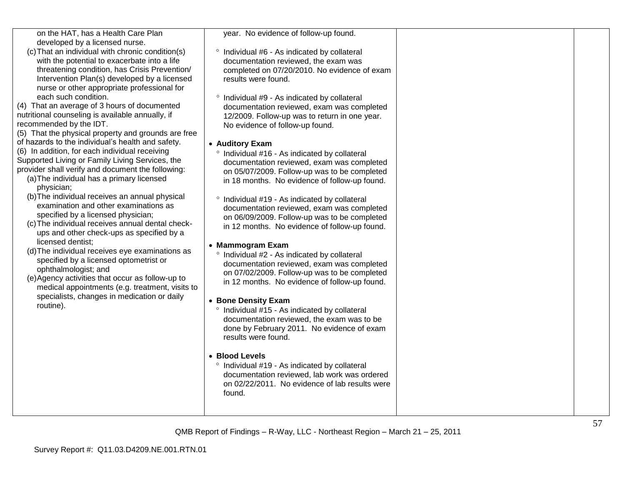| on the HAT, has a Health Care Plan |  |
|------------------------------------|--|
| developed by a licensed nurse.     |  |

(c)That an individual with chronic condition(s) with the potential to exacerbate into a life threatening condition, has Crisis Prevention/ Intervention Plan(s) developed by a licensed nurse or other appropriate professional for each such condition.

(4) That an average of 3 hours of documented nutritional counseling is available annually, if recommended by the IDT.

(5) That the physical property and grounds are free of hazards to the individual"s health and safety. (6) In addition, for each individual receiving Supported Living or Family Living Services, the provider shall verify and document the following:

- (a)The individual has a primary licensed physician;
- (b)The individual receives an annual physical examination and other examinations as specified by a licensed physician;
- (c)The individual receives annual dental check ups and other check -ups as specified by a licensed dentist;
- (d)The individual receives eye examinations as specified by a licensed optometrist or ophthalmologist; and
- (e)Agency activities that occur as follow -up to medical appointments (e.g. treatment, visits to specialists, changes in medication or daily routine).

year. No evidence of follow -up found.

- <sup>o</sup> Individual #6 As indicated by collateral documentation reviewed, the exam was completed on 07 /20/201 0. No evidence of exam results were found.
- <sup>o</sup> Individual #9 As indicated by collateral documentation reviewed, exam was completed 12/2009. Follow -up was to return in one year. No evidence of follow -up found.

## **Auditory Exam**

- $\degree$  Individual #16 As indicated by collateral documentation reviewed, exam was completed on 05 /07/2009. Follow -up was to be completed in 18 months. No evidence of follow -up found.
- <sup>o</sup> Individual #19 As indicated by collateral documentation reviewed, exam was completed on 06/09/2009. Follow -up was to be completed in 12 months. No evidence of follow -up found.

## **Mammogram Exam**

 $\degree$  Individual #2 - As indicated by collateral documentation reviewed, exam was completed on 07/02/2009. Follow -up was to be completed in 12 months. No evidence of follow -up found.

## **Bone Density Exam**

 $\degree$  Individual #15 - As indicated by collateral documentation reviewed, the exam was to be done by February 2011. No evidence of exam results were found.

#### **Blood Levels**

<sup>o</sup> Individual #19 - As indicated by collateral documentation reviewed, lab work was ordered on 02/22/2011. No evidence of lab results were found.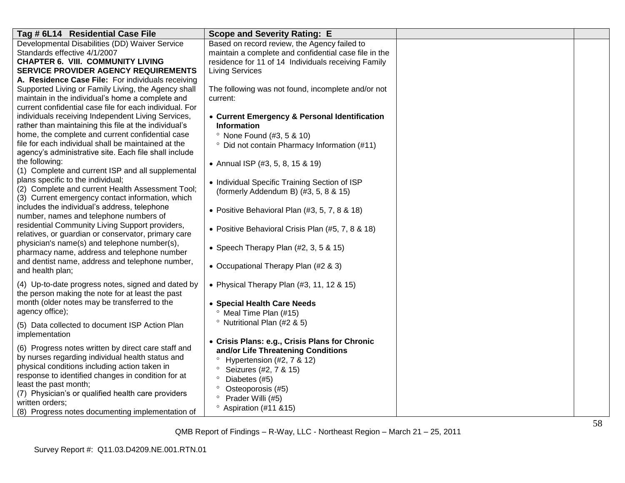| Tag # 6L14 Residential Case File                                                                 | <b>Scope and Severity Rating: E</b>                     |  |
|--------------------------------------------------------------------------------------------------|---------------------------------------------------------|--|
| Developmental Disabilities (DD) Waiver Service                                                   | Based on record review, the Agency failed to            |  |
| Standards effective 4/1/2007                                                                     | maintain a complete and confidential case file in the   |  |
| <b>CHAPTER 6. VIII. COMMUNITY LIVING</b>                                                         | residence for 11 of 14 Individuals receiving Family     |  |
| <b>SERVICE PROVIDER AGENCY REQUIREMENTS</b>                                                      | <b>Living Services</b>                                  |  |
| A. Residence Case File: For individuals receiving                                                |                                                         |  |
| Supported Living or Family Living, the Agency shall                                              | The following was not found, incomplete and/or not      |  |
| maintain in the individual's home a complete and                                                 | current:                                                |  |
| current confidential case file for each individual. For                                          |                                                         |  |
| individuals receiving Independent Living Services,                                               | • Current Emergency & Personal Identification           |  |
| rather than maintaining this file at the individual's                                            | <b>Information</b>                                      |  |
| home, the complete and current confidential case                                                 | <sup>o</sup> None Found (#3, 5 & 10)                    |  |
| file for each individual shall be maintained at the                                              | <sup>o</sup> Did not contain Pharmacy Information (#11) |  |
| agency's administrative site. Each file shall include                                            |                                                         |  |
| the following:                                                                                   | • Annual ISP (#3, 5, 8, 15 & 19)                        |  |
| (1) Complete and current ISP and all supplemental                                                |                                                         |  |
| plans specific to the individual;                                                                | • Individual Specific Training Section of ISP           |  |
| (2) Complete and current Health Assessment Tool;                                                 | (formerly Addendum B) (#3, 5, 8 & 15)                   |  |
| (3) Current emergency contact information, which<br>includes the individual's address, telephone |                                                         |  |
| number, names and telephone numbers of                                                           | • Positive Behavioral Plan (#3, 5, 7, 8 & 18)           |  |
| residential Community Living Support providers,                                                  |                                                         |  |
| relatives, or guardian or conservator, primary care                                              | • Positive Behavioral Crisis Plan (#5, 7, 8 & 18)       |  |
| physician's name(s) and telephone number(s),                                                     |                                                         |  |
| pharmacy name, address and telephone number                                                      | • Speech Therapy Plan $(\#2, 3, 5 \& 15)$               |  |
| and dentist name, address and telephone number,                                                  |                                                         |  |
| and health plan;                                                                                 | • Occupational Therapy Plan (#2 & 3)                    |  |
|                                                                                                  |                                                         |  |
| (4) Up-to-date progress notes, signed and dated by                                               | • Physical Therapy Plan $(#3, 11, 12, 8, 15)$           |  |
| the person making the note for at least the past                                                 |                                                         |  |
| month (older notes may be transferred to the                                                     | • Special Health Care Needs                             |  |
| agency office);                                                                                  | <sup>o</sup> Meal Time Plan (#15)                       |  |
| (5) Data collected to document ISP Action Plan                                                   | <sup>o</sup> Nutritional Plan (#2 & 5)                  |  |
| implementation                                                                                   |                                                         |  |
|                                                                                                  | • Crisis Plans: e.g., Crisis Plans for Chronic          |  |
| (6) Progress notes written by direct care staff and                                              | and/or Life Threatening Conditions                      |  |
| by nurses regarding individual health status and                                                 | Hypertension (#2, 7 & 12)                               |  |
| physical conditions including action taken in                                                    | Seizures (#2, 7 & 15)<br>$\circ$                        |  |
| response to identified changes in condition for at<br>least the past month;                      | Diabetes (#5)                                           |  |
| (7) Physician's or qualified health care providers                                               | Osteoporosis (#5)                                       |  |
| written orders;                                                                                  | Prader Willi (#5)                                       |  |
| (8) Progress notes documenting implementation of                                                 | <sup>o</sup> Aspiration (#11 & 15)                      |  |
|                                                                                                  |                                                         |  |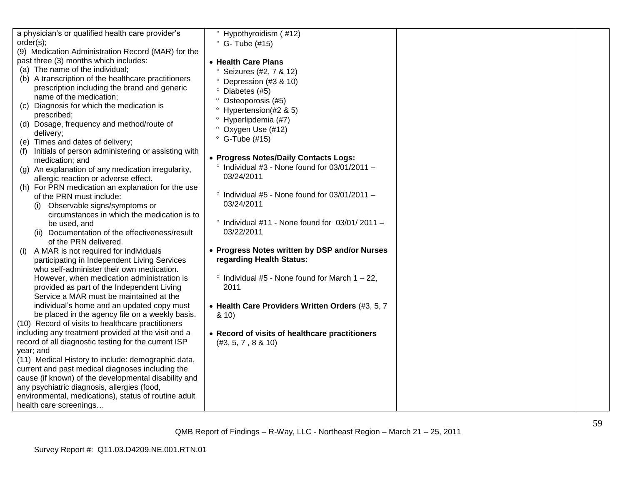|           | a physician's or qualified health care provider's      | <sup>o</sup> Hypothyroidism (#12)                      |  |
|-----------|--------------------------------------------------------|--------------------------------------------------------|--|
| order(s); |                                                        | $\degree$ G-Tube (#15)                                 |  |
|           | (9) Medication Administration Record (MAR) for the     |                                                        |  |
|           | past three (3) months which includes:                  | • Health Care Plans                                    |  |
|           | (a) The name of the individual;                        | <sup>o</sup> Seizures (#2, 7 & 12)                     |  |
|           | (b) A transcription of the healthcare practitioners    | <sup>o</sup> Depression (#3 & 10)                      |  |
|           | prescription including the brand and generic           | ° Diabetes (#5)                                        |  |
|           | name of the medication;                                | $\circ$<br>Osteoporosis (#5)                           |  |
|           | (c) Diagnosis for which the medication is              | $\circ$<br>Hypertension(#2 & 5)                        |  |
|           | prescribed;                                            | Hyperlipdemia (#7)                                     |  |
|           | (d) Dosage, frequency and method/route of              |                                                        |  |
|           | delivery;                                              | ° Oxygen Use (#12)                                     |  |
|           | (e) Times and dates of delivery;                       | $\degree$ G-Tube (#15)                                 |  |
|           | (f) Initials of person administering or assisting with |                                                        |  |
|           | medication; and                                        | • Progress Notes/Daily Contacts Logs:                  |  |
|           | (g) An explanation of any medication irregularity,     | $\degree$ Individual #3 - None found for 03/01/2011 -  |  |
|           | allergic reaction or adverse effect.                   | 03/24/2011                                             |  |
|           | (h) For PRN medication an explanation for the use      |                                                        |  |
|           | of the PRN must include:                               | $\degree$ Individual #5 - None found for 03/01/2011 -  |  |
|           | (i) Observable signs/symptoms or                       | 03/24/2011                                             |  |
|           | circumstances in which the medication is to            |                                                        |  |
|           | be used, and                                           | $\degree$ Individual #11 - None found for 03/01/2011 - |  |
|           | (ii) Documentation of the effectiveness/result         | 03/22/2011                                             |  |
|           | of the PRN delivered.                                  |                                                        |  |
|           | A MAR is not required for individuals                  | • Progress Notes written by DSP and/or Nurses          |  |
|           | participating in Independent Living Services           | regarding Health Status:                               |  |
|           | who self-administer their own medication.              |                                                        |  |
|           | However, when medication administration is             | $\degree$ Individual #5 - None found for March 1 - 22, |  |
|           | provided as part of the Independent Living             | 2011                                                   |  |
|           | Service a MAR must be maintained at the                |                                                        |  |
|           | individual's home and an updated copy must             | • Health Care Providers Written Orders (#3, 5, 7       |  |
|           | be placed in the agency file on a weekly basis.        | 8.10                                                   |  |
|           | (10) Record of visits to healthcare practitioners      |                                                        |  |
|           | including any treatment provided at the visit and a    | • Record of visits of healthcare practitioners         |  |
|           | record of all diagnostic testing for the current ISP   | (#3, 5, 7, 8 & 10)                                     |  |
| year; and |                                                        |                                                        |  |
|           | (11) Medical History to include: demographic data,     |                                                        |  |
|           | current and past medical diagnoses including the       |                                                        |  |
|           | cause (if known) of the developmental disability and   |                                                        |  |
|           | any psychiatric diagnosis, allergies (food,            |                                                        |  |
|           | environmental, medications), status of routine adult   |                                                        |  |
|           | health care screenings                                 |                                                        |  |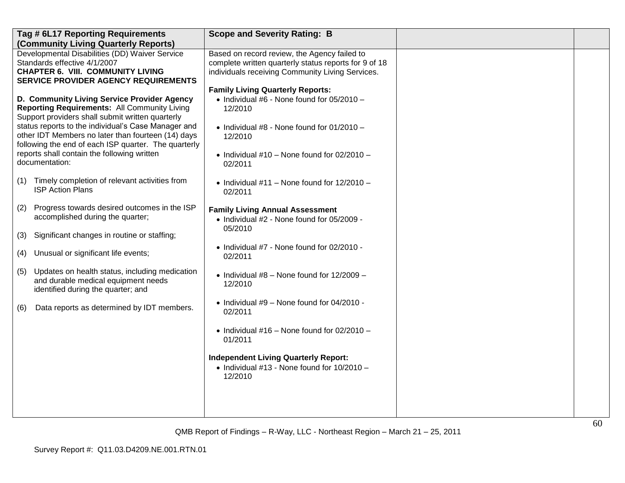|     | Tag # 6L17 Reporting Requirements<br>(Community Living Quarterly Reports)                                                                                                                                                                                                                                                                                                                    | <b>Scope and Severity Rating: B</b>                                                                                                                                                                                             |  |
|-----|----------------------------------------------------------------------------------------------------------------------------------------------------------------------------------------------------------------------------------------------------------------------------------------------------------------------------------------------------------------------------------------------|---------------------------------------------------------------------------------------------------------------------------------------------------------------------------------------------------------------------------------|--|
|     | Developmental Disabilities (DD) Waiver Service<br>Standards effective 4/1/2007<br><b>CHAPTER 6. VIII. COMMUNITY LIVING</b><br><b>SERVICE PROVIDER AGENCY REQUIREMENTS</b>                                                                                                                                                                                                                    | Based on record review, the Agency failed to<br>complete written quarterly status reports for 9 of 18<br>individuals receiving Community Living Services.                                                                       |  |
|     | D. Community Living Service Provider Agency<br><b>Reporting Requirements: All Community Living</b><br>Support providers shall submit written quarterly<br>status reports to the individual's Case Manager and<br>other IDT Members no later than fourteen (14) days<br>following the end of each ISP quarter. The quarterly<br>reports shall contain the following written<br>documentation: | <b>Family Living Quarterly Reports:</b><br>• Individual #6 - None found for $05/2010 -$<br>12/2010<br>$\bullet$ Individual #8 - None found for 01/2010 -<br>12/2010<br>• Individual #10 - None found for $02/2010 -$<br>02/2011 |  |
| (1) | Timely completion of relevant activities from<br><b>ISP Action Plans</b>                                                                                                                                                                                                                                                                                                                     | • Individual $#11$ – None found for $12/2010$ –<br>02/2011                                                                                                                                                                      |  |
| (2) | Progress towards desired outcomes in the ISP<br>accomplished during the quarter;                                                                                                                                                                                                                                                                                                             | <b>Family Living Annual Assessment</b><br>• Individual #2 - None found for 05/2009 -                                                                                                                                            |  |
| (3) | Significant changes in routine or staffing;                                                                                                                                                                                                                                                                                                                                                  | 05/2010                                                                                                                                                                                                                         |  |
| (4) | Unusual or significant life events;                                                                                                                                                                                                                                                                                                                                                          | • Individual #7 - None found for 02/2010 -<br>02/2011                                                                                                                                                                           |  |
| (5) | Updates on health status, including medication<br>and durable medical equipment needs<br>identified during the quarter; and                                                                                                                                                                                                                                                                  | • Individual $#8$ – None found for $12/2009$ –<br>12/2010                                                                                                                                                                       |  |
| (6) | Data reports as determined by IDT members.                                                                                                                                                                                                                                                                                                                                                   | $\bullet$ Individual #9 - None found for 04/2010 -<br>02/2011                                                                                                                                                                   |  |
|     |                                                                                                                                                                                                                                                                                                                                                                                              | • Individual #16 - None found for $02/2010 -$<br>01/2011                                                                                                                                                                        |  |
|     |                                                                                                                                                                                                                                                                                                                                                                                              | <b>Independent Living Quarterly Report:</b><br>$\bullet$ Individual #13 - None found for 10/2010 -<br>12/2010                                                                                                                   |  |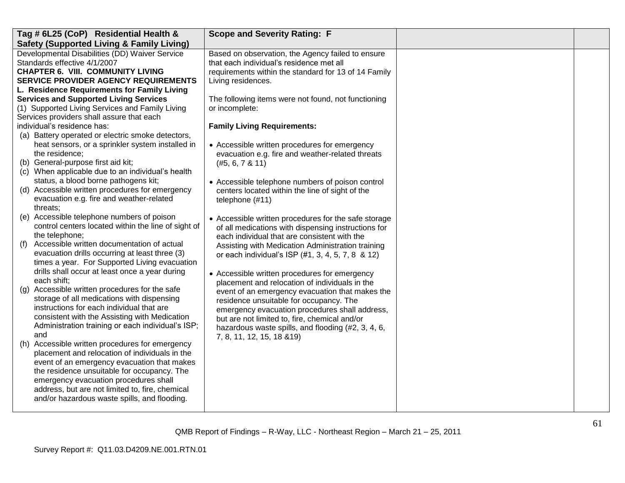| Tag # 6L25 (CoP) Residential Health &                                                   | <b>Scope and Severity Rating: F</b>                  |  |
|-----------------------------------------------------------------------------------------|------------------------------------------------------|--|
| <b>Safety (Supported Living &amp; Family Living)</b>                                    |                                                      |  |
| Developmental Disabilities (DD) Waiver Service                                          | Based on observation, the Agency failed to ensure    |  |
| Standards effective 4/1/2007                                                            | that each individual's residence met all             |  |
| <b>CHAPTER 6. VIII. COMMUNITY LIVING</b>                                                | requirements within the standard for 13 of 14 Family |  |
| <b>SERVICE PROVIDER AGENCY REQUIREMENTS</b>                                             | Living residences.                                   |  |
| L. Residence Requirements for Family Living                                             |                                                      |  |
| <b>Services and Supported Living Services</b>                                           | The following items were not found, not functioning  |  |
| (1) Supported Living Services and Family Living                                         | or incomplete:                                       |  |
| Services providers shall assure that each                                               |                                                      |  |
| individual's residence has:                                                             | <b>Family Living Requirements:</b>                   |  |
| (a) Battery operated or electric smoke detectors,                                       |                                                      |  |
| heat sensors, or a sprinkler system installed in                                        | • Accessible written procedures for emergency        |  |
| the residence;                                                                          | evacuation e.g. fire and weather-related threats     |  |
| (b) General-purpose first aid kit;                                                      | (#5, 6, 7 & 11)                                      |  |
| (c) When applicable due to an individual's health                                       |                                                      |  |
| status, a blood borne pathogens kit;                                                    | • Accessible telephone numbers of poison control     |  |
| (d) Accessible written procedures for emergency                                         | centers located within the line of sight of the      |  |
| evacuation e.g. fire and weather-related                                                | telephone (#11)                                      |  |
| threats;                                                                                |                                                      |  |
| (e) Accessible telephone numbers of poison                                              | • Accessible written procedures for the safe storage |  |
| control centers located within the line of sight of                                     | of all medications with dispensing instructions for  |  |
| the telephone;                                                                          | each individual that are consistent with the         |  |
| Accessible written documentation of actual<br>(f)                                       | Assisting with Medication Administration training    |  |
| evacuation drills occurring at least three (3)                                          | or each individual's ISP (#1, 3, 4, 5, 7, 8 & 12)    |  |
| times a year. For Supported Living evacuation                                           |                                                      |  |
| drills shall occur at least once a year during                                          | • Accessible written procedures for emergency        |  |
| each shift;                                                                             | placement and relocation of individuals in the       |  |
| Accessible written procedures for the safe<br>$\left( q\right)$                         | event of an emergency evacuation that makes the      |  |
| storage of all medications with dispensing<br>instructions for each individual that are | residence unsuitable for occupancy. The              |  |
|                                                                                         | emergency evacuation procedures shall address,       |  |
| consistent with the Assisting with Medication                                           | but are not limited to, fire, chemical and/or        |  |
| Administration training or each individual's ISP;                                       | hazardous waste spills, and flooding (#2, 3, 4, 6,   |  |
| and<br>Accessible written procedures for emergency                                      | 7, 8, 11, 12, 15, 18 & 19)                           |  |
| (h)<br>placement and relocation of individuals in the                                   |                                                      |  |
| event of an emergency evacuation that makes                                             |                                                      |  |
| the residence unsuitable for occupancy. The                                             |                                                      |  |
| emergency evacuation procedures shall                                                   |                                                      |  |
| address, but are not limited to, fire, chemical                                         |                                                      |  |
| and/or hazardous waste spills, and flooding.                                            |                                                      |  |
|                                                                                         |                                                      |  |
|                                                                                         |                                                      |  |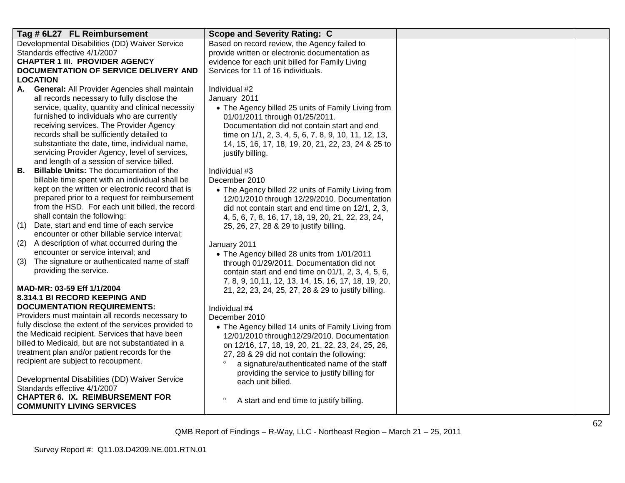|           | Tag # 6L27 FL Reimbursement                                            | <b>Scope and Severity Rating: C</b>                  |  |
|-----------|------------------------------------------------------------------------|------------------------------------------------------|--|
|           | Developmental Disabilities (DD) Waiver Service                         | Based on record review, the Agency failed to         |  |
|           | Standards effective 4/1/2007                                           | provide written or electronic documentation as       |  |
|           | <b>CHAPTER 1 III. PROVIDER AGENCY</b>                                  | evidence for each unit billed for Family Living      |  |
|           | DOCUMENTATION OF SERVICE DELIVERY AND                                  | Services for 11 of 16 individuals.                   |  |
|           | <b>LOCATION</b>                                                        |                                                      |  |
|           | A. General: All Provider Agencies shall maintain                       | Individual #2                                        |  |
|           | all records necessary to fully disclose the                            | January 2011                                         |  |
|           | service, quality, quantity and clinical necessity                      | • The Agency billed 25 units of Family Living from   |  |
|           | furnished to individuals who are currently                             | 01/01/2011 through 01/25/2011.                       |  |
|           | receiving services. The Provider Agency                                | Documentation did not contain start and end          |  |
|           | records shall be sufficiently detailed to                              | time on 1/1, 2, 3, 4, 5, 6, 7, 8, 9, 10, 11, 12, 13, |  |
|           | substantiate the date, time, individual name,                          | 14, 15, 16, 17, 18, 19, 20, 21, 22, 23, 24 & 25 to   |  |
|           | servicing Provider Agency, level of services,                          | justify billing.                                     |  |
|           | and length of a session of service billed.                             |                                                      |  |
| <b>B.</b> | <b>Billable Units:</b> The documentation of the                        | Individual #3                                        |  |
|           | billable time spent with an individual shall be                        | December 2010                                        |  |
|           | kept on the written or electronic record that is                       | • The Agency billed 22 units of Family Living from   |  |
|           | prepared prior to a request for reimbursement                          | 12/01/2010 through 12/29/2010. Documentation         |  |
|           | from the HSD. For each unit billed, the record                         | did not contain start and end time on 12/1, 2, 3,    |  |
|           | shall contain the following:                                           | 4, 5, 6, 7, 8, 16, 17, 18, 19, 20, 21, 22, 23, 24,   |  |
| (1)       | Date, start and end time of each service                               | 25, 26, 27, 28 & 29 to justify billing.              |  |
|           | encounter or other billable service interval;                          |                                                      |  |
| (2)       | A description of what occurred during the                              | January 2011                                         |  |
|           | encounter or service interval; and                                     | • The Agency billed 28 units from 1/01/2011          |  |
| (3)       | The signature or authenticated name of staff<br>providing the service. | through 01/29/2011. Documentation did not            |  |
|           |                                                                        | contain start and end time on 01/1, 2, 3, 4, 5, 6,   |  |
|           | MAD-MR: 03-59 Eff 1/1/2004                                             | 7, 8, 9, 10, 11, 12, 13, 14, 15, 16, 17, 18, 19, 20, |  |
|           | 8.314.1 BI RECORD KEEPING AND                                          | 21, 22, 23, 24, 25, 27, 28 & 29 to justify billing.  |  |
|           | <b>DOCUMENTATION REQUIREMENTS:</b>                                     | Individual #4                                        |  |
|           | Providers must maintain all records necessary to                       | December 2010                                        |  |
|           | fully disclose the extent of the services provided to                  | • The Agency billed 14 units of Family Living from   |  |
|           | the Medicaid recipient. Services that have been                        | 12/01/2010 through 12/29/2010. Documentation         |  |
|           | billed to Medicaid, but are not substantiated in a                     | on 12/16, 17, 18, 19, 20, 21, 22, 23, 24, 25, 26,    |  |
|           | treatment plan and/or patient records for the                          | 27, 28 & 29 did not contain the following:           |  |
|           | recipient are subject to recoupment.                                   | a signature/authenticated name of the staff          |  |
|           |                                                                        | providing the service to justify billing for         |  |
|           | Developmental Disabilities (DD) Waiver Service                         | each unit billed.                                    |  |
|           | Standards effective 4/1/2007                                           |                                                      |  |
|           | <b>CHAPTER 6. IX. REIMBURSEMENT FOR</b>                                | $\circ$<br>A start and end time to justify billing.  |  |
|           | <b>COMMUNITY LIVING SERVICES</b>                                       |                                                      |  |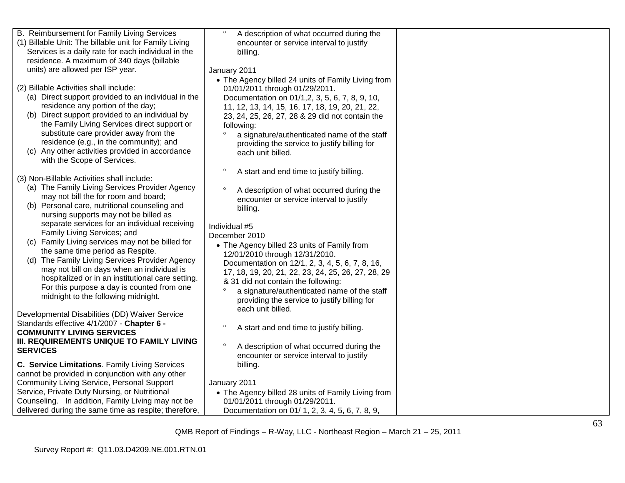| B. Reimbursement for Family Living Services            | $\circ$<br>A description of what occurred during the   |  |
|--------------------------------------------------------|--------------------------------------------------------|--|
| (1) Billable Unit: The billable unit for Family Living | encounter or service interval to justify               |  |
| Services is a daily rate for each individual in the    | billing.                                               |  |
| residence. A maximum of 340 days (billable             |                                                        |  |
| units) are allowed per ISP year.                       | January 2011                                           |  |
|                                                        | • The Agency billed 24 units of Family Living from     |  |
| (2) Billable Activities shall include:                 | 01/01/2011 through 01/29/2011.                         |  |
| (a) Direct support provided to an individual in the    | Documentation on 01/1,2, 3, 5, 6, 7, 8, 9, 10,         |  |
| residence any portion of the day;                      | 11, 12, 13, 14, 15, 16, 17, 18, 19, 20, 21, 22,        |  |
| (b) Direct support provided to an individual by        | 23, 24, 25, 26, 27, 28 & 29 did not contain the        |  |
| the Family Living Services direct support or           | following:                                             |  |
| substitute care provider away from the                 | $\circ$<br>a signature/authenticated name of the staff |  |
| residence (e.g., in the community); and                | providing the service to justify billing for           |  |
| (c) Any other activities provided in accordance        | each unit billed.                                      |  |
| with the Scope of Services.                            |                                                        |  |
|                                                        | $\circ$<br>A start and end time to justify billing.    |  |
| (3) Non-Billable Activities shall include:             |                                                        |  |
| (a) The Family Living Services Provider Agency         | $\circ$<br>A description of what occurred during the   |  |
| may not bill the for room and board;                   | encounter or service interval to justify               |  |
| (b) Personal care, nutritional counseling and          | billing.                                               |  |
| nursing supports may not be billed as                  |                                                        |  |
| separate services for an individual receiving          | Individual #5                                          |  |
| Family Living Services; and                            | December 2010                                          |  |
| (c) Family Living services may not be billed for       | • The Agency billed 23 units of Family from            |  |
| the same time period as Respite.                       | 12/01/2010 through 12/31/2010.                         |  |
| (d) The Family Living Services Provider Agency         | Documentation on 12/1, 2, 3, 4, 5, 6, 7, 8, 16,        |  |
| may not bill on days when an individual is             | 17, 18, 19, 20, 21, 22, 23, 24, 25, 26, 27, 28, 29     |  |
| hospitalized or in an institutional care setting.      | & 31 did not contain the following:                    |  |
| For this purpose a day is counted from one             | $\circ$<br>a signature/authenticated name of the staff |  |
| midnight to the following midnight.                    | providing the service to justify billing for           |  |
|                                                        | each unit billed.                                      |  |
| Developmental Disabilities (DD) Waiver Service         |                                                        |  |
| Standards effective 4/1/2007 - Chapter 6 -             | $\circ$<br>A start and end time to justify billing.    |  |
| <b>COMMUNITY LIVING SERVICES</b>                       |                                                        |  |
| III. REQUIREMENTS UNIQUE TO FAMILY LIVING              | $\circ$<br>A description of what occurred during the   |  |
| <b>SERVICES</b>                                        | encounter or service interval to justify               |  |
| C. Service Limitations. Family Living Services         | billing.                                               |  |
| cannot be provided in conjunction with any other       |                                                        |  |
| <b>Community Living Service, Personal Support</b>      | January 2011                                           |  |
| Service, Private Duty Nursing, or Nutritional          | • The Agency billed 28 units of Family Living from     |  |
| Counseling. In addition, Family Living may not be      | 01/01/2011 through 01/29/2011.                         |  |
| delivered during the same time as respite; therefore,  | Documentation on 01/ 1, 2, 3, 4, 5, 6, 7, 8, 9,        |  |
|                                                        |                                                        |  |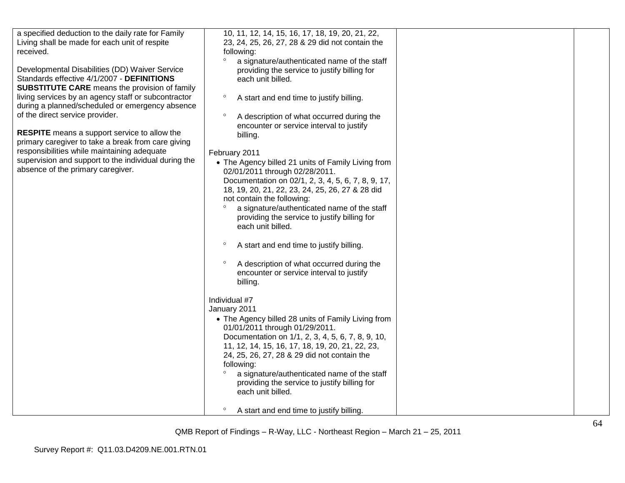| a specified deduction to the daily rate for Family<br>Living shall be made for each unit of respite<br>received.<br>Developmental Disabilities (DD) Waiver Service<br>Standards effective 4/1/2007 - DEFINITIONS<br><b>SUBSTITUTE CARE</b> means the provision of family<br>living services by an agency staff or subcontractor<br>during a planned/scheduled or emergency absence<br>of the direct service provider.<br><b>RESPITE</b> means a support service to allow the<br>primary caregiver to take a break from care giving<br>responsibilities while maintaining adequate<br>supervision and support to the individual during the<br>absence of the primary caregiver. | 10, 11, 12, 14, 15, 16, 17, 18, 19, 20, 21, 22,<br>23, 24, 25, 26, 27, 28 & 29 did not contain the<br>following:<br>$\circ$<br>a signature/authenticated name of the staff<br>providing the service to justify billing for<br>each unit billed.<br>$\circ$<br>A start and end time to justify billing.<br>$\circ$<br>A description of what occurred during the<br>encounter or service interval to justify<br>billing.<br>February 2011<br>• The Agency billed 21 units of Family Living from<br>02/01/2011 through 02/28/2011.<br>Documentation on 02/1, 2, 3, 4, 5, 6, 7, 8, 9, 17,<br>18, 19, 20, 21, 22, 23, 24, 25, 26, 27 & 28 did<br>not contain the following:<br>a signature/authenticated name of the staff<br>$\circ$<br>providing the service to justify billing for<br>each unit billed.<br>$\circ$<br>A start and end time to justify billing.<br>$\circ$<br>A description of what occurred during the<br>encounter or service interval to justify<br>billing.<br>Individual #7<br>January 2011<br>• The Agency billed 28 units of Family Living from<br>01/01/2011 through 01/29/2011.<br>Documentation on 1/1, 2, 3, 4, 5, 6, 7, 8, 9, 10,<br>11, 12, 14, 15, 16, 17, 18, 19, 20, 21, 22, 23,<br>24, 25, 26, 27, 28 & 29 did not contain the<br>following:<br>a signature/authenticated name of the staff |  |
|--------------------------------------------------------------------------------------------------------------------------------------------------------------------------------------------------------------------------------------------------------------------------------------------------------------------------------------------------------------------------------------------------------------------------------------------------------------------------------------------------------------------------------------------------------------------------------------------------------------------------------------------------------------------------------|---------------------------------------------------------------------------------------------------------------------------------------------------------------------------------------------------------------------------------------------------------------------------------------------------------------------------------------------------------------------------------------------------------------------------------------------------------------------------------------------------------------------------------------------------------------------------------------------------------------------------------------------------------------------------------------------------------------------------------------------------------------------------------------------------------------------------------------------------------------------------------------------------------------------------------------------------------------------------------------------------------------------------------------------------------------------------------------------------------------------------------------------------------------------------------------------------------------------------------------------------------------------------------------------------------------------------|--|
|                                                                                                                                                                                                                                                                                                                                                                                                                                                                                                                                                                                                                                                                                | providing the service to justify billing for                                                                                                                                                                                                                                                                                                                                                                                                                                                                                                                                                                                                                                                                                                                                                                                                                                                                                                                                                                                                                                                                                                                                                                                                                                                                              |  |
|                                                                                                                                                                                                                                                                                                                                                                                                                                                                                                                                                                                                                                                                                | each unit billed.                                                                                                                                                                                                                                                                                                                                                                                                                                                                                                                                                                                                                                                                                                                                                                                                                                                                                                                                                                                                                                                                                                                                                                                                                                                                                                         |  |
|                                                                                                                                                                                                                                                                                                                                                                                                                                                                                                                                                                                                                                                                                | $\circ$<br>A start and end time to justify billing.                                                                                                                                                                                                                                                                                                                                                                                                                                                                                                                                                                                                                                                                                                                                                                                                                                                                                                                                                                                                                                                                                                                                                                                                                                                                       |  |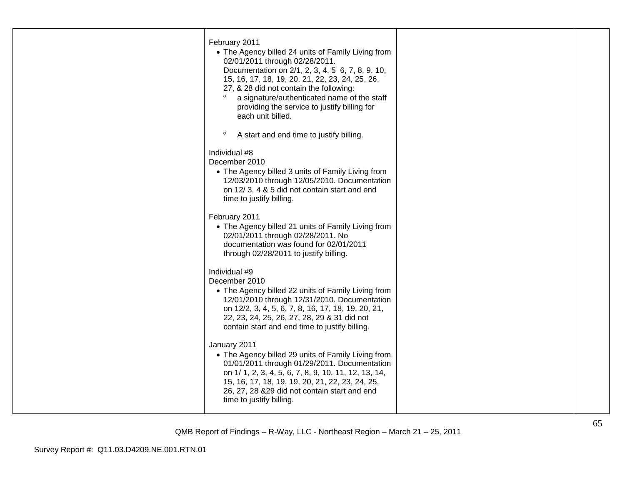| February 2011<br>• The Agency billed 24 units of Family Living from<br>02/01/2011 through 02/28/2011.<br>Documentation on 2/1, 2, 3, 4, 5 6, 7, 8, 9, 10,<br>15, 16, 17, 18, 19, 20, 21, 22, 23, 24, 25, 26,<br>27, & 28 did not contain the following:<br>$\circ$<br>a signature/authenticated name of the staff<br>providing the service to justify billing for<br>each unit billed. |  |
|----------------------------------------------------------------------------------------------------------------------------------------------------------------------------------------------------------------------------------------------------------------------------------------------------------------------------------------------------------------------------------------|--|
| $\circ$<br>A start and end time to justify billing.                                                                                                                                                                                                                                                                                                                                    |  |
| Individual #8<br>December 2010<br>• The Agency billed 3 units of Family Living from<br>12/03/2010 through 12/05/2010. Documentation<br>on 12/3, 4 & 5 did not contain start and end<br>time to justify billing.                                                                                                                                                                        |  |
| February 2011<br>• The Agency billed 21 units of Family Living from<br>02/01/2011 through 02/28/2011. No<br>documentation was found for 02/01/2011<br>through 02/28/2011 to justify billing.                                                                                                                                                                                           |  |
| Individual #9<br>December 2010<br>• The Agency billed 22 units of Family Living from<br>12/01/2010 through 12/31/2010. Documentation<br>on 12/2, 3, 4, 5, 6, 7, 8, 16, 17, 18, 19, 20, 21,<br>22, 23, 24, 25, 26, 27, 28, 29 & 31 did not<br>contain start and end time to justify billing.                                                                                            |  |
| January 2011<br>• The Agency billed 29 units of Family Living from<br>01/01/2011 through 01/29/2011. Documentation<br>on 1/ 1, 2, 3, 4, 5, 6, 7, 8, 9, 10, 11, 12, 13, 14,<br>15, 16, 17, 18, 19, 19, 20, 21, 22, 23, 24, 25,<br>26, 27, 28 & 29 did not contain start and end<br>time to justify billing.                                                                             |  |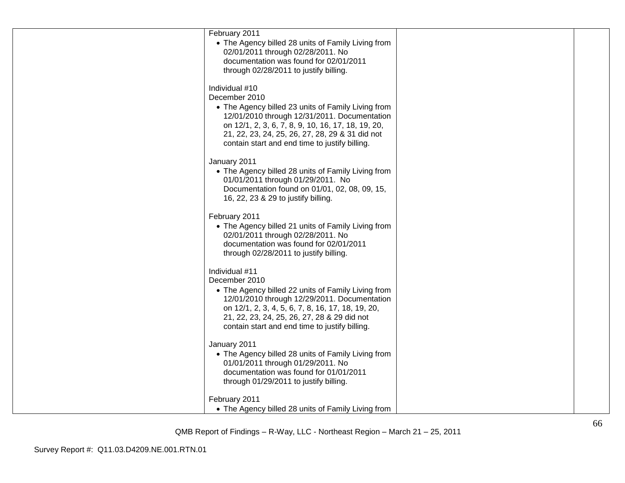| February 2011<br>• The Agency billed 28 units of Family Living from<br>02/01/2011 through 02/28/2011. No<br>documentation was found for 02/01/2011<br>through 02/28/2011 to justify billing.                                                                                                     |  |
|--------------------------------------------------------------------------------------------------------------------------------------------------------------------------------------------------------------------------------------------------------------------------------------------------|--|
| Individual #10<br>December 2010<br>• The Agency billed 23 units of Family Living from<br>12/01/2010 through 12/31/2011. Documentation<br>on 12/1, 2, 3, 6, 7, 8, 9, 10, 16, 17, 18, 19, 20,<br>21, 22, 23, 24, 25, 26, 27, 28, 29 & 31 did not<br>contain start and end time to justify billing. |  |
| January 2011<br>• The Agency billed 28 units of Family Living from<br>01/01/2011 through 01/29/2011. No<br>Documentation found on 01/01, 02, 08, 09, 15,<br>16, 22, 23 & 29 to justify billing.                                                                                                  |  |
| February 2011<br>• The Agency billed 21 units of Family Living from<br>02/01/2011 through 02/28/2011. No<br>documentation was found for 02/01/2011<br>through 02/28/2011 to justify billing.                                                                                                     |  |
| Individual #11<br>December 2010<br>• The Agency billed 22 units of Family Living from<br>12/01/2010 through 12/29/2011. Documentation<br>on 12/1, 2, 3, 4, 5, 6, 7, 8, 16, 17, 18, 19, 20,<br>21, 22, 23, 24, 25, 26, 27, 28 & 29 did not<br>contain start and end time to justify billing.      |  |
| January 2011<br>• The Agency billed 28 units of Family Living from<br>01/01/2011 through 01/29/2011. No<br>documentation was found for 01/01/2011<br>through 01/29/2011 to justify billing.                                                                                                      |  |
| February 2011<br>• The Agency billed 28 units of Family Living from                                                                                                                                                                                                                              |  |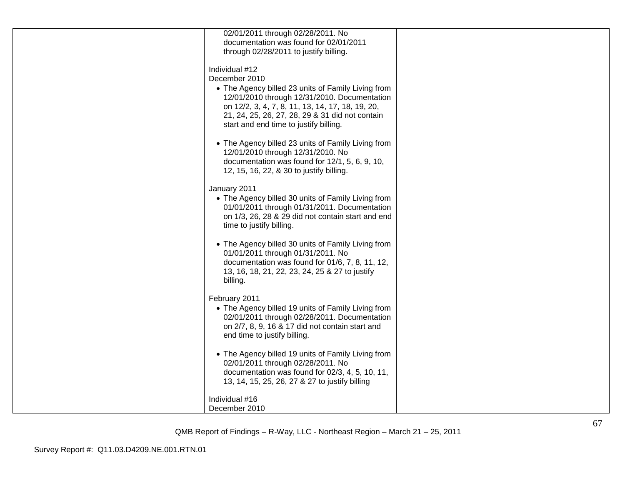| 02/01/2011 through 02/28/2011. No                  |  |
|----------------------------------------------------|--|
| documentation was found for 02/01/2011             |  |
| through 02/28/2011 to justify billing.             |  |
|                                                    |  |
| Individual #12                                     |  |
|                                                    |  |
| December 2010                                      |  |
| • The Agency billed 23 units of Family Living from |  |
| 12/01/2010 through 12/31/2010. Documentation       |  |
| on 12/2, 3, 4, 7, 8, 11, 13, 14, 17, 18, 19, 20,   |  |
| 21, 24, 25, 26, 27, 28, 29 & 31 did not contain    |  |
| start and end time to justify billing.             |  |
|                                                    |  |
| • The Agency billed 23 units of Family Living from |  |
|                                                    |  |
| 12/01/2010 through 12/31/2010. No                  |  |
| documentation was found for 12/1, 5, 6, 9, 10,     |  |
| 12, 15, 16, 22, & 30 to justify billing.           |  |
|                                                    |  |
| January 2011                                       |  |
| • The Agency billed 30 units of Family Living from |  |
| 01/01/2011 through 01/31/2011. Documentation       |  |
| on 1/3, 26, 28 & 29 did not contain start and end  |  |
| time to justify billing.                           |  |
|                                                    |  |
| • The Agency billed 30 units of Family Living from |  |
|                                                    |  |
| 01/01/2011 through 01/31/2011. No                  |  |
| documentation was found for 01/6, 7, 8, 11, 12,    |  |
| 13, 16, 18, 21, 22, 23, 24, 25 & 27 to justify     |  |
| billing.                                           |  |
|                                                    |  |
| February 2011                                      |  |
| • The Agency billed 19 units of Family Living from |  |
| 02/01/2011 through 02/28/2011. Documentation       |  |
| on 2/7, 8, 9, 16 & 17 did not contain start and    |  |
| end time to justify billing.                       |  |
|                                                    |  |
| • The Agency billed 19 units of Family Living from |  |
|                                                    |  |
| 02/01/2011 through 02/28/2011. No                  |  |
| documentation was found for 02/3, 4, 5, 10, 11,    |  |
| 13, 14, 15, 25, 26, 27 & 27 to justify billing     |  |
|                                                    |  |
| Individual #16                                     |  |
| December 2010                                      |  |
|                                                    |  |